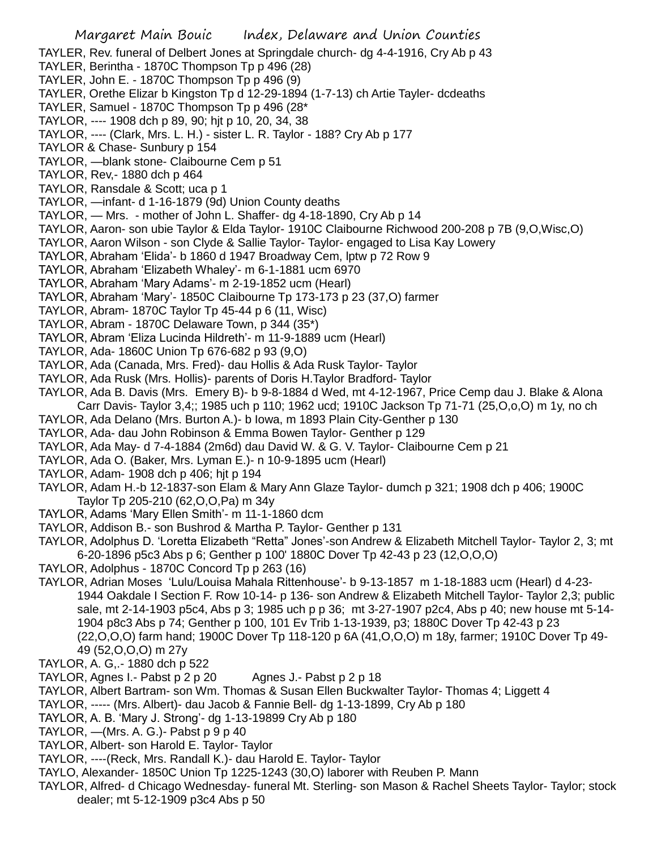TAYLER, Rev. funeral of Delbert Jones at Springdale church- dg 4-4-1916, Cry Ab p 43

TAYLER, Berintha - 1870C Thompson Tp p 496 (28)

TAYLER, John E. - 1870C Thompson Tp p 496 (9)

TAYLER, Orethe Elizar b Kingston Tp d 12-29-1894 (1-7-13) ch Artie Tayler- dcdeaths

TAYLER, Samuel - 1870C Thompson Tp p 496 (28\*

TAYLOR, ---- 1908 dch p 89, 90; hjt p 10, 20, 34, 38

TAYLOR, ---- (Clark, Mrs. L. H.) - sister L. R. Taylor - 188? Cry Ab p 177

TAYLOR & Chase- Sunbury p 154

TAYLOR, —blank stone- Claibourne Cem p 51

TAYLOR, Rev,- 1880 dch p 464

TAYLOR, Ransdale & Scott; uca p 1

TAYLOR, —infant- d 1-16-1879 (9d) Union County deaths

TAYLOR, — Mrs. - mother of John L. Shaffer- dg 4-18-1890, Cry Ab p 14

TAYLOR, Aaron- son ubie Taylor & Elda Taylor- 1910C Claibourne Richwood 200-208 p 7B (9,O,Wisc,O)

TAYLOR, Aaron Wilson - son Clyde & Sallie Taylor- Taylor- engaged to Lisa Kay Lowery

TAYLOR, Abraham 'Elida'- b 1860 d 1947 Broadway Cem, lptw p 72 Row 9

TAYLOR, Abraham 'Elizabeth Whaley'- m 6-1-1881 ucm 6970

TAYLOR, Abraham 'Mary Adams'- m 2-19-1852 ucm (Hearl)

TAYLOR, Abraham 'Mary'- 1850C Claibourne Tp 173-173 p 23 (37,O) farmer

TAYLOR, Abram- 1870C Taylor Tp 45-44 p 6 (11, Wisc)

TAYLOR, Abram - 1870C Delaware Town, p 344 (35\*)

TAYLOR, Abram 'Eliza Lucinda Hildreth'- m 11-9-1889 ucm (Hearl)

TAYLOR, Ada- 1860C Union Tp 676-682 p 93 (9,O)

TAYLOR, Ada (Canada, Mrs. Fred)- dau Hollis & Ada Rusk Taylor- Taylor

TAYLOR, Ada Rusk (Mrs. Hollis)- parents of Doris H.Taylor Bradford- Taylor

TAYLOR, Ada B. Davis (Mrs. Emery B)- b 9-8-1884 d Wed, mt 4-12-1967, Price Cemp dau J. Blake & Alona Carr Davis- Taylor 3,4;; 1985 uch p 110; 1962 ucd; 1910C Jackson Tp 71-71 (25,O,o,O) m 1y, no ch

TAYLOR, Ada Delano (Mrs. Burton A.)- b Iowa, m 1893 Plain City-Genther p 130

TAYLOR, Ada- dau John Robinson & Emma Bowen Taylor- Genther p 129

TAYLOR, Ada May- d 7-4-1884 (2m6d) dau David W. & G. V. Taylor- Claibourne Cem p 21

TAYLOR, Ada O. (Baker, Mrs. Lyman E.)- n 10-9-1895 ucm (Hearl)

TAYLOR, Adam- 1908 dch p 406; hjt p 194

TAYLOR, Adam H.-b 12-1837-son Elam & Mary Ann Glaze Taylor- dumch p 321; 1908 dch p 406; 1900C Taylor Tp 205-210 (62,O,O,Pa) m 34y

TAYLOR, Adams 'Mary Ellen Smith'- m 11-1-1860 dcm

TAYLOR, Addison B.- son Bushrod & Martha P. Taylor- Genther p 131

TAYLOR, Adolphus D. 'Loretta Elizabeth "Retta" Jones'-son Andrew & Elizabeth Mitchell Taylor- Taylor 2, 3; mt 6-20-1896 p5c3 Abs p 6; Genther p 100' 1880C Dover Tp 42-43 p 23 (12,O,O,O)

TAYLOR, Adolphus - 1870C Concord Tp p 263 (16)

TAYLOR, Adrian Moses 'Lulu/Louisa Mahala Rittenhouse'- b 9-13-1857 m 1-18-1883 ucm (Hearl) d 4-23- 1944 Oakdale I Section F. Row 10-14- p 136- son Andrew & Elizabeth Mitchell Taylor- Taylor 2,3; public sale, mt 2-14-1903 p5c4, Abs p 3; 1985 uch p p 36; mt 3-27-1907 p2c4, Abs p 40; new house mt 5-14- 1904 p8c3 Abs p 74; Genther p 100, 101 Ev Trib 1-13-1939, p3; 1880C Dover Tp 42-43 p 23 (22,O,O,O) farm hand; 1900C Dover Tp 118-120 p 6A (41,O,O,O) m 18y, farmer; 1910C Dover Tp 49- 49 (52,O,O,O) m 27y

TAYLOR, A. G,.- 1880 dch p 522

TAYLOR, Agnes I.- Pabst p 2 p 20 Agnes J.- Pabst p 2 p 18

TAYLOR, Albert Bartram- son Wm. Thomas & Susan Ellen Buckwalter Taylor- Thomas 4; Liggett 4

TAYLOR, ----- (Mrs. Albert)- dau Jacob & Fannie Bell- dg 1-13-1899, Cry Ab p 180

TAYLOR, A. B. 'Mary J. Strong'- dg 1-13-19899 Cry Ab p 180

TAYLOR,  $-Mrs.$  A. G.)- Pabst  $p 9 p 40$ 

TAYLOR, Albert- son Harold E. Taylor- Taylor

TAYLOR, ----(Reck, Mrs. Randall K.)- dau Harold E. Taylor- Taylor

TAYLO, Alexander- 1850C Union Tp 1225-1243 (30,O) laborer with Reuben P. Mann

TAYLOR, Alfred- d Chicago Wednesday- funeral Mt. Sterling- son Mason & Rachel Sheets Taylor- Taylor; stock dealer; mt 5-12-1909 p3c4 Abs p 50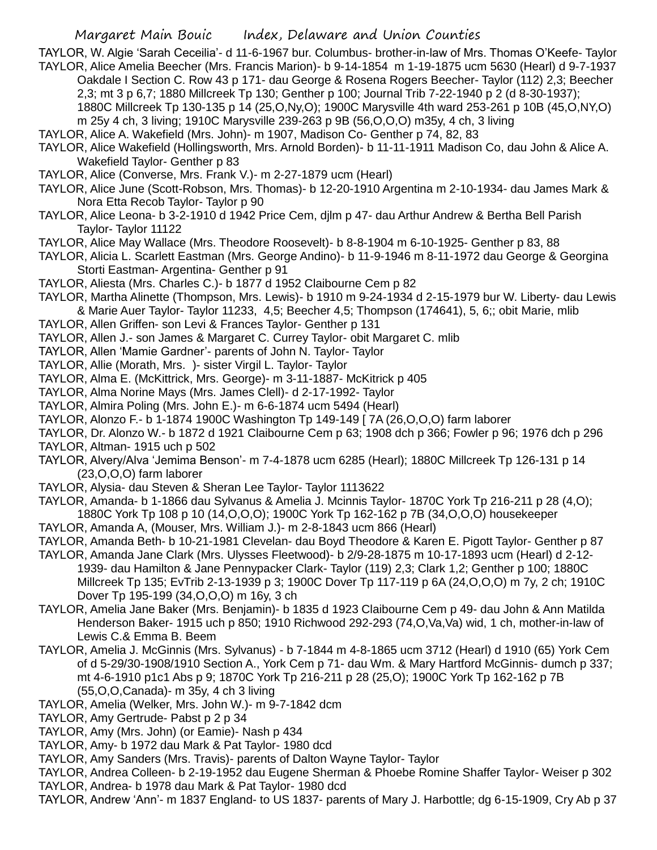TAYLOR, W. Algie 'Sarah Ceceilia'- d 11-6-1967 bur. Columbus- brother-in-law of Mrs. Thomas O'Keefe- Taylor TAYLOR, Alice Amelia Beecher (Mrs. Francis Marion)- b 9-14-1854 m 1-19-1875 ucm 5630 (Hearl) d 9-7-1937

- Oakdale I Section C. Row 43 p 171- dau George & Rosena Rogers Beecher- Taylor (112) 2,3; Beecher 2,3; mt 3 p 6,7; 1880 Millcreek Tp 130; Genther p 100; Journal Trib 7-22-1940 p 2 (d 8-30-1937); 1880C Millcreek Tp 130-135 p 14 (25,O,Ny,O); 1900C Marysville 4th ward 253-261 p 10B (45,O,NY,O)
	- m 25y 4 ch, 3 living; 1910C Marysville 239-263 p 9B (56,O,O,O) m35y, 4 ch, 3 living
- TAYLOR, Alice A. Wakefield (Mrs. John)- m 1907, Madison Co- Genther p 74, 82, 83
- TAYLOR, Alice Wakefield (Hollingsworth, Mrs. Arnold Borden)- b 11-11-1911 Madison Co, dau John & Alice A. Wakefield Taylor- Genther p 83
- TAYLOR, Alice (Converse, Mrs. Frank V.)- m 2-27-1879 ucm (Hearl)
- TAYLOR, Alice June (Scott-Robson, Mrs. Thomas)- b 12-20-1910 Argentina m 2-10-1934- dau James Mark & Nora Etta Recob Taylor- Taylor p 90
- TAYLOR, Alice Leona- b 3-2-1910 d 1942 Price Cem, djlm p 47- dau Arthur Andrew & Bertha Bell Parish Taylor- Taylor 11122
- TAYLOR, Alice May Wallace (Mrs. Theodore Roosevelt)- b 8-8-1904 m 6-10-1925- Genther p 83, 88
- TAYLOR, Alicia L. Scarlett Eastman (Mrs. George Andino)- b 11-9-1946 m 8-11-1972 dau George & Georgina Storti Eastman- Argentina- Genther p 91
- TAYLOR, Aliesta (Mrs. Charles C.)- b 1877 d 1952 Claibourne Cem p 82
- TAYLOR, Martha Alinette (Thompson, Mrs. Lewis)- b 1910 m 9-24-1934 d 2-15-1979 bur W. Liberty- dau Lewis & Marie Auer Taylor- Taylor 11233, 4,5; Beecher 4,5; Thompson (174641), 5, 6;; obit Marie, mlib
- TAYLOR, Allen Griffen- son Levi & Frances Taylor- Genther p 131
- TAYLOR, Allen J.- son James & Margaret C. Currey Taylor- obit Margaret C. mlib
- TAYLOR, Allen 'Mamie Gardner'- parents of John N. Taylor- Taylor
- TAYLOR, Allie (Morath, Mrs. )- sister Virgil L. Taylor- Taylor
- TAYLOR, Alma E. (McKittrick, Mrs. George)- m 3-11-1887- McKitrick p 405
- TAYLOR, Alma Norine Mays (Mrs. James Clell)- d 2-17-1992- Taylor
- TAYLOR, Almira Poling (Mrs. John E.)- m 6-6-1874 ucm 5494 (Hearl)
- TAYLOR, Alonzo F.- b 1-1874 1900C Washington Tp 149-149 [ 7A (26,O,O,O) farm laborer
- TAYLOR, Dr. Alonzo W.- b 1872 d 1921 Claibourne Cem p 63; 1908 dch p 366; Fowler p 96; 1976 dch p 296
- TAYLOR, Altman- 1915 uch p 502
- TAYLOR, Alvery/Alva 'Jemima Benson'- m 7-4-1878 ucm 6285 (Hearl); 1880C Millcreek Tp 126-131 p 14 (23,O,O,O) farm laborer
- TAYLOR, Alysia- dau Steven & Sheran Lee Taylor- Taylor 1113622
- TAYLOR, Amanda- b 1-1866 dau Sylvanus & Amelia J. Mcinnis Taylor- 1870C York Tp 216-211 p 28 (4,O); 1880C York Tp 108 p 10 (14,O,O,O); 1900C York Tp 162-162 p 7B (34,O,O,O) housekeeper
- TAYLOR, Amanda A, (Mouser, Mrs. William J.)- m 2-8-1843 ucm 866 (Hearl)
- TAYLOR, Amanda Beth- b 10-21-1981 Clevelan- dau Boyd Theodore & Karen E. Pigott Taylor- Genther p 87
- TAYLOR, Amanda Jane Clark (Mrs. Ulysses Fleetwood)- b 2/9-28-1875 m 10-17-1893 ucm (Hearl) d 2-12- 1939- dau Hamilton & Jane Pennypacker Clark- Taylor (119) 2,3; Clark 1,2; Genther p 100; 1880C Millcreek Tp 135; EvTrib 2-13-1939 p 3; 1900C Dover Tp 117-119 p 6A (24,O,O,O) m 7y, 2 ch; 1910C Dover Tp 195-199 (34,O,O,O) m 16y, 3 ch
- TAYLOR, Amelia Jane Baker (Mrs. Benjamin)- b 1835 d 1923 Claibourne Cem p 49- dau John & Ann Matilda Henderson Baker- 1915 uch p 850; 1910 Richwood 292-293 (74,O,Va,Va) wid, 1 ch, mother-in-law of Lewis C.& Emma B. Beem
- TAYLOR, Amelia J. McGinnis (Mrs. Sylvanus) b 7-1844 m 4-8-1865 ucm 3712 (Hearl) d 1910 (65) York Cem of d 5-29/30-1908/1910 Section A., York Cem p 71- dau Wm. & Mary Hartford McGinnis- dumch p 337; mt 4-6-1910 p1c1 Abs p 9; 1870C York Tp 216-211 p 28 (25,O); 1900C York Tp 162-162 p 7B (55,O,O,Canada)- m 35y, 4 ch 3 living
- TAYLOR, Amelia (Welker, Mrs. John W.)- m 9-7-1842 dcm
- TAYLOR, Amy Gertrude- Pabst p 2 p 34
- TAYLOR, Amy (Mrs. John) (or Eamie)- Nash p 434
- TAYLOR, Amy- b 1972 dau Mark & Pat Taylor- 1980 dcd
- TAYLOR, Amy Sanders (Mrs. Travis)- parents of Dalton Wayne Taylor- Taylor
- TAYLOR, Andrea Colleen- b 2-19-1952 dau Eugene Sherman & Phoebe Romine Shaffer Taylor- Weiser p 302 TAYLOR, Andrea- b 1978 dau Mark & Pat Taylor- 1980 dcd
- TAYLOR, Andrew 'Ann'- m 1837 England- to US 1837- parents of Mary J. Harbottle; dg 6-15-1909, Cry Ab p 37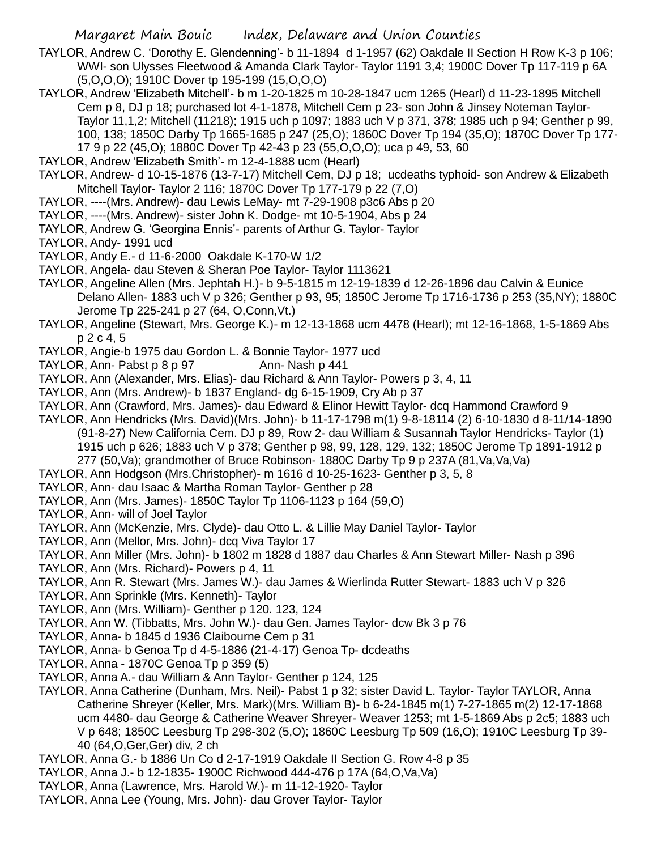- TAYLOR, Andrew C. 'Dorothy E. Glendenning'- b 11-1894 d 1-1957 (62) Oakdale II Section H Row K-3 p 106; WWI- son Ulysses Fleetwood & Amanda Clark Taylor- Taylor 1191 3,4; 1900C Dover Tp 117-119 p 6A (5,O,O,O); 1910C Dover tp 195-199 (15,O,O,O)
- TAYLOR, Andrew 'Elizabeth Mitchell'- b m 1-20-1825 m 10-28-1847 ucm 1265 (Hearl) d 11-23-1895 Mitchell Cem p 8, DJ p 18; purchased lot 4-1-1878, Mitchell Cem p 23- son John & Jinsey Noteman Taylor-Taylor 11,1,2; Mitchell (11218); 1915 uch p 1097; 1883 uch V p 371, 378; 1985 uch p 94; Genther p 99, 100, 138; 1850C Darby Tp 1665-1685 p 247 (25,O); 1860C Dover Tp 194 (35,O); 1870C Dover Tp 177- 17 9 p 22 (45,O); 1880C Dover Tp 42-43 p 23 (55,O,O,O); uca p 49, 53, 60
- TAYLOR, Andrew 'Elizabeth Smith'- m 12-4-1888 ucm (Hearl)
- TAYLOR, Andrew- d 10-15-1876 (13-7-17) Mitchell Cem, DJ p 18; ucdeaths typhoid- son Andrew & Elizabeth Mitchell Taylor- Taylor 2 116; 1870C Dover Tp 177-179 p 22 (7,O)
- TAYLOR, ----(Mrs. Andrew)- dau Lewis LeMay- mt 7-29-1908 p3c6 Abs p 20
- TAYLOR, ----(Mrs. Andrew)- sister John K. Dodge- mt 10-5-1904, Abs p 24
- TAYLOR, Andrew G. 'Georgina Ennis'- parents of Arthur G. Taylor- Taylor
- TAYLOR, Andy- 1991 ucd
- TAYLOR, Andy E.- d 11-6-2000 Oakdale K-170-W 1/2
- TAYLOR, Angela- dau Steven & Sheran Poe Taylor- Taylor 1113621
- TAYLOR, Angeline Allen (Mrs. Jephtah H.)- b 9-5-1815 m 12-19-1839 d 12-26-1896 dau Calvin & Eunice Delano Allen- 1883 uch V p 326; Genther p 93, 95; 1850C Jerome Tp 1716-1736 p 253 (35,NY); 1880C Jerome Tp 225-241 p 27 (64, O,Conn,Vt.)
- TAYLOR, Angeline (Stewart, Mrs. George K.)- m 12-13-1868 ucm 4478 (Hearl); mt 12-16-1868, 1-5-1869 Abs p 2 c 4, 5
- TAYLOR, Angie-b 1975 dau Gordon L. & Bonnie Taylor- 1977 ucd
- TAYLOR, Ann- Pabst p 8 p 97 Ann- Nash p 441
- TAYLOR, Ann (Alexander, Mrs. Elias)- dau Richard & Ann Taylor- Powers p 3, 4, 11
- TAYLOR, Ann (Mrs. Andrew)- b 1837 England- dg 6-15-1909, Cry Ab p 37
- TAYLOR, Ann (Crawford, Mrs. James)- dau Edward & Elinor Hewitt Taylor- dcq Hammond Crawford 9
- TAYLOR, Ann Hendricks (Mrs. David)(Mrs. John)- b 11-17-1798 m(1) 9-8-18114 (2) 6-10-1830 d 8-11/14-1890 (91-8-27) New California Cem. DJ p 89, Row 2- dau William & Susannah Taylor Hendricks- Taylor (1) 1915 uch p 626; 1883 uch V p 378; Genther p 98, 99, 128, 129, 132; 1850C Jerome Tp 1891-1912 p 277 (50,Va); grandmother of Bruce Robinson- 1880C Darby Tp 9 p 237A (81,Va,Va,Va)
- TAYLOR, Ann Hodgson (Mrs.Christopher)- m 1616 d 10-25-1623- Genther p 3, 5, 8
- TAYLOR, Ann- dau Isaac & Martha Roman Taylor- Genther p 28
- TAYLOR, Ann (Mrs. James)- 1850C Taylor Tp 1106-1123 p 164 (59,O)
- TAYLOR, Ann- will of Joel Taylor
- TAYLOR, Ann (McKenzie, Mrs. Clyde)- dau Otto L. & Lillie May Daniel Taylor- Taylor
- TAYLOR, Ann (Mellor, Mrs. John)- dcq Viva Taylor 17
- TAYLOR, Ann Miller (Mrs. John)- b 1802 m 1828 d 1887 dau Charles & Ann Stewart Miller- Nash p 396
- TAYLOR, Ann (Mrs. Richard)- Powers p 4, 11
- TAYLOR, Ann R. Stewart (Mrs. James W.)- dau James & Wierlinda Rutter Stewart- 1883 uch V p 326
- TAYLOR, Ann Sprinkle (Mrs. Kenneth)- Taylor
- TAYLOR, Ann (Mrs. William)- Genther p 120. 123, 124
- TAYLOR, Ann W. (Tibbatts, Mrs. John W.)- dau Gen. James Taylor- dcw Bk 3 p 76
- TAYLOR, Anna- b 1845 d 1936 Claibourne Cem p 31
- TAYLOR, Anna- b Genoa Tp d 4-5-1886 (21-4-17) Genoa Tp- dcdeaths
- TAYLOR, Anna 1870C Genoa Tp p 359 (5)
- TAYLOR, Anna A.- dau William & Ann Taylor- Genther p 124, 125
- TAYLOR, Anna Catherine (Dunham, Mrs. Neil)- Pabst 1 p 32; sister David L. Taylor- Taylor TAYLOR, Anna Catherine Shreyer (Keller, Mrs. Mark)(Mrs. William B)- b 6-24-1845 m(1) 7-27-1865 m(2) 12-17-1868 ucm 4480- dau George & Catherine Weaver Shreyer- Weaver 1253; mt 1-5-1869 Abs p 2c5; 1883 uch V p 648; 1850C Leesburg Tp 298-302 (5,O); 1860C Leesburg Tp 509 (16,O); 1910C Leesburg Tp 39- 40 (64,O,Ger,Ger) div, 2 ch
- TAYLOR, Anna G.- b 1886 Un Co d 2-17-1919 Oakdale II Section G. Row 4-8 p 35
- TAYLOR, Anna J.- b 12-1835- 1900C Richwood 444-476 p 17A (64,O,Va,Va)
- TAYLOR, Anna (Lawrence, Mrs. Harold W.)- m 11-12-1920- Taylor
- TAYLOR, Anna Lee (Young, Mrs. John)- dau Grover Taylor- Taylor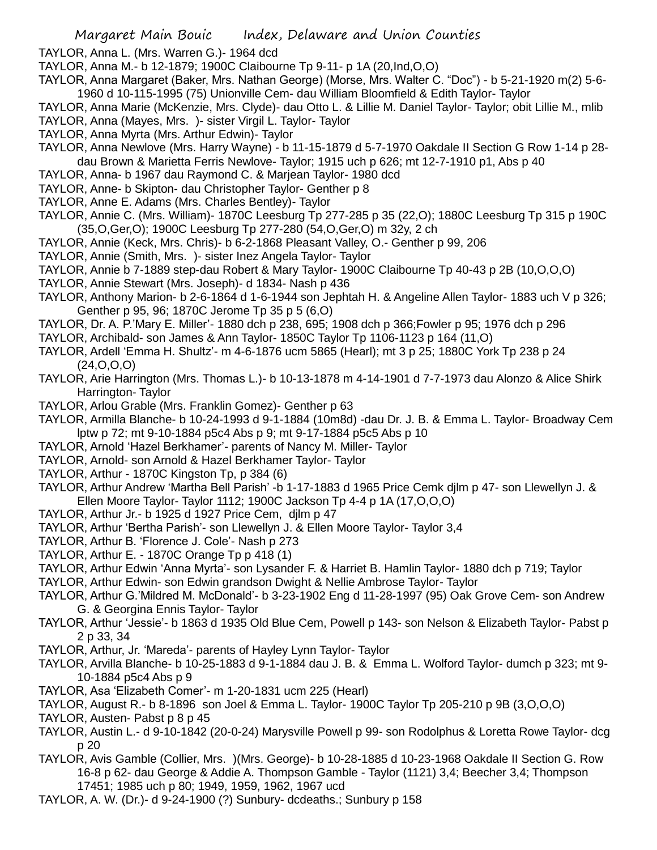TAYLOR, Anna L. (Mrs. Warren G.)- 1964 dcd

TAYLOR, Anna M.- b 12-1879; 1900C Claibourne Tp 9-11- p 1A (20,Ind,O,O)

TAYLOR, Anna Margaret (Baker, Mrs. Nathan George) (Morse, Mrs. Walter C. "Doc") - b 5-21-1920 m(2) 5-6- 1960 d 10-115-1995 (75) Unionville Cem- dau William Bloomfield & Edith Taylor- Taylor

- TAYLOR, Anna Marie (McKenzie, Mrs. Clyde)- dau Otto L. & Lillie M. Daniel Taylor- Taylor; obit Lillie M., mlib TAYLOR, Anna (Mayes, Mrs. )- sister Virgil L. Taylor- Taylor
- TAYLOR, Anna Myrta (Mrs. Arthur Edwin)- Taylor
- TAYLOR, Anna Newlove (Mrs. Harry Wayne) b 11-15-1879 d 5-7-1970 Oakdale II Section G Row 1-14 p 28 dau Brown & Marietta Ferris Newlove- Taylor; 1915 uch p 626; mt 12-7-1910 p1, Abs p 40
- TAYLOR, Anna- b 1967 dau Raymond C. & Marjean Taylor- 1980 dcd
- TAYLOR, Anne- b Skipton- dau Christopher Taylor- Genther p 8
- TAYLOR, Anne E. Adams (Mrs. Charles Bentley)- Taylor
- TAYLOR, Annie C. (Mrs. William)- 1870C Leesburg Tp 277-285 p 35 (22,O); 1880C Leesburg Tp 315 p 190C (35,O,Ger,O); 1900C Leesburg Tp 277-280 (54,O,Ger,O) m 32y, 2 ch
- TAYLOR, Annie (Keck, Mrs. Chris)- b 6-2-1868 Pleasant Valley, O.- Genther p 99, 206
- TAYLOR, Annie (Smith, Mrs. )- sister Inez Angela Taylor- Taylor
- TAYLOR, Annie b 7-1889 step-dau Robert & Mary Taylor- 1900C Claibourne Tp 40-43 p 2B (10,O,O,O)
- TAYLOR, Annie Stewart (Mrs. Joseph)- d 1834- Nash p 436
- TAYLOR, Anthony Marion- b 2-6-1864 d 1-6-1944 son Jephtah H. & Angeline Allen Taylor- 1883 uch V p 326; Genther p 95, 96; 1870C Jerome Tp 35 p 5 (6,O)
- TAYLOR, Dr. A. P.'Mary E. Miller'- 1880 dch p 238, 695; 1908 dch p 366;Fowler p 95; 1976 dch p 296
- TAYLOR, Archibald- son James & Ann Taylor- 1850C Taylor Tp 1106-1123 p 164 (11,O)
- TAYLOR, Ardell 'Emma H. Shultz'- m 4-6-1876 ucm 5865 (Hearl); mt 3 p 25; 1880C York Tp 238 p 24  $(24, 0, 0, 0)$
- TAYLOR, Arie Harrington (Mrs. Thomas L.)- b 10-13-1878 m 4-14-1901 d 7-7-1973 dau Alonzo & Alice Shirk Harrington- Taylor
- TAYLOR, Arlou Grable (Mrs. Franklin Gomez)- Genther p 63
- TAYLOR, Armilla Blanche- b 10-24-1993 d 9-1-1884 (10m8d) -dau Dr. J. B. & Emma L. Taylor- Broadway Cem lptw p 72; mt 9-10-1884 p5c4 Abs p 9; mt 9-17-1884 p5c5 Abs p 10
- TAYLOR, Arnold 'Hazel Berkhamer'- parents of Nancy M. Miller- Taylor
- TAYLOR, Arnold- son Arnold & Hazel Berkhamer Taylor- Taylor
- TAYLOR, Arthur 1870C Kingston Tp, p 384 (6)
- TAYLOR, Arthur Andrew 'Martha Bell Parish' -b 1-17-1883 d 1965 Price Cemk djlm p 47- son Llewellyn J. & Ellen Moore Taylor- Taylor 1112; 1900C Jackson Tp 4-4 p 1A (17,O,O,O)
- TAYLOR, Arthur Jr.- b 1925 d 1927 Price Cem, djlm p 47
- TAYLOR, Arthur 'Bertha Parish'- son Llewellyn J. & Ellen Moore Taylor- Taylor 3,4
- TAYLOR, Arthur B. 'Florence J. Cole'- Nash p 273
- TAYLOR, Arthur E. 1870C Orange Tp p 418 (1)
- TAYLOR, Arthur Edwin 'Anna Myrta'- son Lysander F. & Harriet B. Hamlin Taylor- 1880 dch p 719; Taylor
- TAYLOR, Arthur Edwin- son Edwin grandson Dwight & Nellie Ambrose Taylor- Taylor
- TAYLOR, Arthur G.'Mildred M. McDonald'- b 3-23-1902 Eng d 11-28-1997 (95) Oak Grove Cem- son Andrew G. & Georgina Ennis Taylor- Taylor
- TAYLOR, Arthur 'Jessie'- b 1863 d 1935 Old Blue Cem, Powell p 143- son Nelson & Elizabeth Taylor- Pabst p 2 p 33, 34
- TAYLOR, Arthur, Jr. 'Mareda'- parents of Hayley Lynn Taylor- Taylor
- TAYLOR, Arvilla Blanche- b 10-25-1883 d 9-1-1884 dau J. B. & Emma L. Wolford Taylor- dumch p 323; mt 9- 10-1884 p5c4 Abs p 9
- TAYLOR, Asa 'Elizabeth Comer'- m 1-20-1831 ucm 225 (Hearl)
- TAYLOR, August R.- b 8-1896 son Joel & Emma L. Taylor- 1900C Taylor Tp 205-210 p 9B (3,O,O,O)
- TAYLOR, Austen- Pabst p 8 p 45
- TAYLOR, Austin L.- d 9-10-1842 (20-0-24) Marysville Powell p 99- son Rodolphus & Loretta Rowe Taylor- dcg p 20
- TAYLOR, Avis Gamble (Collier, Mrs. )(Mrs. George)- b 10-28-1885 d 10-23-1968 Oakdale II Section G. Row 16-8 p 62- dau George & Addie A. Thompson Gamble - Taylor (1121) 3,4; Beecher 3,4; Thompson 17451; 1985 uch p 80; 1949, 1959, 1962, 1967 ucd
- TAYLOR, A. W. (Dr.)- d 9-24-1900 (?) Sunbury- dcdeaths.; Sunbury p 158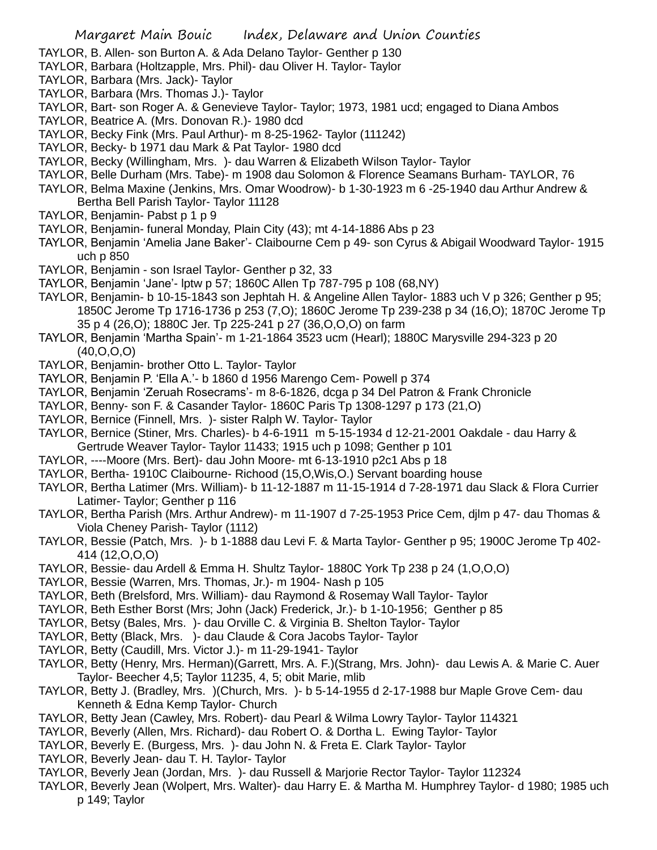- TAYLOR, B. Allen- son Burton A. & Ada Delano Taylor- Genther p 130
- TAYLOR, Barbara (Holtzapple, Mrs. Phil)- dau Oliver H. Taylor- Taylor
- TAYLOR, Barbara (Mrs. Jack)- Taylor
- TAYLOR, Barbara (Mrs. Thomas J.)- Taylor
- TAYLOR, Bart- son Roger A. & Genevieve Taylor- Taylor; 1973, 1981 ucd; engaged to Diana Ambos
- TAYLOR, Beatrice A. (Mrs. Donovan R.)- 1980 dcd
- TAYLOR, Becky Fink (Mrs. Paul Arthur)- m 8-25-1962- Taylor (111242)
- TAYLOR, Becky- b 1971 dau Mark & Pat Taylor- 1980 dcd
- TAYLOR, Becky (Willingham, Mrs. )- dau Warren & Elizabeth Wilson Taylor- Taylor
- TAYLOR, Belle Durham (Mrs. Tabe)- m 1908 dau Solomon & Florence Seamans Burham- TAYLOR, 76
- TAYLOR, Belma Maxine (Jenkins, Mrs. Omar Woodrow)- b 1-30-1923 m 6 -25-1940 dau Arthur Andrew & Bertha Bell Parish Taylor- Taylor 11128
- TAYLOR, Benjamin- Pabst p 1 p 9
- TAYLOR, Benjamin- funeral Monday, Plain City (43); mt 4-14-1886 Abs p 23
- TAYLOR, Benjamin 'Amelia Jane Baker'- Claibourne Cem p 49- son Cyrus & Abigail Woodward Taylor- 1915 uch p 850
- TAYLOR, Benjamin son Israel Taylor- Genther p 32, 33
- TAYLOR, Benjamin 'Jane'- lptw p 57; 1860C Allen Tp 787-795 p 108 (68,NY)
- TAYLOR, Benjamin- b 10-15-1843 son Jephtah H. & Angeline Allen Taylor- 1883 uch V p 326; Genther p 95; 1850C Jerome Tp 1716-1736 p 253 (7,O); 1860C Jerome Tp 239-238 p 34 (16,O); 1870C Jerome Tp 35 p 4 (26,O); 1880C Jer. Tp 225-241 p 27 (36,O,O,O) on farm
- TAYLOR, Benjamin 'Martha Spain'- m 1-21-1864 3523 ucm (Hearl); 1880C Marysville 294-323 p 20 (40,O,O,O)
- TAYLOR, Benjamin- brother Otto L. Taylor- Taylor
- TAYLOR, Benjamin P. 'Ella A.'- b 1860 d 1956 Marengo Cem- Powell p 374
- TAYLOR, Benjamin 'Zeruah Rosecrams'- m 8-6-1826, dcga p 34 Del Patron & Frank Chronicle
- TAYLOR, Benny- son F. & Casander Taylor- 1860C Paris Tp 1308-1297 p 173 (21,O)
- TAYLOR, Bernice (Finnell, Mrs. )- sister Ralph W. Taylor- Taylor
- TAYLOR, Bernice (Stiner, Mrs. Charles)- b 4-6-1911 m 5-15-1934 d 12-21-2001 Oakdale dau Harry & Gertrude Weaver Taylor- Taylor 11433; 1915 uch p 1098; Genther p 101
- TAYLOR, ----Moore (Mrs. Bert)- dau John Moore- mt 6-13-1910 p2c1 Abs p 18
- TAYLOR, Bertha- 1910C Claibourne- Richood (15,O,Wis,O.) Servant boarding house
- TAYLOR, Bertha Latimer (Mrs. William)- b 11-12-1887 m 11-15-1914 d 7-28-1971 dau Slack & Flora Currier Latimer- Taylor; Genther p 116
- TAYLOR, Bertha Parish (Mrs. Arthur Andrew)- m 11-1907 d 7-25-1953 Price Cem, djlm p 47- dau Thomas & Viola Cheney Parish- Taylor (1112)
- TAYLOR, Bessie (Patch, Mrs. )- b 1-1888 dau Levi F. & Marta Taylor- Genther p 95; 1900C Jerome Tp 402- 414 (12,O,O,O)
- TAYLOR, Bessie- dau Ardell & Emma H. Shultz Taylor- 1880C York Tp 238 p 24 (1,O,O,O)
- TAYLOR, Bessie (Warren, Mrs. Thomas, Jr.)- m 1904- Nash p 105
- TAYLOR, Beth (Brelsford, Mrs. William)- dau Raymond & Rosemay Wall Taylor- Taylor
- TAYLOR, Beth Esther Borst (Mrs; John (Jack) Frederick, Jr.)- b 1-10-1956; Genther p 85
- TAYLOR, Betsy (Bales, Mrs. )- dau Orville C. & Virginia B. Shelton Taylor- Taylor
- TAYLOR, Betty (Black, Mrs. )- dau Claude & Cora Jacobs Taylor- Taylor
- TAYLOR, Betty (Caudill, Mrs. Victor J.)- m 11-29-1941- Taylor
- TAYLOR, Betty (Henry, Mrs. Herman)(Garrett, Mrs. A. F.)(Strang, Mrs. John)- dau Lewis A. & Marie C. Auer Taylor- Beecher 4,5; Taylor 11235, 4, 5; obit Marie, mlib
- TAYLOR, Betty J. (Bradley, Mrs. )(Church, Mrs. )- b 5-14-1955 d 2-17-1988 bur Maple Grove Cem- dau Kenneth & Edna Kemp Taylor- Church
- TAYLOR, Betty Jean (Cawley, Mrs. Robert)- dau Pearl & Wilma Lowry Taylor- Taylor 114321
- TAYLOR, Beverly (Allen, Mrs. Richard)- dau Robert O. & Dortha L. Ewing Taylor- Taylor
- TAYLOR, Beverly E. (Burgess, Mrs. )- dau John N. & Freta E. Clark Taylor- Taylor
- TAYLOR, Beverly Jean- dau T. H. Taylor- Taylor
- TAYLOR, Beverly Jean (Jordan, Mrs. )- dau Russell & Marjorie Rector Taylor- Taylor 112324
- TAYLOR, Beverly Jean (Wolpert, Mrs. Walter)- dau Harry E. & Martha M. Humphrey Taylor- d 1980; 1985 uch p 149; Taylor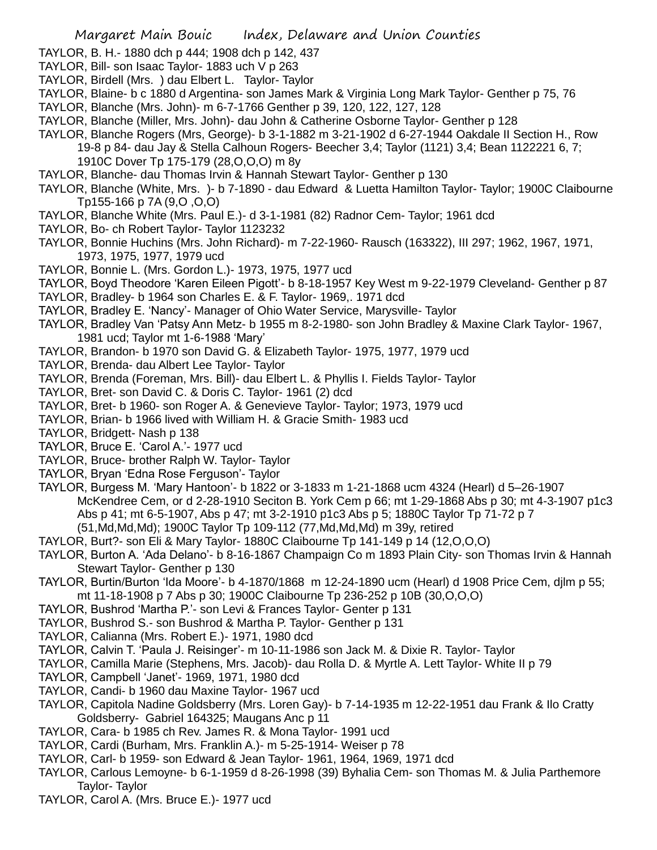- TAYLOR, B. H.- 1880 dch p 444; 1908 dch p 142, 437
- TAYLOR, Bill- son Isaac Taylor- 1883 uch V p 263
- TAYLOR, Birdell (Mrs. ) dau Elbert L. Taylor- Taylor
- TAYLOR, Blaine- b c 1880 d Argentina- son James Mark & Virginia Long Mark Taylor- Genther p 75, 76
- TAYLOR, Blanche (Mrs. John)- m 6-7-1766 Genther p 39, 120, 122, 127, 128
- TAYLOR, Blanche (Miller, Mrs. John)- dau John & Catherine Osborne Taylor- Genther p 128
- TAYLOR, Blanche Rogers (Mrs, George)- b 3-1-1882 m 3-21-1902 d 6-27-1944 Oakdale II Section H., Row 19-8 p 84- dau Jay & Stella Calhoun Rogers- Beecher 3,4; Taylor (1121) 3,4; Bean 1122221 6, 7; 1910C Dover Tp 175-179 (28,O,O,O) m 8y
- TAYLOR, Blanche- dau Thomas Irvin & Hannah Stewart Taylor- Genther p 130
- TAYLOR, Blanche (White, Mrs. )- b 7-1890 dau Edward & Luetta Hamilton Taylor- Taylor; 1900C Claibourne Tp155-166 p 7A (9,O ,O,O)
- TAYLOR, Blanche White (Mrs. Paul E.)- d 3-1-1981 (82) Radnor Cem- Taylor; 1961 dcd
- TAYLOR, Bo- ch Robert Taylor- Taylor 1123232
- TAYLOR, Bonnie Huchins (Mrs. John Richard)- m 7-22-1960- Rausch (163322), III 297; 1962, 1967, 1971, 1973, 1975, 1977, 1979 ucd
- TAYLOR, Bonnie L. (Mrs. Gordon L.)- 1973, 1975, 1977 ucd
- TAYLOR, Boyd Theodore 'Karen Eileen Pigott'- b 8-18-1957 Key West m 9-22-1979 Cleveland- Genther p 87
- TAYLOR, Bradley- b 1964 son Charles E. & F. Taylor- 1969,. 1971 dcd
- TAYLOR, Bradley E. 'Nancy'- Manager of Ohio Water Service, Marysville- Taylor
- TAYLOR, Bradley Van 'Patsy Ann Metz- b 1955 m 8-2-1980- son John Bradley & Maxine Clark Taylor- 1967, 1981 ucd; Taylor mt 1-6-1988 'Mary'
- TAYLOR, Brandon- b 1970 son David G. & Elizabeth Taylor- 1975, 1977, 1979 ucd
- TAYLOR, Brenda- dau Albert Lee Taylor- Taylor
- TAYLOR, Brenda (Foreman, Mrs. Bill)- dau Elbert L. & Phyllis I. Fields Taylor- Taylor
- TAYLOR, Bret- son David C. & Doris C. Taylor- 1961 (2) dcd
- TAYLOR, Bret- b 1960- son Roger A. & Genevieve Taylor- Taylor; 1973, 1979 ucd
- TAYLOR, Brian- b 1966 lived with William H. & Gracie Smith- 1983 ucd
- TAYLOR, Bridgett- Nash p 138
- TAYLOR, Bruce E. 'Carol A.'- 1977 ucd
- TAYLOR, Bruce- brother Ralph W. Taylor- Taylor
- TAYLOR, Bryan 'Edna Rose Ferguson'- Taylor
- TAYLOR, Burgess M. 'Mary Hantoon'- b 1822 or 3-1833 m 1-21-1868 ucm 4324 (Hearl) d 5–26-1907 McKendree Cem, or d 2-28-1910 Seciton B. York Cem p 66; mt 1-29-1868 Abs p 30; mt 4-3-1907 p1c3 Abs p 41; mt 6-5-1907, Abs p 47; mt 3-2-1910 p1c3 Abs p 5; 1880C Taylor Tp 71-72 p 7 (51,Md,Md,Md); 1900C Taylor Tp 109-112 (77,Md,Md,Md) m 39y, retired
- TAYLOR, Burt?- son Eli & Mary Taylor- 1880C Claibourne Tp 141-149 p 14 (12,O,O,O)
- TAYLOR, Burton A. 'Ada Delano'- b 8-16-1867 Champaign Co m 1893 Plain City- son Thomas Irvin & Hannah Stewart Taylor- Genther p 130
- TAYLOR, Burtin/Burton 'Ida Moore'- b 4-1870/1868 m 12-24-1890 ucm (Hearl) d 1908 Price Cem, djlm p 55; mt 11-18-1908 p 7 Abs p 30; 1900C Claibourne Tp 236-252 p 10B (30,O,O,O)
- TAYLOR, Bushrod 'Martha P.'- son Levi & Frances Taylor- Genter p 131
- TAYLOR, Bushrod S.- son Bushrod & Martha P. Taylor- Genther p 131
- TAYLOR, Calianna (Mrs. Robert E.)- 1971, 1980 dcd
- TAYLOR, Calvin T. 'Paula J. Reisinger'- m 10-11-1986 son Jack M. & Dixie R. Taylor- Taylor
- TAYLOR, Camilla Marie (Stephens, Mrs. Jacob)- dau Rolla D. & Myrtle A. Lett Taylor- White II p 79
- TAYLOR, Campbell 'Janet'- 1969, 1971, 1980 dcd
- TAYLOR, Candi- b 1960 dau Maxine Taylor- 1967 ucd
- TAYLOR, Capitola Nadine Goldsberry (Mrs. Loren Gay)- b 7-14-1935 m 12-22-1951 dau Frank & Ilo Cratty Goldsberry- Gabriel 164325; Maugans Anc p 11
- TAYLOR, Cara- b 1985 ch Rev. James R. & Mona Taylor- 1991 ucd
- TAYLOR, Cardi (Burham, Mrs. Franklin A.)- m 5-25-1914- Weiser p 78
- TAYLOR, Carl- b 1959- son Edward & Jean Taylor- 1961, 1964, 1969, 1971 dcd
- TAYLOR, Carlous Lemoyne- b 6-1-1959 d 8-26-1998 (39) Byhalia Cem- son Thomas M. & Julia Parthemore Taylor- Taylor
- TAYLOR, Carol A. (Mrs. Bruce E.)- 1977 ucd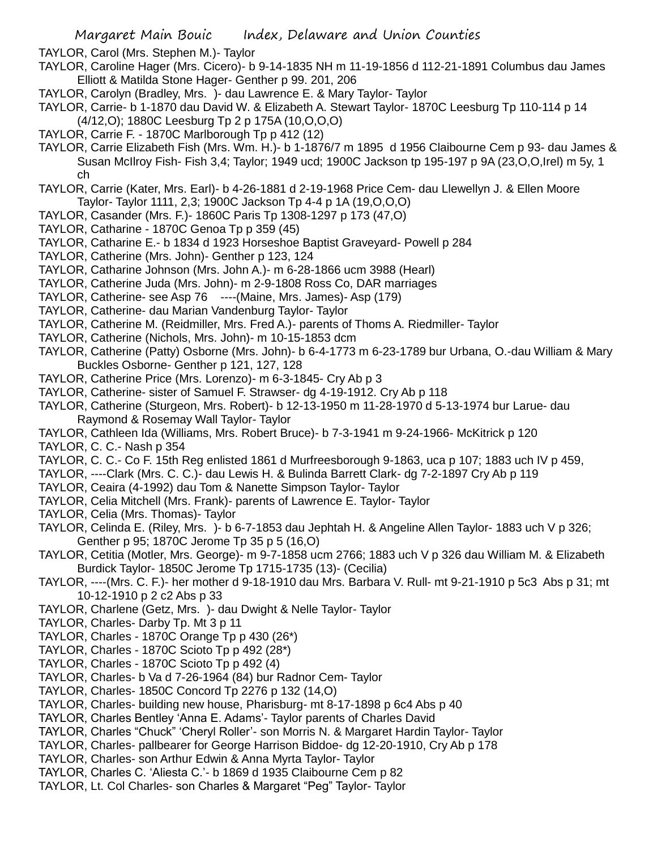TAYLOR, Carol (Mrs. Stephen M.)- Taylor

- TAYLOR, Caroline Hager (Mrs. Cicero)- b 9-14-1835 NH m 11-19-1856 d 112-21-1891 Columbus dau James Elliott & Matilda Stone Hager- Genther p 99. 201, 206
- TAYLOR, Carolyn (Bradley, Mrs. )- dau Lawrence E. & Mary Taylor- Taylor
- TAYLOR, Carrie- b 1-1870 dau David W. & Elizabeth A. Stewart Taylor- 1870C Leesburg Tp 110-114 p 14 (4/12,O); 1880C Leesburg Tp 2 p 175A (10,O,O,O)
- TAYLOR, Carrie F. 1870C Marlborough Tp p 412 (12)
- TAYLOR, Carrie Elizabeth Fish (Mrs. Wm. H.)- b 1-1876/7 m 1895 d 1956 Claibourne Cem p 93- dau James & Susan McIlroy Fish- Fish 3,4; Taylor; 1949 ucd; 1900C Jackson tp 195-197 p 9A (23,O,O,Irel) m 5y, 1 ch
- TAYLOR, Carrie (Kater, Mrs. Earl)- b 4-26-1881 d 2-19-1968 Price Cem- dau Llewellyn J. & Ellen Moore Taylor- Taylor 1111, 2,3; 1900C Jackson Tp 4-4 p 1A (19,O,O,O)
- TAYLOR, Casander (Mrs. F.)- 1860C Paris Tp 1308-1297 p 173 (47,O)
- TAYLOR, Catharine 1870C Genoa Tp p 359 (45)
- TAYLOR, Catharine E.- b 1834 d 1923 Horseshoe Baptist Graveyard- Powell p 284
- TAYLOR, Catherine (Mrs. John)- Genther p 123, 124
- TAYLOR, Catharine Johnson (Mrs. John A.)- m 6-28-1866 ucm 3988 (Hearl)
- TAYLOR, Catherine Juda (Mrs. John)- m 2-9-1808 Ross Co, DAR marriages
- TAYLOR, Catherine- see Asp 76 ----(Maine, Mrs. James)- Asp (179)
- TAYLOR, Catherine- dau Marian Vandenburg Taylor- Taylor
- TAYLOR, Catherine M. (Reidmiller, Mrs. Fred A.)- parents of Thoms A. Riedmiller- Taylor
- TAYLOR, Catherine (Nichols, Mrs. John)- m 10-15-1853 dcm
- TAYLOR, Catherine (Patty) Osborne (Mrs. John)- b 6-4-1773 m 6-23-1789 bur Urbana, O.-dau William & Mary Buckles Osborne- Genther p 121, 127, 128
- TAYLOR, Catherine Price (Mrs. Lorenzo)- m 6-3-1845- Cry Ab p 3
- TAYLOR, Catherine- sister of Samuel F. Strawser- dg 4-19-1912. Cry Ab p 118
- TAYLOR, Catherine (Sturgeon, Mrs. Robert)- b 12-13-1950 m 11-28-1970 d 5-13-1974 bur Larue- dau Raymond & Rosemay Wall Taylor- Taylor
- TAYLOR, Cathleen Ida (Williams, Mrs. Robert Bruce)- b 7-3-1941 m 9-24-1966- McKitrick p 120
- TAYLOR, C. C.- Nash p 354
- TAYLOR, C. C.- Co F. 15th Reg enlisted 1861 d Murfreesborough 9-1863, uca p 107; 1883 uch IV p 459,
- TAYLOR, ----Clark (Mrs. C. C.)- dau Lewis H. & Bulinda Barrett Clark- dg 7-2-1897 Cry Ab p 119
- TAYLOR, Ceaira (4-1992) dau Tom & Nanette Simpson Taylor- Taylor
- TAYLOR, Celia Mitchell (Mrs. Frank)- parents of Lawrence E. Taylor- Taylor
- TAYLOR, Celia (Mrs. Thomas)- Taylor
- TAYLOR, Celinda E. (Riley, Mrs. )- b 6-7-1853 dau Jephtah H. & Angeline Allen Taylor- 1883 uch V p 326; Genther p 95; 1870C Jerome Tp 35 p 5 (16,O)
- TAYLOR, Cetitia (Motler, Mrs. George)- m 9-7-1858 ucm 2766; 1883 uch V p 326 dau William M. & Elizabeth Burdick Taylor- 1850C Jerome Tp 1715-1735 (13)- (Cecilia)
- TAYLOR, ----(Mrs. C. F.)- her mother d 9-18-1910 dau Mrs. Barbara V. Rull- mt 9-21-1910 p 5c3 Abs p 31; mt 10-12-1910 p 2 c2 Abs p 33
- TAYLOR, Charlene (Getz, Mrs. )- dau Dwight & Nelle Taylor- Taylor
- TAYLOR, Charles- Darby Tp. Mt 3 p 11
- TAYLOR, Charles 1870C Orange Tp p 430 (26\*)
- TAYLOR, Charles 1870C Scioto Tp p 492 (28\*)
- TAYLOR, Charles 1870C Scioto Tp p 492 (4)
- TAYLOR, Charles- b Va d 7-26-1964 (84) bur Radnor Cem- Taylor
- TAYLOR, Charles- 1850C Concord Tp 2276 p 132 (14,O)
- TAYLOR, Charles- building new house, Pharisburg- mt 8-17-1898 p 6c4 Abs p 40
- TAYLOR, Charles Bentley 'Anna E. Adams'- Taylor parents of Charles David
- TAYLOR, Charles "Chuck" 'Cheryl Roller'- son Morris N. & Margaret Hardin Taylor- Taylor
- TAYLOR, Charles- pallbearer for George Harrison Biddoe- dg 12-20-1910, Cry Ab p 178
- TAYLOR, Charles- son Arthur Edwin & Anna Myrta Taylor- Taylor
- TAYLOR, Charles C. 'Aliesta C.'- b 1869 d 1935 Claibourne Cem p 82
- TAYLOR, Lt. Col Charles- son Charles & Margaret "Peg" Taylor- Taylor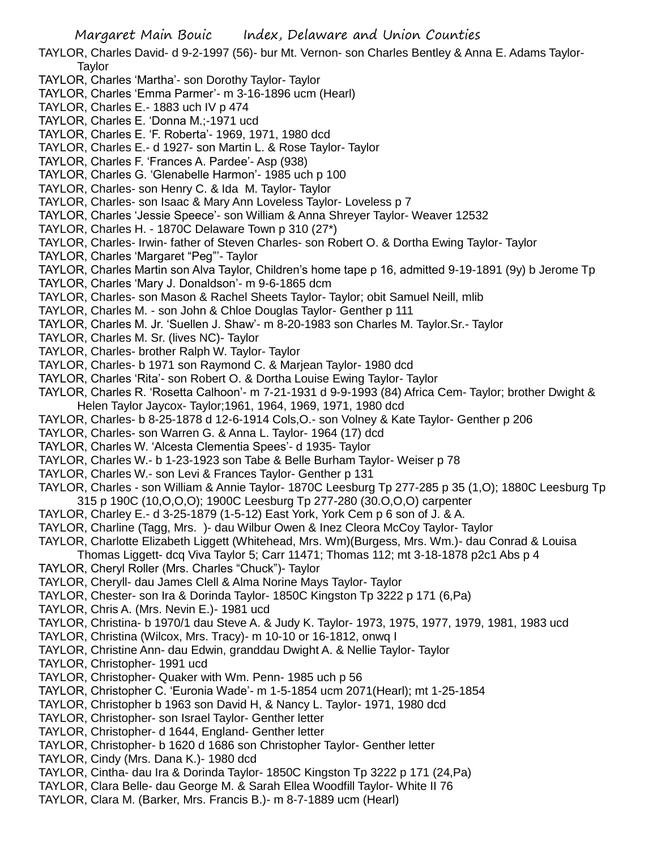TAYLOR, Charles David- d 9-2-1997 (56)- bur Mt. Vernon- son Charles Bentley & Anna E. Adams Taylor-Taylor

- TAYLOR, Charles 'Martha'- son Dorothy Taylor- Taylor
- TAYLOR, Charles 'Emma Parmer'- m 3-16-1896 ucm (Hearl)
- TAYLOR, Charles E.- 1883 uch IV p 474
- TAYLOR, Charles E. 'Donna M.;-1971 ucd
- TAYLOR, Charles E. 'F. Roberta'- 1969, 1971, 1980 dcd
- TAYLOR, Charles E.- d 1927- son Martin L. & Rose Taylor- Taylor
- TAYLOR, Charles F. 'Frances A. Pardee'- Asp (938)
- TAYLOR, Charles G. 'Glenabelle Harmon'- 1985 uch p 100
- TAYLOR, Charles- son Henry C. & Ida M. Taylor- Taylor
- TAYLOR, Charles- son Isaac & Mary Ann Loveless Taylor- Loveless p 7
- TAYLOR, Charles 'Jessie Speece'- son William & Anna Shreyer Taylor- Weaver 12532
- TAYLOR, Charles H. 1870C Delaware Town p 310 (27\*)
- TAYLOR, Charles- Irwin- father of Steven Charles- son Robert O. & Dortha Ewing Taylor- Taylor
- TAYLOR, Charles 'Margaret "Peg"'- Taylor
- TAYLOR, Charles Martin son Alva Taylor, Children's home tape p 16, admitted 9-19-1891 (9y) b Jerome Tp
- TAYLOR, Charles 'Mary J. Donaldson'- m 9-6-1865 dcm
- TAYLOR, Charles- son Mason & Rachel Sheets Taylor- Taylor; obit Samuel Neill, mlib
- TAYLOR, Charles M. son John & Chloe Douglas Taylor- Genther p 111
- TAYLOR, Charles M. Jr. 'Suellen J. Shaw'- m 8-20-1983 son Charles M. Taylor.Sr.- Taylor
- TAYLOR, Charles M. Sr. (lives NC)- Taylor
- TAYLOR, Charles- brother Ralph W. Taylor- Taylor
- TAYLOR, Charles- b 1971 son Raymond C. & Marjean Taylor- 1980 dcd
- TAYLOR, Charles 'Rita'- son Robert O. & Dortha Louise Ewing Taylor- Taylor
- TAYLOR, Charles R. 'Rosetta Calhoon'- m 7-21-1931 d 9-9-1993 (84) Africa Cem- Taylor; brother Dwight & Helen Taylor Jaycox- Taylor;1961, 1964, 1969, 1971, 1980 dcd
- TAYLOR, Charles- b 8-25-1878 d 12-6-1914 Cols,O.- son Volney & Kate Taylor- Genther p 206
- TAYLOR, Charles- son Warren G. & Anna L. Taylor- 1964 (17) dcd
- TAYLOR, Charles W. 'Alcesta Clementia Spees'- d 1935- Taylor
- TAYLOR, Charles W.- b 1-23-1923 son Tabe & Belle Burham Taylor- Weiser p 78
- TAYLOR, Charles W.- son Levi & Frances Taylor- Genther p 131
- TAYLOR, Charles son William & Annie Taylor- 1870C Leesburg Tp 277-285 p 35 (1,O); 1880C Leesburg Tp 315 p 190C (10,O,O,O); 1900C Leesburg Tp 277-280 (30.O,O,O) carpenter
- TAYLOR, Charley E.- d 3-25-1879 (1-5-12) East York, York Cem p 6 son of J. & A.
- TAYLOR, Charline (Tagg, Mrs. )- dau Wilbur Owen & Inez Cleora McCoy Taylor- Taylor
- TAYLOR, Charlotte Elizabeth Liggett (Whitehead, Mrs. Wm)(Burgess, Mrs. Wm.)- dau Conrad & Louisa
- Thomas Liggett- dcq Viva Taylor 5; Carr 11471; Thomas 112; mt 3-18-1878 p2c1 Abs p 4
- TAYLOR, Cheryl Roller (Mrs. Charles "Chuck")- Taylor
- TAYLOR, Cheryll- dau James Clell & Alma Norine Mays Taylor- Taylor
- TAYLOR, Chester- son Ira & Dorinda Taylor- 1850C Kingston Tp 3222 p 171 (6,Pa)
- TAYLOR, Chris A. (Mrs. Nevin E.)- 1981 ucd
- TAYLOR, Christina- b 1970/1 dau Steve A. & Judy K. Taylor- 1973, 1975, 1977, 1979, 1981, 1983 ucd
- TAYLOR, Christina (Wilcox, Mrs. Tracy)- m 10-10 or 16-1812, onwq I
- TAYLOR, Christine Ann- dau Edwin, granddau Dwight A. & Nellie Taylor- Taylor
- TAYLOR, Christopher- 1991 ucd
- TAYLOR, Christopher- Quaker with Wm. Penn- 1985 uch p 56
- TAYLOR, Christopher C. 'Euronia Wade'- m 1-5-1854 ucm 2071(Hearl); mt 1-25-1854
- TAYLOR, Christopher b 1963 son David H, & Nancy L. Taylor- 1971, 1980 dcd
- TAYLOR, Christopher- son Israel Taylor- Genther letter
- TAYLOR, Christopher- d 1644, England- Genther letter
- TAYLOR, Christopher- b 1620 d 1686 son Christopher Taylor- Genther letter
- TAYLOR, Cindy (Mrs. Dana K.)- 1980 dcd
- TAYLOR, Cintha- dau Ira & Dorinda Taylor- 1850C Kingston Tp 3222 p 171 (24,Pa)
- TAYLOR, Clara Belle- dau George M. & Sarah Ellea Woodfill Taylor- White II 76
- TAYLOR, Clara M. (Barker, Mrs. Francis B.)- m 8-7-1889 ucm (Hearl)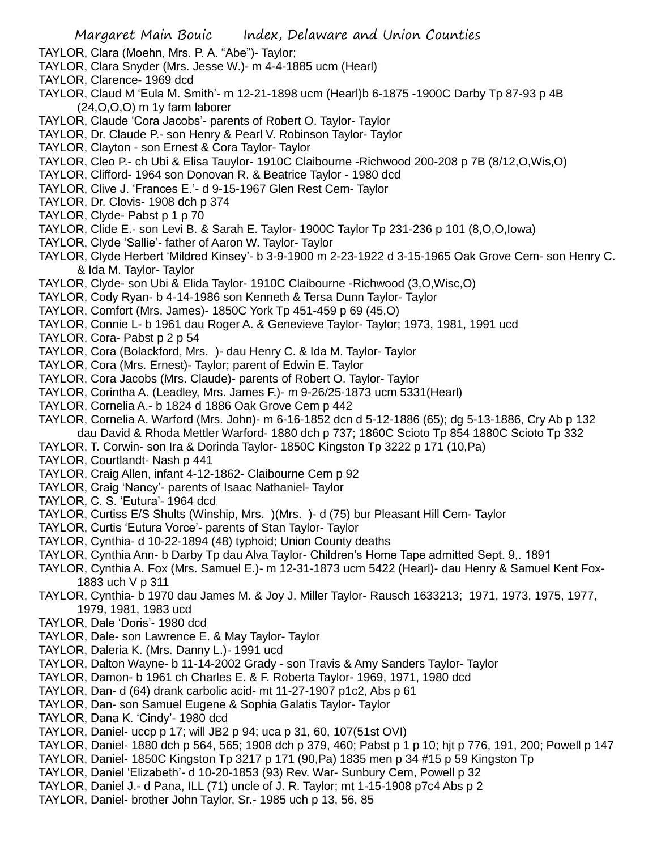- TAYLOR, Clara (Moehn, Mrs. P. A. "Abe")- Taylor;
- TAYLOR, Clara Snyder (Mrs. Jesse W.)- m 4-4-1885 ucm (Hearl)
- TAYLOR, Clarence- 1969 dcd
- TAYLOR, Claud M 'Eula M. Smith'- m 12-21-1898 ucm (Hearl)b 6-1875 -1900C Darby Tp 87-93 p 4B (24,O,O,O) m 1y farm laborer
- TAYLOR, Claude 'Cora Jacobs'- parents of Robert O. Taylor- Taylor
- TAYLOR, Dr. Claude P.- son Henry & Pearl V. Robinson Taylor- Taylor
- TAYLOR, Clayton son Ernest & Cora Taylor- Taylor
- TAYLOR, Cleo P.- ch Ubi & Elisa Tauylor- 1910C Claibourne -Richwood 200-208 p 7B (8/12,O,Wis,O)
- TAYLOR, Clifford- 1964 son Donovan R. & Beatrice Taylor 1980 dcd
- TAYLOR, Clive J. 'Frances E.'- d 9-15-1967 Glen Rest Cem- Taylor
- TAYLOR, Dr. Clovis- 1908 dch p 374
- TAYLOR, Clyde- Pabst p 1 p 70
- TAYLOR, Clide E.- son Levi B. & Sarah E. Taylor- 1900C Taylor Tp 231-236 p 101 (8,O,O,Iowa)
- TAYLOR, Clyde 'Sallie'- father of Aaron W. Taylor- Taylor
- TAYLOR, Clyde Herbert 'Mildred Kinsey'- b 3-9-1900 m 2-23-1922 d 3-15-1965 Oak Grove Cem- son Henry C. & Ida M. Taylor- Taylor
- TAYLOR, Clyde- son Ubi & Elida Taylor- 1910C Claibourne -Richwood (3,O,Wisc,O)
- TAYLOR, Cody Ryan- b 4-14-1986 son Kenneth & Tersa Dunn Taylor- Taylor
- TAYLOR, Comfort (Mrs. James)- 1850C York Tp 451-459 p 69 (45,O)
- TAYLOR, Connie L- b 1961 dau Roger A. & Genevieve Taylor- Taylor; 1973, 1981, 1991 ucd
- TAYLOR, Cora- Pabst p 2 p 54
- TAYLOR, Cora (Bolackford, Mrs. )- dau Henry C. & Ida M. Taylor- Taylor
- TAYLOR, Cora (Mrs. Ernest)- Taylor; parent of Edwin E. Taylor
- TAYLOR, Cora Jacobs (Mrs. Claude)- parents of Robert O. Taylor- Taylor
- TAYLOR, Corintha A. (Leadley, Mrs. James F.)- m 9-26/25-1873 ucm 5331(Hearl)
- TAYLOR, Cornelia A.- b 1824 d 1886 Oak Grove Cem p 442
- TAYLOR, Cornelia A. Warford (Mrs. John)- m 6-16-1852 dcn d 5-12-1886 (65); dg 5-13-1886, Cry Ab p 132
- dau David & Rhoda Mettler Warford- 1880 dch p 737; 1860C Scioto Tp 854 1880C Scioto Tp 332
- TAYLOR, T. Corwin- son Ira & Dorinda Taylor- 1850C Kingston Tp 3222 p 171 (10,Pa)
- TAYLOR, Courtlandt- Nash p 441
- TAYLOR, Craig Allen, infant 4-12-1862- Claibourne Cem p 92
- TAYLOR, Craig 'Nancy'- parents of Isaac Nathaniel- Taylor
- TAYLOR, C. S. 'Eutura'- 1964 dcd
- TAYLOR, Curtiss E/S Shults (Winship, Mrs. )(Mrs. )- d (75) bur Pleasant Hill Cem- Taylor
- TAYLOR, Curtis 'Eutura Vorce'- parents of Stan Taylor- Taylor
- TAYLOR, Cynthia- d 10-22-1894 (48) typhoid; Union County deaths
- TAYLOR, Cynthia Ann- b Darby Tp dau Alva Taylor- Children's Home Tape admitted Sept. 9,. 1891
- TAYLOR, Cynthia A. Fox (Mrs. Samuel E.)- m 12-31-1873 ucm 5422 (Hearl)- dau Henry & Samuel Kent Fox-1883 uch V p 311
- TAYLOR, Cynthia- b 1970 dau James M. & Joy J. Miller Taylor- Rausch 1633213; 1971, 1973, 1975, 1977, 1979, 1981, 1983 ucd
- TAYLOR, Dale 'Doris'- 1980 dcd
- TAYLOR, Dale- son Lawrence E. & May Taylor- Taylor
- TAYLOR, Daleria K. (Mrs. Danny L.)- 1991 ucd
- TAYLOR, Dalton Wayne- b 11-14-2002 Grady son Travis & Amy Sanders Taylor- Taylor
- TAYLOR, Damon- b 1961 ch Charles E. & F. Roberta Taylor- 1969, 1971, 1980 dcd
- TAYLOR, Dan- d (64) drank carbolic acid- mt 11-27-1907 p1c2, Abs p 61
- TAYLOR, Dan- son Samuel Eugene & Sophia Galatis Taylor- Taylor
- TAYLOR, Dana K. 'Cindy'- 1980 dcd
- TAYLOR, Daniel- uccp p 17; will JB2 p 94; uca p 31, 60, 107(51st OVI)
- TAYLOR, Daniel- 1880 dch p 564, 565; 1908 dch p 379, 460; Pabst p 1 p 10; hjt p 776, 191, 200; Powell p 147
- TAYLOR, Daniel- 1850C Kingston Tp 3217 p 171 (90,Pa) 1835 men p 34 #15 p 59 Kingston Tp
- TAYLOR, Daniel 'Elizabeth'- d 10-20-1853 (93) Rev. War- Sunbury Cem, Powell p 32
- TAYLOR, Daniel J.- d Pana, ILL (71) uncle of J. R. Taylor; mt 1-15-1908 p7c4 Abs p 2
- TAYLOR, Daniel- brother John Taylor, Sr.- 1985 uch p 13, 56, 85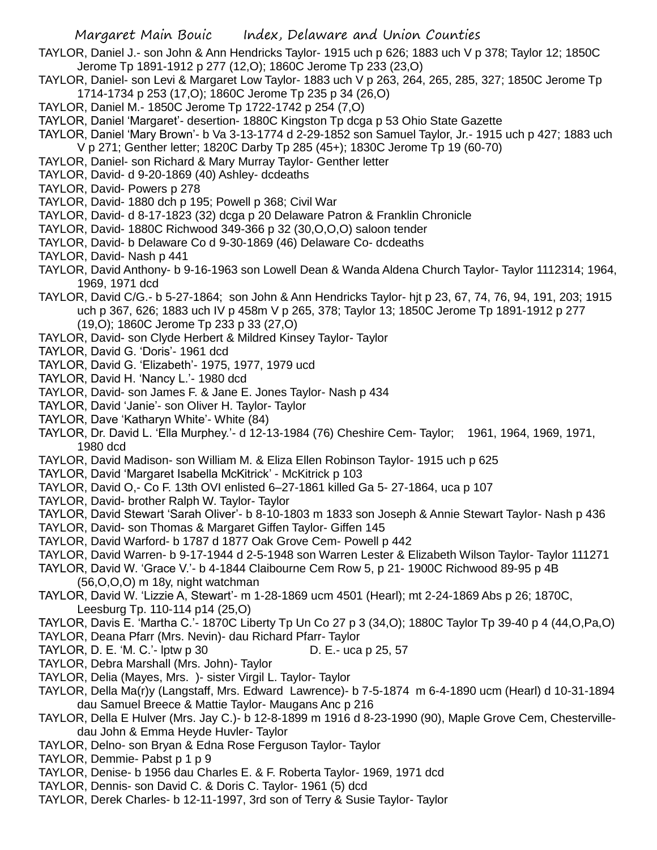TAYLOR, Daniel J.- son John & Ann Hendricks Taylor- 1915 uch p 626; 1883 uch V p 378; Taylor 12; 1850C Jerome Tp 1891-1912 p 277 (12,O); 1860C Jerome Tp 233 (23,O)

- TAYLOR, Daniel- son Levi & Margaret Low Taylor- 1883 uch V p 263, 264, 265, 285, 327; 1850C Jerome Tp 1714-1734 p 253 (17,O); 1860C Jerome Tp 235 p 34 (26,O)
- TAYLOR, Daniel M.- 1850C Jerome Tp 1722-1742 p 254 (7,O)
- TAYLOR, Daniel 'Margaret'- desertion- 1880C Kingston Tp dcga p 53 Ohio State Gazette
- TAYLOR, Daniel 'Mary Brown'- b Va 3-13-1774 d 2-29-1852 son Samuel Taylor, Jr.- 1915 uch p 427; 1883 uch V p 271; Genther letter; 1820C Darby Tp 285 (45+); 1830C Jerome Tp 19 (60-70)
- TAYLOR, Daniel- son Richard & Mary Murray Taylor- Genther letter
- TAYLOR, David- d 9-20-1869 (40) Ashley- dcdeaths
- TAYLOR, David- Powers p 278
- TAYLOR, David- 1880 dch p 195; Powell p 368; Civil War
- TAYLOR, David- d 8-17-1823 (32) dcga p 20 Delaware Patron & Franklin Chronicle
- TAYLOR, David- 1880C Richwood 349-366 p 32 (30,O,O,O) saloon tender
- TAYLOR, David- b Delaware Co d 9-30-1869 (46) Delaware Co- dcdeaths
- TAYLOR, David- Nash p 441
- TAYLOR, David Anthony- b 9-16-1963 son Lowell Dean & Wanda Aldena Church Taylor- Taylor 1112314; 1964, 1969, 1971 dcd
- TAYLOR, David C/G.- b 5-27-1864; son John & Ann Hendricks Taylor- hjt p 23, 67, 74, 76, 94, 191, 203; 1915 uch p 367, 626; 1883 uch IV p 458m V p 265, 378; Taylor 13; 1850C Jerome Tp 1891-1912 p 277 (19,O); 1860C Jerome Tp 233 p 33 (27,O)
- TAYLOR, David- son Clyde Herbert & Mildred Kinsey Taylor- Taylor
- TAYLOR, David G. 'Doris'- 1961 dcd
- TAYLOR, David G. 'Elizabeth'- 1975, 1977, 1979 ucd
- TAYLOR, David H. 'Nancy L.'- 1980 dcd
- TAYLOR, David- son James F. & Jane E. Jones Taylor- Nash p 434
- TAYLOR, David 'Janie'- son Oliver H. Taylor- Taylor
- TAYLOR, Dave 'Katharyn White'- White (84)
- TAYLOR, Dr. David L. 'Ella Murphey.'- d 12-13-1984 (76) Cheshire Cem- Taylor; 1961, 1964, 1969, 1971, 1980 dcd
- TAYLOR, David Madison- son William M. & Eliza Ellen Robinson Taylor- 1915 uch p 625
- TAYLOR, David 'Margaret Isabella McKitrick' McKitrick p 103
- TAYLOR, David O,- Co F. 13th OVI enlisted 6–27-1861 killed Ga 5- 27-1864, uca p 107
- TAYLOR, David- brother Ralph W. Taylor- Taylor
- TAYLOR, David Stewart 'Sarah Oliver'- b 8-10-1803 m 1833 son Joseph & Annie Stewart Taylor- Nash p 436
- TAYLOR, David- son Thomas & Margaret Giffen Taylor- Giffen 145
- TAYLOR, David Warford- b 1787 d 1877 Oak Grove Cem- Powell p 442
- TAYLOR, David Warren- b 9-17-1944 d 2-5-1948 son Warren Lester & Elizabeth Wilson Taylor- Taylor 111271
- TAYLOR, David W. 'Grace V.'- b 4-1844 Claibourne Cem Row 5, p 21- 1900C Richwood 89-95 p 4B (56,O,O,O) m 18y, night watchman
- TAYLOR, David W. 'Lizzie A, Stewart'- m 1-28-1869 ucm 4501 (Hearl); mt 2-24-1869 Abs p 26; 1870C, Leesburg Tp. 110-114 p14 (25,O)
- TAYLOR, Davis E. 'Martha C.'- 1870C Liberty Tp Un Co 27 p 3 (34,O); 1880C Taylor Tp 39-40 p 4 (44,O,Pa,O)
- TAYLOR, Deana Pfarr (Mrs. Nevin)- dau Richard Pfarr- Taylor
- TAYLOR, D. E. 'M. C.'- lptw p 30 D. E.- uca p 25, 57
- TAYLOR, Debra Marshall (Mrs. John)- Taylor
- TAYLOR, Delia (Mayes, Mrs. )- sister Virgil L. Taylor- Taylor
- TAYLOR, Della Ma(r)y (Langstaff, Mrs. Edward Lawrence)- b 7-5-1874 m 6-4-1890 ucm (Hearl) d 10-31-1894 dau Samuel Breece & Mattie Taylor- Maugans Anc p 216
- TAYLOR, Della E Hulver (Mrs. Jay C.)- b 12-8-1899 m 1916 d 8-23-1990 (90), Maple Grove Cem, Chestervilledau John & Emma Heyde Huvler- Taylor
- TAYLOR, Delno- son Bryan & Edna Rose Ferguson Taylor- Taylor
- TAYLOR, Demmie- Pabst p 1 p 9
- TAYLOR, Denise- b 1956 dau Charles E. & F. Roberta Taylor- 1969, 1971 dcd
- TAYLOR, Dennis- son David C. & Doris C. Taylor- 1961 (5) dcd
- TAYLOR, Derek Charles- b 12-11-1997, 3rd son of Terry & Susie Taylor- Taylor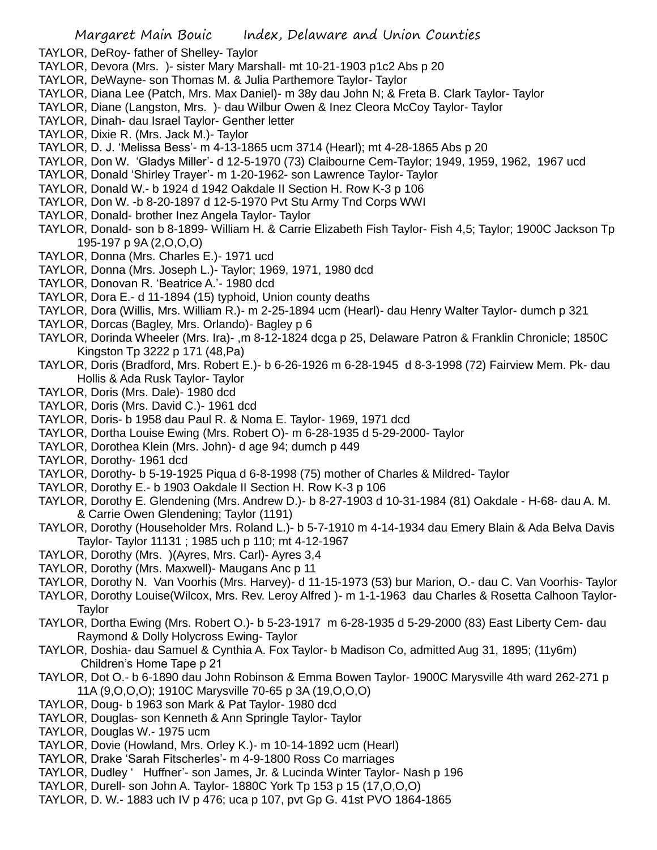- TAYLOR, DeRoy- father of Shelley- Taylor
- TAYLOR, Devora (Mrs. )- sister Mary Marshall- mt 10-21-1903 p1c2 Abs p 20
- TAYLOR, DeWayne- son Thomas M. & Julia Parthemore Taylor- Taylor
- TAYLOR, Diana Lee (Patch, Mrs. Max Daniel)- m 38y dau John N; & Freta B. Clark Taylor- Taylor
- TAYLOR, Diane (Langston, Mrs. )- dau Wilbur Owen & Inez Cleora McCoy Taylor- Taylor
- TAYLOR, Dinah- dau Israel Taylor- Genther letter
- TAYLOR, Dixie R. (Mrs. Jack M.)- Taylor
- TAYLOR, D. J. 'Melissa Bess'- m 4-13-1865 ucm 3714 (Hearl); mt 4-28-1865 Abs p 20
- TAYLOR, Don W. 'Gladys Miller'- d 12-5-1970 (73) Claibourne Cem-Taylor; 1949, 1959, 1962, 1967 ucd
- TAYLOR, Donald 'Shirley Trayer'- m 1-20-1962- son Lawrence Taylor- Taylor
- TAYLOR, Donald W.- b 1924 d 1942 Oakdale II Section H. Row K-3 p 106
- TAYLOR, Don W. -b 8-20-1897 d 12-5-1970 Pvt Stu Army Tnd Corps WWI
- TAYLOR, Donald- brother Inez Angela Taylor- Taylor
- TAYLOR, Donald- son b 8-1899- William H. & Carrie Elizabeth Fish Taylor- Fish 4,5; Taylor; 1900C Jackson Tp 195-197 p 9A (2,O,O,O)
- TAYLOR, Donna (Mrs. Charles E.)- 1971 ucd
- TAYLOR, Donna (Mrs. Joseph L.)- Taylor; 1969, 1971, 1980 dcd
- TAYLOR, Donovan R. 'Beatrice A.'- 1980 dcd
- TAYLOR, Dora E.- d 11-1894 (15) typhoid, Union county deaths
- TAYLOR, Dora (Willis, Mrs. William R.)- m 2-25-1894 ucm (Hearl)- dau Henry Walter Taylor- dumch p 321
- TAYLOR, Dorcas (Bagley, Mrs. Orlando)- Bagley p 6
- TAYLOR, Dorinda Wheeler (Mrs. Ira)- ,m 8-12-1824 dcga p 25, Delaware Patron & Franklin Chronicle; 1850C Kingston Tp 3222 p 171 (48,Pa)
- TAYLOR, Doris (Bradford, Mrs. Robert E.)- b 6-26-1926 m 6-28-1945 d 8-3-1998 (72) Fairview Mem. Pk- dau Hollis & Ada Rusk Taylor- Taylor
- TAYLOR, Doris (Mrs. Dale)- 1980 dcd
- TAYLOR, Doris (Mrs. David C.)- 1961 dcd
- TAYLOR, Doris- b 1958 dau Paul R. & Noma E. Taylor- 1969, 1971 dcd
- TAYLOR, Dortha Louise Ewing (Mrs. Robert O)- m 6-28-1935 d 5-29-2000- Taylor
- TAYLOR, Dorothea Klein (Mrs. John)- d age 94; dumch p 449
- TAYLOR, Dorothy- 1961 dcd
- TAYLOR, Dorothy- b 5-19-1925 Piqua d 6-8-1998 (75) mother of Charles & Mildred- Taylor
- TAYLOR, Dorothy E.- b 1903 Oakdale II Section H. Row K-3 p 106
- TAYLOR, Dorothy E. Glendening (Mrs. Andrew D.)- b 8-27-1903 d 10-31-1984 (81) Oakdale H-68- dau A. M. & Carrie Owen Glendening; Taylor (1191)
- TAYLOR, Dorothy (Householder Mrs. Roland L.)- b 5-7-1910 m 4-14-1934 dau Emery Blain & Ada Belva Davis Taylor- Taylor 11131 ; 1985 uch p 110; mt 4-12-1967
- TAYLOR, Dorothy (Mrs. )(Ayres, Mrs. Carl)- Ayres 3,4
- TAYLOR, Dorothy (Mrs. Maxwell)- Maugans Anc p 11
- TAYLOR, Dorothy N. Van Voorhis (Mrs. Harvey)- d 11-15-1973 (53) bur Marion, O.- dau C. Van Voorhis- Taylor
- TAYLOR, Dorothy Louise(Wilcox, Mrs. Rev. Leroy Alfred )- m 1-1-1963 dau Charles & Rosetta Calhoon Taylor-**Taylor**
- TAYLOR, Dortha Ewing (Mrs. Robert O.)- b 5-23-1917 m 6-28-1935 d 5-29-2000 (83) East Liberty Cem- dau Raymond & Dolly Holycross Ewing- Taylor
- TAYLOR, Doshia- dau Samuel & Cynthia A. Fox Taylor- b Madison Co, admitted Aug 31, 1895; (11y6m) Children's Home Tape p 21
- TAYLOR, Dot O.- b 6-1890 dau John Robinson & Emma Bowen Taylor- 1900C Marysville 4th ward 262-271 p 11A (9,O,O,O); 1910C Marysville 70-65 p 3A (19,O,O,O)
- TAYLOR, Doug- b 1963 son Mark & Pat Taylor- 1980 dcd
- TAYLOR, Douglas- son Kenneth & Ann Springle Taylor- Taylor
- TAYLOR, Douglas W.- 1975 ucm
- TAYLOR, Dovie (Howland, Mrs. Orley K.)- m 10-14-1892 ucm (Hearl)
- TAYLOR, Drake 'Sarah Fitscherles'- m 4-9-1800 Ross Co marriages
- TAYLOR, Dudley ' Huffner'- son James, Jr. & Lucinda Winter Taylor- Nash p 196
- TAYLOR, Durell- son John A. Taylor- 1880C York Tp 153 p 15 (17,O,O,O)
- TAYLOR, D. W.- 1883 uch IV p 476; uca p 107, pvt Gp G. 41st PVO 1864-1865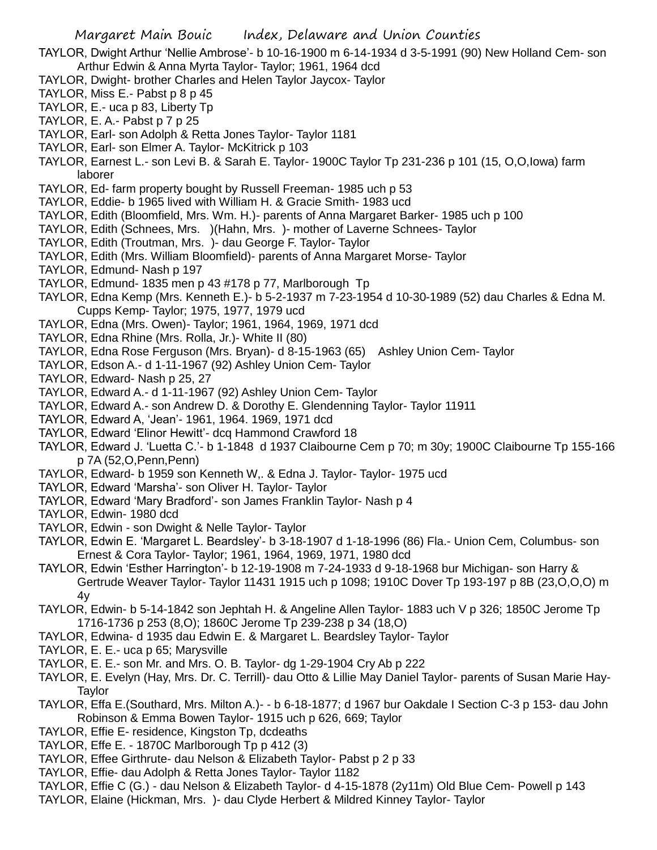TAYLOR, Dwight Arthur 'Nellie Ambrose'- b 10-16-1900 m 6-14-1934 d 3-5-1991 (90) New Holland Cem- son Arthur Edwin & Anna Myrta Taylor- Taylor; 1961, 1964 dcd

- TAYLOR, Dwight- brother Charles and Helen Taylor Jaycox- Taylor
- TAYLOR, Miss E.- Pabst p 8 p 45
- TAYLOR, E.- uca p 83, Liberty Tp
- TAYLOR, E. A.- Pabst p 7 p 25
- TAYLOR, Earl- son Adolph & Retta Jones Taylor- Taylor 1181
- TAYLOR, Earl- son Elmer A. Taylor- McKitrick p 103
- TAYLOR, Earnest L.- son Levi B. & Sarah E. Taylor- 1900C Taylor Tp 231-236 p 101 (15, O,O,Iowa) farm laborer
- TAYLOR, Ed- farm property bought by Russell Freeman- 1985 uch p 53
- TAYLOR, Eddie- b 1965 lived with William H. & Gracie Smith- 1983 ucd
- TAYLOR, Edith (Bloomfield, Mrs. Wm. H.)- parents of Anna Margaret Barker- 1985 uch p 100
- TAYLOR, Edith (Schnees, Mrs. )(Hahn, Mrs. )- mother of Laverne Schnees- Taylor
- TAYLOR, Edith (Troutman, Mrs. )- dau George F. Taylor- Taylor
- TAYLOR, Edith (Mrs. William Bloomfield)- parents of Anna Margaret Morse- Taylor
- TAYLOR, Edmund- Nash p 197
- TAYLOR, Edmund- 1835 men p 43 #178 p 77, Marlborough Tp
- TAYLOR, Edna Kemp (Mrs. Kenneth E.)- b 5-2-1937 m 7-23-1954 d 10-30-1989 (52) dau Charles & Edna M. Cupps Kemp- Taylor; 1975, 1977, 1979 ucd
- TAYLOR, Edna (Mrs. Owen)- Taylor; 1961, 1964, 1969, 1971 dcd
- TAYLOR, Edna Rhine (Mrs. Rolla, Jr.)- White II (80)
- TAYLOR, Edna Rose Ferguson (Mrs. Bryan)- d 8-15-1963 (65) Ashley Union Cem- Taylor
- TAYLOR, Edson A.- d 1-11-1967 (92) Ashley Union Cem- Taylor
- TAYLOR, Edward- Nash p 25, 27
- TAYLOR, Edward A.- d 1-11-1967 (92) Ashley Union Cem- Taylor
- TAYLOR, Edward A.- son Andrew D. & Dorothy E. Glendenning Taylor- Taylor 11911
- TAYLOR, Edward A, 'Jean'- 1961, 1964. 1969, 1971 dcd
- TAYLOR, Edward 'Elinor Hewitt'- dcq Hammond Crawford 18
- TAYLOR, Edward J. 'Luetta C.'- b 1-1848 d 1937 Claibourne Cem p 70; m 30y; 1900C Claibourne Tp 155-166 p 7A (52,O,Penn,Penn)
- TAYLOR, Edward- b 1959 son Kenneth W,. & Edna J. Taylor- Taylor- 1975 ucd
- TAYLOR, Edward 'Marsha'- son Oliver H. Taylor- Taylor
- TAYLOR, Edward 'Mary Bradford'- son James Franklin Taylor- Nash p 4
- TAYLOR, Edwin- 1980 dcd
- TAYLOR, Edwin son Dwight & Nelle Taylor- Taylor
- TAYLOR, Edwin E. 'Margaret L. Beardsley'- b 3-18-1907 d 1-18-1996 (86) Fla.- Union Cem, Columbus- son Ernest & Cora Taylor- Taylor; 1961, 1964, 1969, 1971, 1980 dcd
- TAYLOR, Edwin 'Esther Harrington'- b 12-19-1908 m 7-24-1933 d 9-18-1968 bur Michigan- son Harry & Gertrude Weaver Taylor- Taylor 11431 1915 uch p 1098; 1910C Dover Tp 193-197 p 8B (23,O,O,O) m 4y
- TAYLOR, Edwin- b 5-14-1842 son Jephtah H. & Angeline Allen Taylor- 1883 uch V p 326; 1850C Jerome Tp 1716-1736 p 253 (8,O); 1860C Jerome Tp 239-238 p 34 (18,O)
- TAYLOR, Edwina- d 1935 dau Edwin E. & Margaret L. Beardsley Taylor- Taylor
- TAYLOR, E. E.- uca p 65; Marysville
- TAYLOR, E. E.- son Mr. and Mrs. O. B. Taylor- dg 1-29-1904 Cry Ab p 222
- TAYLOR, E. Evelyn (Hay, Mrs. Dr. C. Terrill)- dau Otto & Lillie May Daniel Taylor- parents of Susan Marie Hay-Taylor
- TAYLOR, Effa E.(Southard, Mrs. Milton A.)- b 6-18-1877; d 1967 bur Oakdale I Section C-3 p 153- dau John Robinson & Emma Bowen Taylor- 1915 uch p 626, 669; Taylor
- TAYLOR, Effie E- residence, Kingston Tp, dcdeaths
- TAYLOR, Effe E. 1870C Marlborough Tp p 412 (3)
- TAYLOR, Effee Girthrute- dau Nelson & Elizabeth Taylor- Pabst p 2 p 33
- TAYLOR, Effie- dau Adolph & Retta Jones Taylor- Taylor 1182
- TAYLOR, Effie C (G.) dau Nelson & Elizabeth Taylor- d 4-15-1878 (2y11m) Old Blue Cem- Powell p 143
- TAYLOR, Elaine (Hickman, Mrs. )- dau Clyde Herbert & Mildred Kinney Taylor- Taylor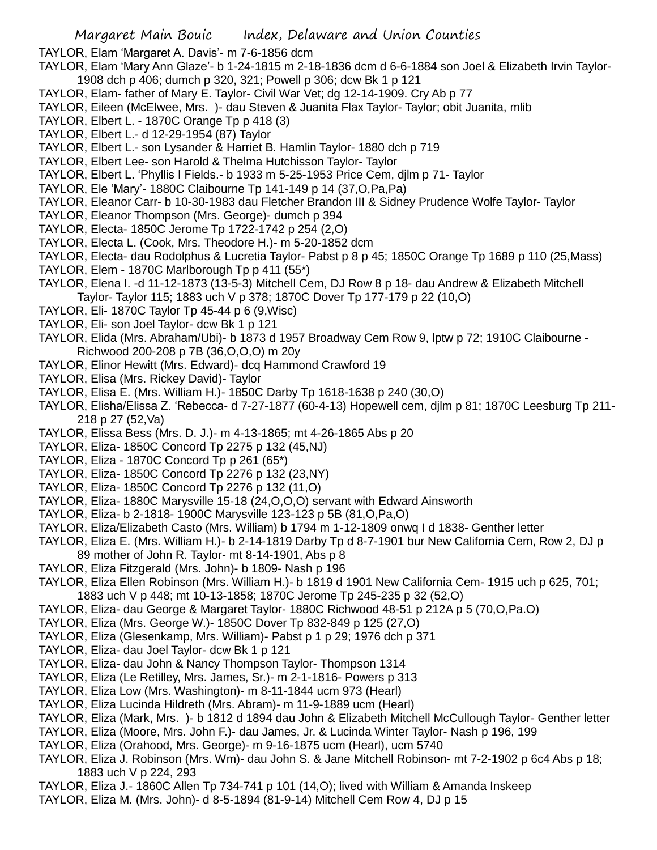TAYLOR, Elam 'Margaret A. Davis'- m 7-6-1856 dcm

- TAYLOR, Elam 'Mary Ann Glaze'- b 1-24-1815 m 2-18-1836 dcm d 6-6-1884 son Joel & Elizabeth Irvin Taylor-1908 dch p 406; dumch p 320, 321; Powell p 306; dcw Bk 1 p 121
- TAYLOR, Elam- father of Mary E. Taylor- Civil War Vet; dg 12-14-1909. Cry Ab p 77
- TAYLOR, Eileen (McElwee, Mrs. )- dau Steven & Juanita Flax Taylor- Taylor; obit Juanita, mlib
- TAYLOR, Elbert L. 1870C Orange Tp p 418 (3)
- TAYLOR, Elbert L.- d 12-29-1954 (87) Taylor
- TAYLOR, Elbert L.- son Lysander & Harriet B. Hamlin Taylor- 1880 dch p 719
- TAYLOR, Elbert Lee- son Harold & Thelma Hutchisson Taylor- Taylor
- TAYLOR, Elbert L. 'Phyllis I Fields.- b 1933 m 5-25-1953 Price Cem, djlm p 71- Taylor
- TAYLOR, Ele 'Mary'- 1880C Claibourne Tp 141-149 p 14 (37,O,Pa,Pa)
- TAYLOR, Eleanor Carr- b 10-30-1983 dau Fletcher Brandon III & Sidney Prudence Wolfe Taylor- Taylor
- TAYLOR, Eleanor Thompson (Mrs. George)- dumch p 394
- TAYLOR, Electa- 1850C Jerome Tp 1722-1742 p 254 (2,O)
- TAYLOR, Electa L. (Cook, Mrs. Theodore H.)- m 5-20-1852 dcm
- TAYLOR, Electa- dau Rodolphus & Lucretia Taylor- Pabst p 8 p 45; 1850C Orange Tp 1689 p 110 (25,Mass)
- TAYLOR, Elem 1870C Marlborough Tp p 411 (55\*)
- TAYLOR, Elena I. -d 11-12-1873 (13-5-3) Mitchell Cem, DJ Row 8 p 18- dau Andrew & Elizabeth Mitchell Taylor- Taylor 115; 1883 uch V p 378; 1870C Dover Tp 177-179 p 22 (10,O)
- TAYLOR, Eli- 1870C Taylor Tp 45-44 p 6 (9,Wisc)
- TAYLOR, Eli- son Joel Taylor- dcw Bk 1 p 121
- TAYLOR, Elida (Mrs. Abraham/Ubi)- b 1873 d 1957 Broadway Cem Row 9, lptw p 72; 1910C Claibourne Richwood 200-208 p 7B (36,O,O,O) m 20y
- TAYLOR, Elinor Hewitt (Mrs. Edward)- dcq Hammond Crawford 19
- TAYLOR, Elisa (Mrs. Rickey David)- Taylor
- TAYLOR, Elisa E. (Mrs. William H.)- 1850C Darby Tp 1618-1638 p 240 (30,O)
- TAYLOR, Elisha/Elissa Z. 'Rebecca- d 7-27-1877 (60-4-13) Hopewell cem, djlm p 81; 1870C Leesburg Tp 211- 218 p 27 (52,Va)
- TAYLOR, Elissa Bess (Mrs. D. J.)- m 4-13-1865; mt 4-26-1865 Abs p 20
- TAYLOR, Eliza- 1850C Concord Tp 2275 p 132 (45,NJ)
- TAYLOR, Eliza 1870C Concord Tp p 261 (65\*)
- TAYLOR, Eliza- 1850C Concord Tp 2276 p 132 (23,NY)
- TAYLOR, Eliza- 1850C Concord Tp 2276 p 132 (11,O)
- TAYLOR, Eliza- 1880C Marysville 15-18 (24,O,O,O) servant with Edward Ainsworth
- TAYLOR, Eliza- b 2-1818- 1900C Marysville 123-123 p 5B (81,O,Pa,O)
- TAYLOR, Eliza/Elizabeth Casto (Mrs. William) b 1794 m 1-12-1809 onwq I d 1838- Genther letter
- TAYLOR, Eliza E. (Mrs. William H.)- b 2-14-1819 Darby Tp d 8-7-1901 bur New California Cem, Row 2, DJ p 89 mother of John R. Taylor- mt 8-14-1901, Abs p 8
- TAYLOR, Eliza Fitzgerald (Mrs. John)- b 1809- Nash p 196
- TAYLOR, Eliza Ellen Robinson (Mrs. William H.)- b 1819 d 1901 New California Cem- 1915 uch p 625, 701;
- 1883 uch V p 448; mt 10-13-1858; 1870C Jerome Tp 245-235 p 32 (52,O)
- TAYLOR, Eliza- dau George & Margaret Taylor- 1880C Richwood 48-51 p 212A p 5 (70,O,Pa.O)
- TAYLOR, Eliza (Mrs. George W.)- 1850C Dover Tp 832-849 p 125 (27,O)
- TAYLOR, Eliza (Glesenkamp, Mrs. William)- Pabst p 1 p 29; 1976 dch p 371
- TAYLOR, Eliza- dau Joel Taylor- dcw Bk 1 p 121
- TAYLOR, Eliza- dau John & Nancy Thompson Taylor- Thompson 1314
- TAYLOR, Eliza (Le Retilley, Mrs. James, Sr.)- m 2-1-1816- Powers p 313
- TAYLOR, Eliza Low (Mrs. Washington)- m 8-11-1844 ucm 973 (Hearl)
- TAYLOR, Eliza Lucinda Hildreth (Mrs. Abram)- m 11-9-1889 ucm (Hearl)
- TAYLOR, Eliza (Mark, Mrs. )- b 1812 d 1894 dau John & Elizabeth Mitchell McCullough Taylor- Genther letter
- TAYLOR, Eliza (Moore, Mrs. John F.)- dau James, Jr. & Lucinda Winter Taylor- Nash p 196, 199
- TAYLOR, Eliza (Orahood, Mrs. George)- m 9-16-1875 ucm (Hearl), ucm 5740
- TAYLOR, Eliza J. Robinson (Mrs. Wm)- dau John S. & Jane Mitchell Robinson- mt 7-2-1902 p 6c4 Abs p 18; 1883 uch V p 224, 293
- TAYLOR, Eliza J.- 1860C Allen Tp 734-741 p 101 (14,O); lived with William & Amanda Inskeep
- TAYLOR, Eliza M. (Mrs. John)- d 8-5-1894 (81-9-14) Mitchell Cem Row 4, DJ p 15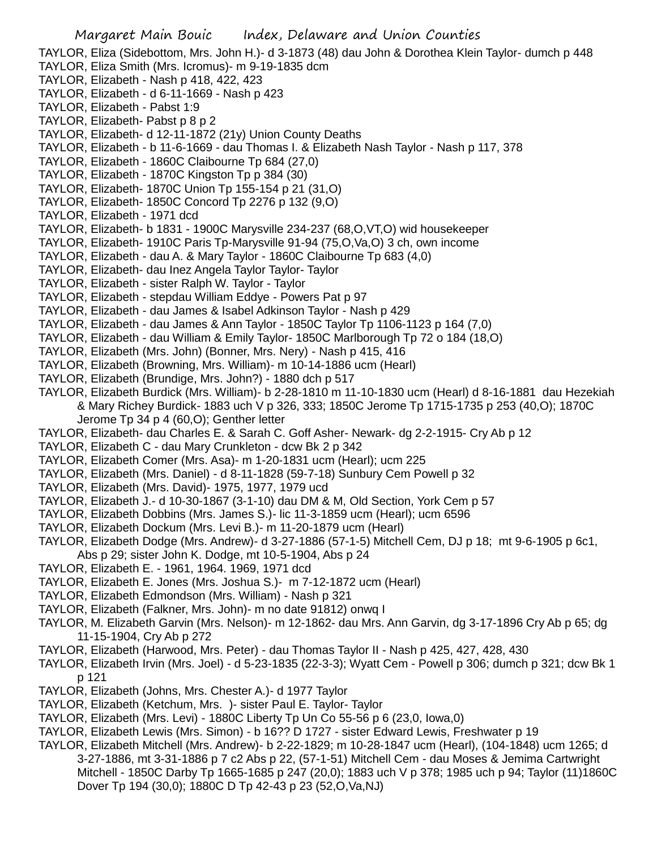TAYLOR, Eliza (Sidebottom, Mrs. John H.)- d 3-1873 (48) dau John & Dorothea Klein Taylor- dumch p 448 TAYLOR, Eliza Smith (Mrs. Icromus)- m 9-19-1835 dcm

- TAYLOR, Elizabeth Nash p 418, 422, 423
- TAYLOR, Elizabeth d 6-11-1669 Nash p 423
- TAYLOR, Elizabeth Pabst 1:9
- TAYLOR, Elizabeth- Pabst p 8 p 2
- TAYLOR, Elizabeth- d 12-11-1872 (21y) Union County Deaths
- TAYLOR, Elizabeth b 11-6-1669 dau Thomas I. & Elizabeth Nash Taylor Nash p 117, 378
- TAYLOR, Elizabeth 1860C Claibourne Tp 684 (27,0)
- TAYLOR, Elizabeth 1870C Kingston Tp p 384 (30)
- TAYLOR, Elizabeth- 1870C Union Tp 155-154 p 21 (31,O)
- TAYLOR, Elizabeth- 1850C Concord Tp 2276 p 132 (9,O)
- TAYLOR, Elizabeth 1971 dcd
- TAYLOR, Elizabeth- b 1831 1900C Marysville 234-237 (68,O,VT,O) wid housekeeper
- TAYLOR, Elizabeth- 1910C Paris Tp-Marysville 91-94 (75,O,Va,O) 3 ch, own income
- TAYLOR, Elizabeth dau A. & Mary Taylor 1860C Claibourne Tp 683 (4,0)
- TAYLOR, Elizabeth- dau Inez Angela Taylor Taylor- Taylor
- TAYLOR, Elizabeth sister Ralph W. Taylor Taylor
- TAYLOR, Elizabeth stepdau William Eddye Powers Pat p 97
- TAYLOR, Elizabeth dau James & Isabel Adkinson Taylor Nash p 429
- TAYLOR, Elizabeth dau James & Ann Taylor 1850C Taylor Tp 1106-1123 p 164 (7,0)
- TAYLOR, Elizabeth dau William & Emily Taylor- 1850C Marlborough Tp 72 o 184 (18,O)
- TAYLOR, Elizabeth (Mrs. John) (Bonner, Mrs. Nery) Nash p 415, 416
- TAYLOR, Elizabeth (Browning, Mrs. William)- m 10-14-1886 ucm (Hearl)
- TAYLOR, Elizabeth (Brundige, Mrs. John?) 1880 dch p 517
- TAYLOR, Elizabeth Burdick (Mrs. William)- b 2-28-1810 m 11-10-1830 ucm (Hearl) d 8-16-1881 dau Hezekiah & Mary Richey Burdick- 1883 uch V p 326, 333; 1850C Jerome Tp 1715-1735 p 253 (40,O); 1870C Jerome Tp 34 p 4 (60,O); Genther letter
- TAYLOR, Elizabeth- dau Charles E. & Sarah C. Goff Asher- Newark- dg 2-2-1915- Cry Ab p 12
- TAYLOR, Elizabeth C dau Mary Crunkleton dcw Bk 2 p 342
- TAYLOR, Elizabeth Comer (Mrs. Asa)- m 1-20-1831 ucm (Hearl); ucm 225
- TAYLOR, Elizabeth (Mrs. Daniel) d 8-11-1828 (59-7-18) Sunbury Cem Powell p 32
- TAYLOR, Elizabeth (Mrs. David)- 1975, 1977, 1979 ucd
- TAYLOR, Elizabeth J.- d 10-30-1867 (3-1-10) dau DM & M, Old Section, York Cem p 57
- TAYLOR, Elizabeth Dobbins (Mrs. James S.)- lic 11-3-1859 ucm (Hearl); ucm 6596
- TAYLOR, Elizabeth Dockum (Mrs. Levi B.)- m 11-20-1879 ucm (Hearl)
- TAYLOR, Elizabeth Dodge (Mrs. Andrew)- d 3-27-1886 (57-1-5) Mitchell Cem, DJ p 18; mt 9-6-1905 p 6c1, Abs p 29; sister John K. Dodge, mt 10-5-1904, Abs p 24
- TAYLOR, Elizabeth E. 1961, 1964. 1969, 1971 dcd
- TAYLOR, Elizabeth E. Jones (Mrs. Joshua S.)- m 7-12-1872 ucm (Hearl)
- TAYLOR, Elizabeth Edmondson (Mrs. William) Nash p 321
- TAYLOR, Elizabeth (Falkner, Mrs. John)- m no date 91812) onwq I
- TAYLOR, M. Elizabeth Garvin (Mrs. Nelson)- m 12-1862- dau Mrs. Ann Garvin, dg 3-17-1896 Cry Ab p 65; dg 11-15-1904, Cry Ab p 272
- TAYLOR, Elizabeth (Harwood, Mrs. Peter) dau Thomas Taylor II Nash p 425, 427, 428, 430
- TAYLOR, Elizabeth Irvin (Mrs. Joel) d 5-23-1835 (22-3-3); Wyatt Cem Powell p 306; dumch p 321; dcw Bk 1 p 121
- TAYLOR, Elizabeth (Johns, Mrs. Chester A.)- d 1977 Taylor
- TAYLOR, Elizabeth (Ketchum, Mrs. )- sister Paul E. Taylor- Taylor
- TAYLOR, Elizabeth (Mrs. Levi) 1880C Liberty Tp Un Co 55-56 p 6 (23,0, Iowa,0)
- TAYLOR, Elizabeth Lewis (Mrs. Simon) b 16?? D 1727 sister Edward Lewis, Freshwater p 19
- TAYLOR, Elizabeth Mitchell (Mrs. Andrew)- b 2-22-1829; m 10-28-1847 ucm (Hearl), (104-1848) ucm 1265; d 3-27-1886, mt 3-31-1886 p 7 c2 Abs p 22, (57-1-51) Mitchell Cem - dau Moses & Jemima Cartwright Mitchell - 1850C Darby Tp 1665-1685 p 247 (20,0); 1883 uch V p 378; 1985 uch p 94; Taylor (11)1860C Dover Tp 194 (30,0); 1880C D Tp 42-43 p 23 (52,O,Va,NJ)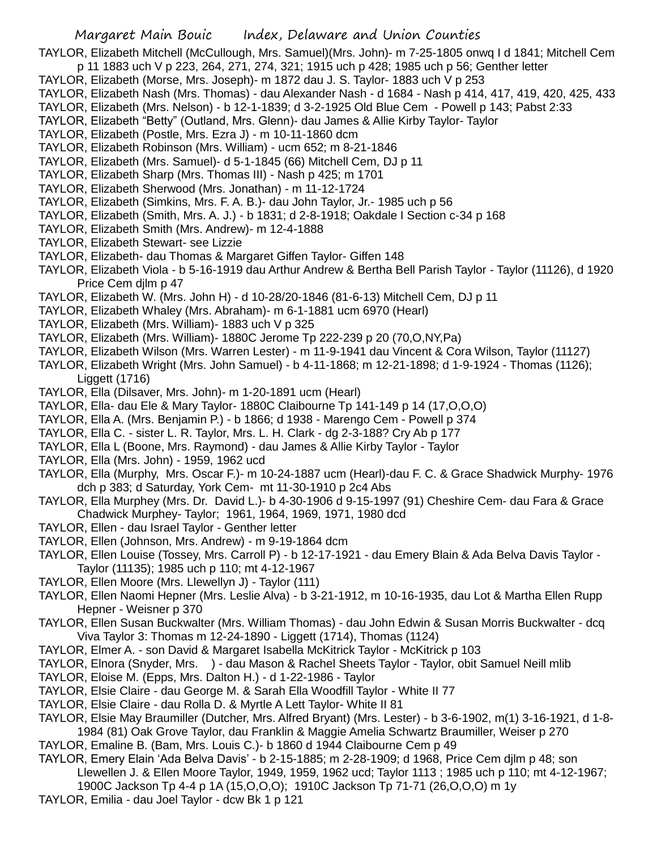TAYLOR, Elizabeth Mitchell (McCullough, Mrs. Samuel)(Mrs. John)- m 7-25-1805 onwq I d 1841; Mitchell Cem p 11 1883 uch V p 223, 264, 271, 274, 321; 1915 uch p 428; 1985 uch p 56; Genther letter

- TAYLOR, Elizabeth (Morse, Mrs. Joseph)- m 1872 dau J. S. Taylor- 1883 uch V p 253
- TAYLOR, Elizabeth Nash (Mrs. Thomas) dau Alexander Nash d 1684 Nash p 414, 417, 419, 420, 425, 433
- TAYLOR, Elizabeth (Mrs. Nelson) b 12-1-1839; d 3-2-1925 Old Blue Cem Powell p 143; Pabst 2:33
- TAYLOR, Elizabeth "Betty" (Outland, Mrs. Glenn)- dau James & Allie Kirby Taylor- Taylor
- TAYLOR, Elizabeth (Postle, Mrs. Ezra J) m 10-11-1860 dcm
- TAYLOR, Elizabeth Robinson (Mrs. William) ucm 652; m 8-21-1846
- TAYLOR, Elizabeth (Mrs. Samuel)- d 5-1-1845 (66) Mitchell Cem, DJ p 11
- TAYLOR, Elizabeth Sharp (Mrs. Thomas III) Nash p 425; m 1701
- TAYLOR, Elizabeth Sherwood (Mrs. Jonathan) m 11-12-1724
- TAYLOR, Elizabeth (Simkins, Mrs. F. A. B.)- dau John Taylor, Jr.- 1985 uch p 56
- TAYLOR, Elizabeth (Smith, Mrs. A. J.) b 1831; d 2-8-1918; Oakdale I Section c-34 p 168
- TAYLOR, Elizabeth Smith (Mrs. Andrew)- m 12-4-1888
- TAYLOR, Elizabeth Stewart- see Lizzie
- TAYLOR, Elizabeth- dau Thomas & Margaret Giffen Taylor- Giffen 148
- TAYLOR, Elizabeth Viola b 5-16-1919 dau Arthur Andrew & Bertha Bell Parish Taylor Taylor (11126), d 1920 Price Cem djlm p 47
- TAYLOR, Elizabeth W. (Mrs. John H) d 10-28/20-1846 (81-6-13) Mitchell Cem, DJ p 11
- TAYLOR, Elizabeth Whaley (Mrs. Abraham)- m 6-1-1881 ucm 6970 (Hearl)
- TAYLOR, Elizabeth (Mrs. William)- 1883 uch V p 325
- TAYLOR, Elizabeth (Mrs. William)- 1880C Jerome Tp 222-239 p 20 (70,O,NY,Pa)
- TAYLOR, Elizabeth Wilson (Mrs. Warren Lester) m 11-9-1941 dau Vincent & Cora Wilson, Taylor (11127)
- TAYLOR, Elizabeth Wright (Mrs. John Samuel) b 4-11-1868; m 12-21-1898; d 1-9-1924 Thomas (1126); Liggett (1716)
- TAYLOR, Ella (Dilsaver, Mrs. John)- m 1-20-1891 ucm (Hearl)
- TAYLOR, Ella- dau Ele & Mary Taylor- 1880C Claibourne Tp 141-149 p 14 (17,O,O,O)
- TAYLOR, Ella A. (Mrs. Benjamin P.) b 1866; d 1938 Marengo Cem Powell p 374
- TAYLOR, Ella C. sister L. R. Taylor, Mrs. L. H. Clark dg 2-3-188? Cry Ab p 177
- TAYLOR, Ella L (Boone, Mrs. Raymond) dau James & Allie Kirby Taylor Taylor
- TAYLOR, Ella (Mrs. John) 1959, 1962 ucd
- TAYLOR, Ella (Murphy, Mrs. Oscar F.)- m 10-24-1887 ucm (Hearl)-dau F. C. & Grace Shadwick Murphy- 1976 dch p 383; d Saturday, York Cem- mt 11-30-1910 p 2c4 Abs
- TAYLOR, Ella Murphey (Mrs. Dr. David L.)- b 4-30-1906 d 9-15-1997 (91) Cheshire Cem- dau Fara & Grace Chadwick Murphey- Taylor; 1961, 1964, 1969, 1971, 1980 dcd
- TAYLOR, Ellen dau Israel Taylor Genther letter
- TAYLOR, Ellen (Johnson, Mrs. Andrew) m 9-19-1864 dcm
- TAYLOR, Ellen Louise (Tossey, Mrs. Carroll P) b 12-17-1921 dau Emery Blain & Ada Belva Davis Taylor Taylor (11135); 1985 uch p 110; mt 4-12-1967
- TAYLOR, Ellen Moore (Mrs. Llewellyn J) Taylor (111)
- TAYLOR, Ellen Naomi Hepner (Mrs. Leslie Alva) b 3-21-1912, m 10-16-1935, dau Lot & Martha Ellen Rupp Hepner - Weisner p 370
- TAYLOR, Ellen Susan Buckwalter (Mrs. William Thomas) dau John Edwin & Susan Morris Buckwalter dcq Viva Taylor 3: Thomas m 12-24-1890 - Liggett (1714), Thomas (1124)
- TAYLOR, Elmer A. son David & Margaret Isabella McKitrick Taylor McKitrick p 103
- TAYLOR, Elnora (Snyder, Mrs. ) dau Mason & Rachel Sheets Taylor Taylor, obit Samuel Neill mlib
- TAYLOR, Eloise M. (Epps, Mrs. Dalton H.) d 1-22-1986 Taylor
- TAYLOR, Elsie Claire dau George M. & Sarah Ella Woodfill Taylor White II 77
- TAYLOR, Elsie Claire dau Rolla D. & Myrtle A Lett Taylor- White II 81
- TAYLOR, Elsie May Braumiller (Dutcher, Mrs. Alfred Bryant) (Mrs. Lester) b 3-6-1902, m(1) 3-16-1921, d 1-8- 1984 (81) Oak Grove Taylor, dau Franklin & Maggie Amelia Schwartz Braumiller, Weiser p 270
- TAYLOR, Emaline B. (Bam, Mrs. Louis C.)- b 1860 d 1944 Claibourne Cem p 49
- TAYLOR, Emery Elain 'Ada Belva Davis' b 2-15-1885; m 2-28-1909; d 1968, Price Cem djlm p 48; son Llewellen J. & Ellen Moore Taylor, 1949, 1959, 1962 ucd; Taylor 1113 ; 1985 uch p 110; mt 4-12-1967;
	- 1900C Jackson Tp 4-4 p 1A (15,O,O,O); 1910C Jackson Tp 71-71 (26,O,O,O) m 1y
- TAYLOR, Emilia dau Joel Taylor dcw Bk 1 p 121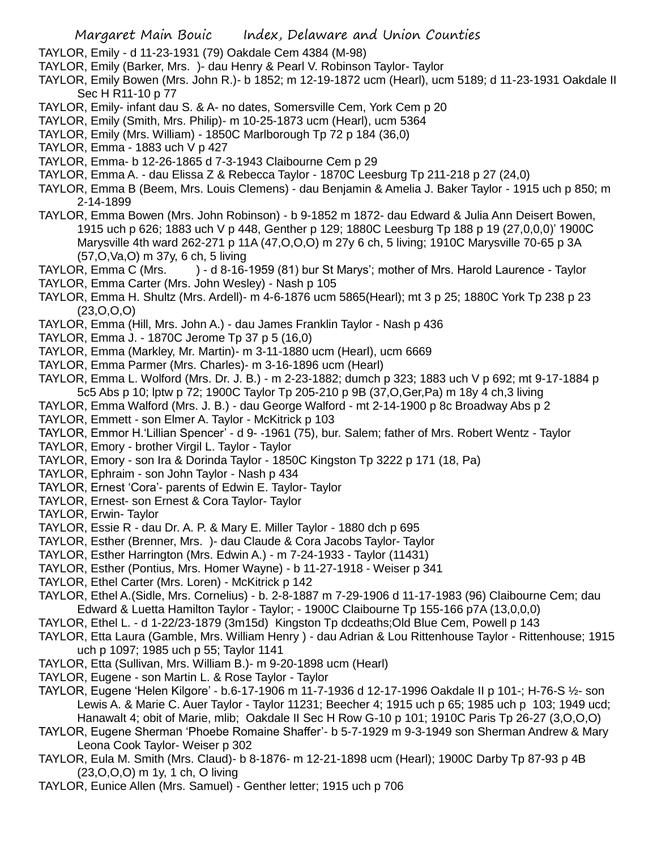TAYLOR, Emily - d 11-23-1931 (79) Oakdale Cem 4384 (M-98)

- TAYLOR, Emily (Barker, Mrs. )- dau Henry & Pearl V. Robinson Taylor- Taylor
- TAYLOR, Emily Bowen (Mrs. John R.)- b 1852; m 12-19-1872 ucm (Hearl), ucm 5189; d 11-23-1931 Oakdale II Sec H R11-10 p 77
- TAYLOR, Emily- infant dau S. & A- no dates, Somersville Cem, York Cem p 20
- TAYLOR, Emily (Smith, Mrs. Philip)- m 10-25-1873 ucm (Hearl), ucm 5364
- TAYLOR, Emily (Mrs. William) 1850C Marlborough Tp 72 p 184 (36,0)
- TAYLOR, Emma 1883 uch V p 427
- TAYLOR, Emma- b 12-26-1865 d 7-3-1943 Claibourne Cem p 29
- TAYLOR, Emma A. dau Elissa Z & Rebecca Taylor 1870C Leesburg Tp 211-218 p 27 (24,0)
- TAYLOR, Emma B (Beem, Mrs. Louis Clemens) dau Benjamin & Amelia J. Baker Taylor 1915 uch p 850; m 2-14-1899
- TAYLOR, Emma Bowen (Mrs. John Robinson) b 9-1852 m 1872- dau Edward & Julia Ann Deisert Bowen, 1915 uch p 626; 1883 uch V p 448, Genther p 129; 1880C Leesburg Tp 188 p 19 (27,0,0,0)' 1900C Marysville 4th ward 262-271 p 11A (47,O,O,O) m 27y 6 ch, 5 living; 1910C Marysville 70-65 p 3A (57,O,Va,O) m 37y, 6 ch, 5 living
- TAYLOR, Emma C (Mrs. ) d 8-16-1959 (81) bur St Marys'; mother of Mrs. Harold Laurence Taylor
- TAYLOR, Emma Carter (Mrs. John Wesley) Nash p 105
- TAYLOR, Emma H. Shultz (Mrs. Ardell)- m 4-6-1876 ucm 5865(Hearl); mt 3 p 25; 1880C York Tp 238 p 23 (23,O,O,O)
- TAYLOR, Emma (Hill, Mrs. John A.) dau James Franklin Taylor Nash p 436
- TAYLOR, Emma J. 1870C Jerome Tp 37 p 5 (16,0)
- TAYLOR, Emma (Markley, Mr. Martin)- m 3-11-1880 ucm (Hearl), ucm 6669
- TAYLOR, Emma Parmer (Mrs. Charles)- m 3-16-1896 ucm (Hearl)
- TAYLOR, Emma L. Wolford (Mrs. Dr. J. B.) m 2-23-1882; dumch p 323; 1883 uch V p 692; mt 9-17-1884 p 5c5 Abs p 10; lptw p 72; 1900C Taylor Tp 205-210 p 9B (37,O,Ger,Pa) m 18y 4 ch,3 living
- TAYLOR, Emma Walford (Mrs. J. B.) dau George Walford mt 2-14-1900 p 8c Broadway Abs p 2
- TAYLOR, Emmett son Elmer A. Taylor McKitrick p 103
- TAYLOR, Emmor H.'Lillian Spencer' d 9- -1961 (75), bur. Salem; father of Mrs. Robert Wentz Taylor
- TAYLOR, Emory brother Virgil L. Taylor Taylor
- TAYLOR, Emory son Ira & Dorinda Taylor 1850C Kingston Tp 3222 p 171 (18, Pa)
- TAYLOR, Ephraim son John Taylor Nash p 434
- TAYLOR, Ernest 'Cora'- parents of Edwin E. Taylor- Taylor
- TAYLOR, Ernest- son Ernest & Cora Taylor- Taylor
- TAYLOR, Erwin- Taylor
- TAYLOR, Essie R dau Dr. A. P. & Mary E. Miller Taylor 1880 dch p 695
- TAYLOR, Esther (Brenner, Mrs. )- dau Claude & Cora Jacobs Taylor- Taylor
- TAYLOR, Esther Harrington (Mrs. Edwin A.) m 7-24-1933 Taylor (11431)
- TAYLOR, Esther (Pontius, Mrs. Homer Wayne) b 11-27-1918 Weiser p 341
- TAYLOR, Ethel Carter (Mrs. Loren) McKitrick p 142
- TAYLOR, Ethel A.(Sidle, Mrs. Cornelius) b. 2-8-1887 m 7-29-1906 d 11-17-1983 (96) Claibourne Cem; dau Edward & Luetta Hamilton Taylor - Taylor; - 1900C Claibourne Tp 155-166 p7A (13,0,0,0)
- TAYLOR, Ethel L. d 1-22/23-1879 (3m15d) Kingston Tp dcdeaths;Old Blue Cem, Powell p 143
- TAYLOR, Etta Laura (Gamble, Mrs. William Henry ) dau Adrian & Lou Rittenhouse Taylor Rittenhouse; 1915 uch p 1097; 1985 uch p 55; Taylor 1141
- TAYLOR, Etta (Sullivan, Mrs. William B.)- m 9-20-1898 ucm (Hearl)
- TAYLOR, Eugene son Martin L. & Rose Taylor Taylor
- TAYLOR, Eugene 'Helen Kilgore' b.6-17-1906 m 11-7-1936 d 12-17-1996 Oakdale II p 101-; H-76-S ½- son Lewis A. & Marie C. Auer Taylor - Taylor 11231; Beecher 4; 1915 uch p 65; 1985 uch p 103; 1949 ucd; Hanawalt 4; obit of Marie, mlib; Oakdale II Sec H Row G-10 p 101; 1910C Paris Tp 26-27 (3,O,O,O)
- TAYLOR, Eugene Sherman 'Phoebe Romaine Shaffer'- b 5-7-1929 m 9-3-1949 son Sherman Andrew & Mary Leona Cook Taylor- Weiser p 302
- TAYLOR, Eula M. Smith (Mrs. Claud)- b 8-1876- m 12-21-1898 ucm (Hearl); 1900C Darby Tp 87-93 p 4B (23,O,O,O) m 1y, 1 ch, O living
- TAYLOR, Eunice Allen (Mrs. Samuel) Genther letter; 1915 uch p 706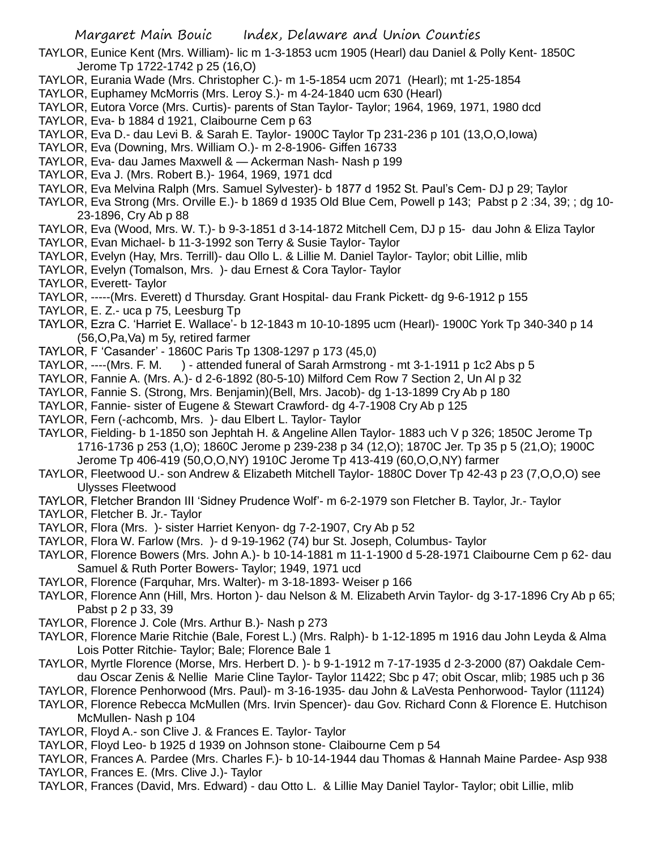TAYLOR, Eunice Kent (Mrs. William)- lic m 1-3-1853 ucm 1905 (Hearl) dau Daniel & Polly Kent- 1850C Jerome Tp 1722-1742 p 25 (16,O)

- TAYLOR, Eurania Wade (Mrs. Christopher C.)- m 1-5-1854 ucm 2071 (Hearl); mt 1-25-1854
- TAYLOR, Euphamey McMorris (Mrs. Leroy S.)- m 4-24-1840 ucm 630 (Hearl)
- TAYLOR, Eutora Vorce (Mrs. Curtis)- parents of Stan Taylor- Taylor; 1964, 1969, 1971, 1980 dcd
- TAYLOR, Eva- b 1884 d 1921, Claibourne Cem p 63
- TAYLOR, Eva D.- dau Levi B. & Sarah E. Taylor- 1900C Taylor Tp 231-236 p 101 (13,O,O,Iowa)
- TAYLOR, Eva (Downing, Mrs. William O.)- m 2-8-1906- Giffen 16733
- TAYLOR, Eva- dau James Maxwell & Ackerman Nash- Nash p 199
- TAYLOR, Eva J. (Mrs. Robert B.)- 1964, 1969, 1971 dcd
- TAYLOR, Eva Melvina Ralph (Mrs. Samuel Sylvester)- b 1877 d 1952 St. Paul's Cem- DJ p 29; Taylor
- TAYLOR, Eva Strong (Mrs. Orville E.)- b 1869 d 1935 Old Blue Cem, Powell p 143; Pabst p 2 :34, 39; ; dg 10- 23-1896, Cry Ab p 88
- TAYLOR, Eva (Wood, Mrs. W. T.)- b 9-3-1851 d 3-14-1872 Mitchell Cem, DJ p 15- dau John & Eliza Taylor
- TAYLOR, Evan Michael- b 11-3-1992 son Terry & Susie Taylor- Taylor
- TAYLOR, Evelyn (Hay, Mrs. Terrill)- dau Ollo L. & Lillie M. Daniel Taylor- Taylor; obit Lillie, mlib
- TAYLOR, Evelyn (Tomalson, Mrs. )- dau Ernest & Cora Taylor- Taylor
- TAYLOR, Everett- Taylor
- TAYLOR, -----(Mrs. Everett) d Thursday. Grant Hospital- dau Frank Pickett- dg 9-6-1912 p 155
- TAYLOR, E. Z.- uca p 75, Leesburg Tp
- TAYLOR, Ezra C. 'Harriet E. Wallace'- b 12-1843 m 10-10-1895 ucm (Hearl)- 1900C York Tp 340-340 p 14 (56,O,Pa,Va) m 5y, retired farmer
- TAYLOR, F 'Casander' 1860C Paris Tp 1308-1297 p 173 (45,0)
- TAYLOR, ----(Mrs. F. M. ) attended funeral of Sarah Armstrong mt 3-1-1911 p 1c2 Abs p 5
- TAYLOR, Fannie A. (Mrs. A.)- d 2-6-1892 (80-5-10) Milford Cem Row 7 Section 2, Un Al p 32
- TAYLOR, Fannie S. (Strong, Mrs. Benjamin)(Bell, Mrs. Jacob)- dg 1-13-1899 Cry Ab p 180
- TAYLOR, Fannie- sister of Eugene & Stewart Crawford- dg 4-7-1908 Cry Ab p 125
- TAYLOR, Fern (-achcomb, Mrs. )- dau Elbert L. Taylor- Taylor
- TAYLOR, Fielding- b 1-1850 son Jephtah H. & Angeline Allen Taylor- 1883 uch V p 326; 1850C Jerome Tp 1716-1736 p 253 (1,O); 1860C Jerome p 239-238 p 34 (12,O); 1870C Jer. Tp 35 p 5 (21,O); 1900C Jerome Tp 406-419 (50,O,O,NY) 1910C Jerome Tp 413-419 (60,O,O,NY) farmer
- TAYLOR, Fleetwood U.- son Andrew & Elizabeth Mitchell Taylor- 1880C Dover Tp 42-43 p 23 (7,O,O,O) see Ulysses Fleetwood
- TAYLOR, Fletcher Brandon III 'Sidney Prudence Wolf'- m 6-2-1979 son Fletcher B. Taylor, Jr.- Taylor
- TAYLOR, Fletcher B. Jr.- Taylor
- TAYLOR, Flora (Mrs. )- sister Harriet Kenyon- dg 7-2-1907, Cry Ab p 52
- TAYLOR, Flora W. Farlow (Mrs. )- d 9-19-1962 (74) bur St. Joseph, Columbus- Taylor
- TAYLOR, Florence Bowers (Mrs. John A.)- b 10-14-1881 m 11-1-1900 d 5-28-1971 Claibourne Cem p 62- dau Samuel & Ruth Porter Bowers- Taylor; 1949, 1971 ucd
- TAYLOR, Florence (Farquhar, Mrs. Walter)- m 3-18-1893- Weiser p 166
- TAYLOR, Florence Ann (Hill, Mrs. Horton )- dau Nelson & M. Elizabeth Arvin Taylor- dg 3-17-1896 Cry Ab p 65; Pabst p 2 p 33, 39
- TAYLOR, Florence J. Cole (Mrs. Arthur B.)- Nash p 273
- TAYLOR, Florence Marie Ritchie (Bale, Forest L.) (Mrs. Ralph)- b 1-12-1895 m 1916 dau John Leyda & Alma Lois Potter Ritchie- Taylor; Bale; Florence Bale 1
- TAYLOR, Myrtle Florence (Morse, Mrs. Herbert D. )- b 9-1-1912 m 7-17-1935 d 2-3-2000 (87) Oakdale Cemdau Oscar Zenis & Nellie Marie Cline Taylor- Taylor 11422; Sbc p 47; obit Oscar, mlib; 1985 uch p 36
- TAYLOR, Florence Penhorwood (Mrs. Paul)- m 3-16-1935- dau John & LaVesta Penhorwood- Taylor (11124)
- TAYLOR, Florence Rebecca McMullen (Mrs. Irvin Spencer)- dau Gov. Richard Conn & Florence E. Hutchison McMullen- Nash p 104
- TAYLOR, Floyd A.- son Clive J. & Frances E. Taylor- Taylor
- TAYLOR, Floyd Leo- b 1925 d 1939 on Johnson stone- Claibourne Cem p 54
- TAYLOR, Frances A. Pardee (Mrs. Charles F.)- b 10-14-1944 dau Thomas & Hannah Maine Pardee- Asp 938
- TAYLOR, Frances E. (Mrs. Clive J.)- Taylor
- TAYLOR, Frances (David, Mrs. Edward) dau Otto L. & Lillie May Daniel Taylor- Taylor; obit Lillie, mlib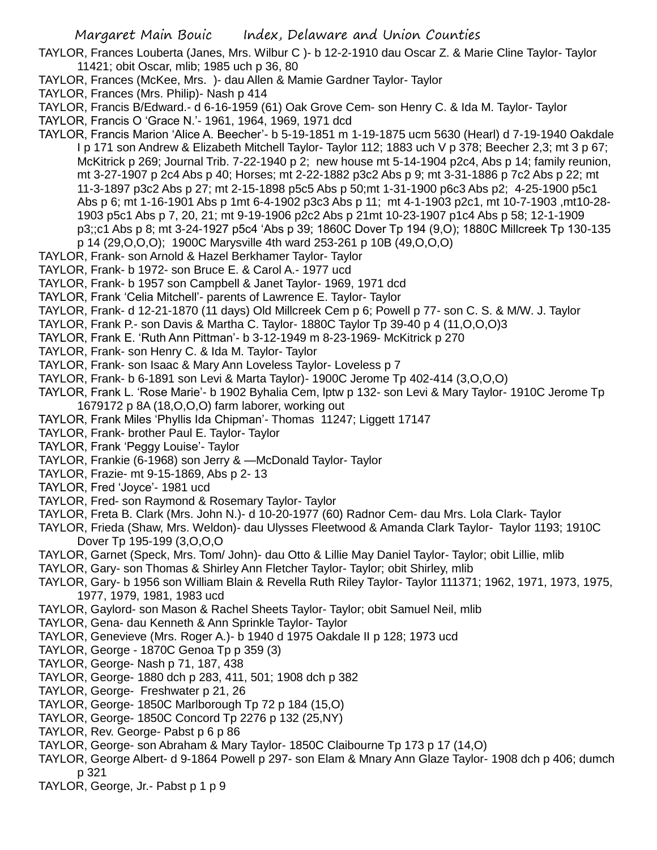TAYLOR, Frances Louberta (Janes, Mrs. Wilbur C )- b 12-2-1910 dau Oscar Z. & Marie Cline Taylor- Taylor 11421; obit Oscar, mlib; 1985 uch p 36, 80

- TAYLOR, Frances (McKee, Mrs. )- dau Allen & Mamie Gardner Taylor- Taylor
- TAYLOR, Frances (Mrs. Philip)- Nash p 414
- TAYLOR, Francis B/Edward.- d 6-16-1959 (61) Oak Grove Cem- son Henry C. & Ida M. Taylor- Taylor
- TAYLOR, Francis O 'Grace N.'- 1961, 1964, 1969, 1971 dcd
- TAYLOR, Francis Marion 'Alice A. Beecher'- b 5-19-1851 m 1-19-1875 ucm 5630 (Hearl) d 7-19-1940 Oakdale I p 171 son Andrew & Elizabeth Mitchell Taylor- Taylor 112; 1883 uch V p 378; Beecher 2,3; mt 3 p 67; McKitrick p 269; Journal Trib. 7-22-1940 p 2; new house mt 5-14-1904 p2c4, Abs p 14; family reunion, mt 3-27-1907 p 2c4 Abs p 40; Horses; mt 2-22-1882 p3c2 Abs p 9; mt 3-31-1886 p 7c2 Abs p 22; mt 11-3-1897 p3c2 Abs p 27; mt 2-15-1898 p5c5 Abs p 50;mt 1-31-1900 p6c3 Abs p2; 4-25-1900 p5c1 Abs p 6; mt 1-16-1901 Abs p 1mt 6-4-1902 p3c3 Abs p 11; mt 4-1-1903 p2c1, mt 10-7-1903 ,mt10-28- 1903 p5c1 Abs p 7, 20, 21; mt 9-19-1906 p2c2 Abs p 21mt 10-23-1907 p1c4 Abs p 58; 12-1-1909 p3;;c1 Abs p 8; mt 3-24-1927 p5c4 'Abs p 39; 1860C Dover Tp 194 (9,O); 1880C Millcreek Tp 130-135 p 14 (29,O,O,O); 1900C Marysville 4th ward 253-261 p 10B (49,O,O,O)
- TAYLOR, Frank- son Arnold & Hazel Berkhamer Taylor- Taylor
- TAYLOR, Frank- b 1972- son Bruce E. & Carol A.- 1977 ucd
- TAYLOR, Frank- b 1957 son Campbell & Janet Taylor- 1969, 1971 dcd
- TAYLOR, Frank 'Celia Mitchell'- parents of Lawrence E. Taylor- Taylor
- TAYLOR, Frank- d 12-21-1870 (11 days) Old Millcreek Cem p 6; Powell p 77- son C. S. & M/W. J. Taylor
- TAYLOR, Frank P.- son Davis & Martha C. Taylor- 1880C Taylor Tp 39-40 p 4 (11,O,O,O)3
- TAYLOR, Frank E. 'Ruth Ann Pittman'- b 3-12-1949 m 8-23-1969- McKitrick p 270
- TAYLOR, Frank- son Henry C. & Ida M. Taylor- Taylor
- TAYLOR, Frank- son Isaac & Mary Ann Loveless Taylor- Loveless p 7
- TAYLOR, Frank- b 6-1891 son Levi & Marta Taylor)- 1900C Jerome Tp 402-414 (3,O,O,O)
- TAYLOR, Frank L. 'Rose Marie'- b 1902 Byhalia Cem, lptw p 132- son Levi & Mary Taylor- 1910C Jerome Tp 1679172 p 8A (18,O,O,O) farm laborer, working out
- TAYLOR, Frank Miles 'Phyllis Ida Chipman'- Thomas 11247; Liggett 17147
- TAYLOR, Frank- brother Paul E. Taylor- Taylor
- TAYLOR, Frank 'Peggy Louise'- Taylor
- TAYLOR, Frankie (6-1968) son Jerry & —McDonald Taylor- Taylor
- TAYLOR, Frazie- mt 9-15-1869, Abs p 2- 13
- TAYLOR, Fred 'Joyce'- 1981 ucd
- TAYLOR, Fred- son Raymond & Rosemary Taylor- Taylor
- TAYLOR, Freta B. Clark (Mrs. John N.)- d 10-20-1977 (60) Radnor Cem- dau Mrs. Lola Clark- Taylor
- TAYLOR, Frieda (Shaw, Mrs. Weldon)- dau Ulysses Fleetwood & Amanda Clark Taylor- Taylor 1193; 1910C Dover Tp 195-199 (3,O,O,O
- TAYLOR, Garnet (Speck, Mrs. Tom/ John)- dau Otto & Lillie May Daniel Taylor- Taylor; obit Lillie, mlib
- TAYLOR, Gary- son Thomas & Shirley Ann Fletcher Taylor- Taylor; obit Shirley, mlib
- TAYLOR, Gary- b 1956 son William Blain & Revella Ruth Riley Taylor- Taylor 111371; 1962, 1971, 1973, 1975, 1977, 1979, 1981, 1983 ucd
- TAYLOR, Gaylord- son Mason & Rachel Sheets Taylor- Taylor; obit Samuel Neil, mlib
- TAYLOR, Gena- dau Kenneth & Ann Sprinkle Taylor- Taylor
- TAYLOR, Genevieve (Mrs. Roger A.)- b 1940 d 1975 Oakdale II p 128; 1973 ucd
- TAYLOR, George 1870C Genoa Tp p 359 (3)
- TAYLOR, George- Nash p 71, 187, 438
- TAYLOR, George- 1880 dch p 283, 411, 501; 1908 dch p 382
- TAYLOR, George- Freshwater p 21, 26
- TAYLOR, George- 1850C Marlborough Tp 72 p 184 (15,O)
- TAYLOR, George- 1850C Concord Tp 2276 p 132 (25,NY)
- TAYLOR, Rev. George- Pabst p 6 p 86
- TAYLOR, George- son Abraham & Mary Taylor- 1850C Claibourne Tp 173 p 17 (14,O)
- TAYLOR, George Albert- d 9-1864 Powell p 297- son Elam & Mnary Ann Glaze Taylor- 1908 dch p 406; dumch p 321
- TAYLOR, George, Jr.- Pabst p 1 p 9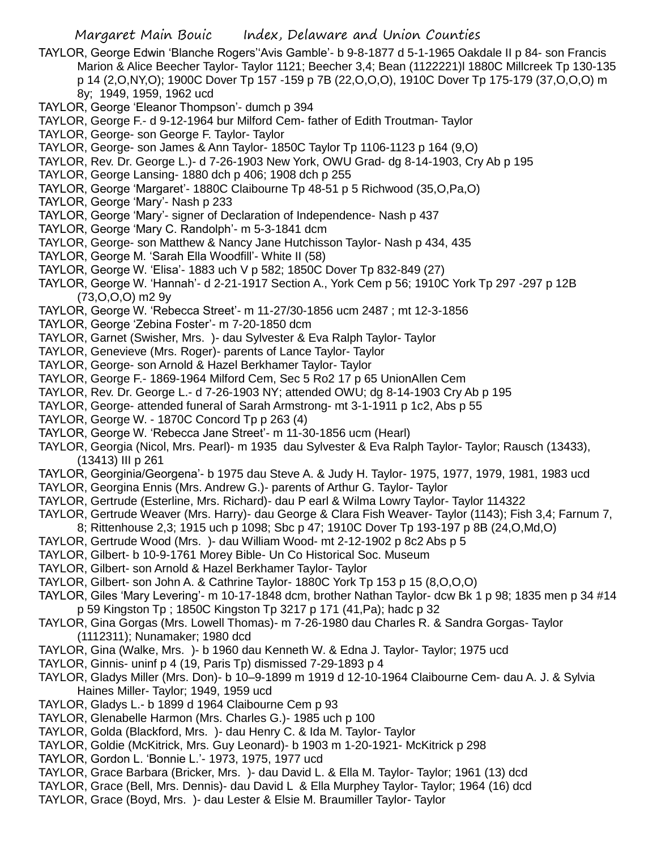- TAYLOR, George Edwin 'Blanche Rogers''Avis Gamble'- b 9-8-1877 d 5-1-1965 Oakdale II p 84- son Francis Marion & Alice Beecher Taylor- Taylor 1121; Beecher 3,4; Bean (1122221)l 1880C Millcreek Tp 130-135 p 14 (2,O,NY,O); 1900C Dover Tp 157 -159 p 7B (22,O,O,O), 1910C Dover Tp 175-179 (37,O,O,O) m 8y; 1949, 1959, 1962 ucd
- TAYLOR, George 'Eleanor Thompson'- dumch p 394
- TAYLOR, George F.- d 9-12-1964 bur Milford Cem- father of Edith Troutman- Taylor
- TAYLOR, George- son George F. Taylor- Taylor
- TAYLOR, George- son James & Ann Taylor- 1850C Taylor Tp 1106-1123 p 164 (9,O)
- TAYLOR, Rev. Dr. George L.)- d 7-26-1903 New York, OWU Grad- dg 8-14-1903, Cry Ab p 195
- TAYLOR, George Lansing- 1880 dch p 406; 1908 dch p 255
- TAYLOR, George 'Margaret'- 1880C Claibourne Tp 48-51 p 5 Richwood (35,O,Pa,O)
- TAYLOR, George 'Mary'- Nash p 233
- TAYLOR, George 'Mary'- signer of Declaration of Independence- Nash p 437
- TAYLOR, George 'Mary C. Randolph'- m 5-3-1841 dcm
- TAYLOR, George- son Matthew & Nancy Jane Hutchisson Taylor- Nash p 434, 435
- TAYLOR, George M. 'Sarah Ella Woodfill'- White II (58)
- TAYLOR, George W. 'Elisa'- 1883 uch V p 582; 1850C Dover Tp 832-849 (27)
- TAYLOR, George W. 'Hannah'- d 2-21-1917 Section A., York Cem p 56; 1910C York Tp 297 -297 p 12B (73,O,O,O) m2 9y
- TAYLOR, George W. 'Rebecca Street'- m 11-27/30-1856 ucm 2487 ; mt 12-3-1856
- TAYLOR, George 'Zebina Foster'- m 7-20-1850 dcm
- TAYLOR, Garnet (Swisher, Mrs. )- dau Sylvester & Eva Ralph Taylor- Taylor
- TAYLOR, Genevieve (Mrs. Roger)- parents of Lance Taylor- Taylor
- TAYLOR, George- son Arnold & Hazel Berkhamer Taylor- Taylor
- TAYLOR, George F.- 1869-1964 Milford Cem, Sec 5 Ro2 17 p 65 UnionAllen Cem
- TAYLOR, Rev. Dr. George L.- d 7-26-1903 NY; attended OWU; dg 8-14-1903 Cry Ab p 195
- TAYLOR, George- attended funeral of Sarah Armstrong- mt 3-1-1911 p 1c2, Abs p 55
- TAYLOR, George W. 1870C Concord Tp p 263 (4)
- TAYLOR, George W. 'Rebecca Jane Street'- m 11-30-1856 ucm (Hearl)
- TAYLOR, Georgia (Nicol, Mrs. Pearl)- m 1935 dau Sylvester & Eva Ralph Taylor- Taylor; Rausch (13433), (13413) III p 261
- TAYLOR, Georginia/Georgena'- b 1975 dau Steve A. & Judy H. Taylor- 1975, 1977, 1979, 1981, 1983 ucd
- TAYLOR, Georgina Ennis (Mrs. Andrew G.)- parents of Arthur G. Taylor- Taylor
- TAYLOR, Gertrude (Esterline, Mrs. Richard)- dau P earl & Wilma Lowry Taylor- Taylor 114322
- TAYLOR, Gertrude Weaver (Mrs. Harry)- dau George & Clara Fish Weaver- Taylor (1143); Fish 3,4; Farnum 7, 8; Rittenhouse 2,3; 1915 uch p 1098; Sbc p 47; 1910C Dover Tp 193-197 p 8B (24,O,Md,O)
- TAYLOR, Gertrude Wood (Mrs. )- dau William Wood- mt 2-12-1902 p 8c2 Abs p 5
- TAYLOR, Gilbert- b 10-9-1761 Morey Bible- Un Co Historical Soc. Museum
- TAYLOR, Gilbert- son Arnold & Hazel Berkhamer Taylor- Taylor
- TAYLOR, Gilbert- son John A. & Cathrine Taylor- 1880C York Tp 153 p 15 (8,O,O,O)
- TAYLOR, Giles 'Mary Levering'- m 10-17-1848 dcm, brother Nathan Taylor- dcw Bk 1 p 98; 1835 men p 34 #14 p 59 Kingston Tp ; 1850C Kingston Tp 3217 p 171 (41,Pa); hadc p 32
- TAYLOR, Gina Gorgas (Mrs. Lowell Thomas)- m 7-26-1980 dau Charles R. & Sandra Gorgas- Taylor (1112311); Nunamaker; 1980 dcd
- TAYLOR, Gina (Walke, Mrs. )- b 1960 dau Kenneth W. & Edna J. Taylor- Taylor; 1975 ucd
- TAYLOR, Ginnis- uninf p 4 (19, Paris Tp) dismissed 7-29-1893 p 4
- TAYLOR, Gladys Miller (Mrs. Don)- b 10–9-1899 m 1919 d 12-10-1964 Claibourne Cem- dau A. J. & Sylvia Haines Miller- Taylor; 1949, 1959 ucd
- TAYLOR, Gladys L.- b 1899 d 1964 Claibourne Cem p 93
- TAYLOR, Glenabelle Harmon (Mrs. Charles G.)- 1985 uch p 100
- TAYLOR, Golda (Blackford, Mrs. )- dau Henry C. & Ida M. Taylor- Taylor
- TAYLOR, Goldie (McKitrick, Mrs. Guy Leonard)- b 1903 m 1-20-1921- McKitrick p 298
- TAYLOR, Gordon L. 'Bonnie L.'- 1973, 1975, 1977 ucd
- TAYLOR, Grace Barbara (Bricker, Mrs. )- dau David L. & Ella M. Taylor- Taylor; 1961 (13) dcd
- TAYLOR, Grace (Bell, Mrs. Dennis)- dau David L & Ella Murphey Taylor- Taylor; 1964 (16) dcd
- TAYLOR, Grace (Boyd, Mrs. )- dau Lester & Elsie M. Braumiller Taylor- Taylor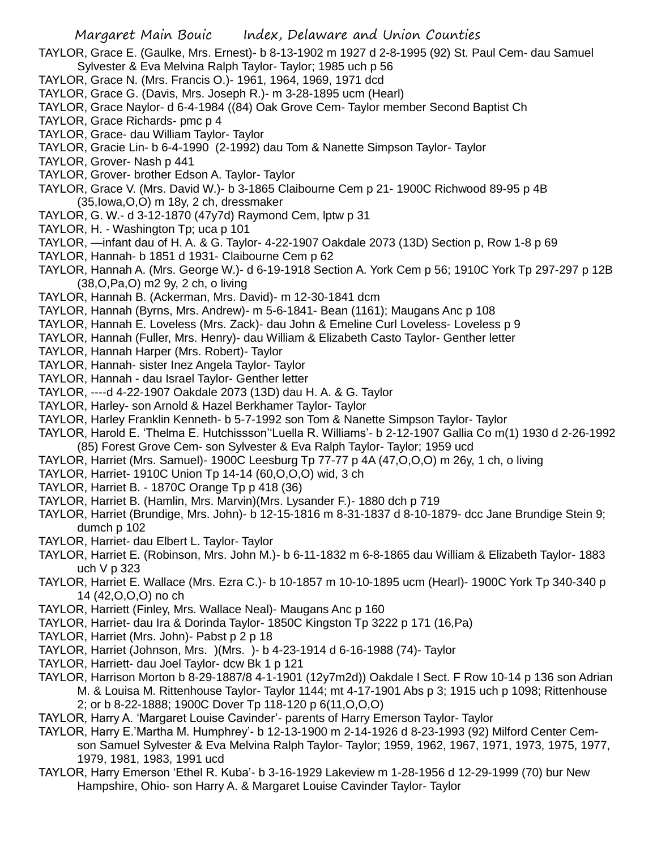- TAYLOR, Grace E. (Gaulke, Mrs. Ernest)- b 8-13-1902 m 1927 d 2-8-1995 (92) St. Paul Cem- dau Samuel Sylvester & Eva Melvina Ralph Taylor- Taylor; 1985 uch p 56
- TAYLOR, Grace N. (Mrs. Francis O.)- 1961, 1964, 1969, 1971 dcd
- TAYLOR, Grace G. (Davis, Mrs. Joseph R.)- m 3-28-1895 ucm (Hearl)
- TAYLOR, Grace Naylor- d 6-4-1984 ((84) Oak Grove Cem- Taylor member Second Baptist Ch
- TAYLOR, Grace Richards- pmc p 4
- TAYLOR, Grace- dau William Taylor- Taylor
- TAYLOR, Gracie Lin- b 6-4-1990 (2-1992) dau Tom & Nanette Simpson Taylor- Taylor
- TAYLOR, Grover- Nash p 441
- TAYLOR, Grover- brother Edson A. Taylor- Taylor
- TAYLOR, Grace V. (Mrs. David W.)- b 3-1865 Claibourne Cem p 21- 1900C Richwood 89-95 p 4B (35,Iowa,O,O) m 18y, 2 ch, dressmaker
- TAYLOR, G. W.- d 3-12-1870 (47y7d) Raymond Cem, lptw p 31
- TAYLOR, H. Washington Tp; uca p 101
- TAYLOR, —infant dau of H. A. & G. Taylor- 4-22-1907 Oakdale 2073 (13D) Section p, Row 1-8 p 69
- TAYLOR, Hannah- b 1851 d 1931- Claibourne Cem p 62
- TAYLOR, Hannah A. (Mrs. George W.)- d 6-19-1918 Section A. York Cem p 56; 1910C York Tp 297-297 p 12B (38,O,Pa,O) m2 9y, 2 ch, o living
- TAYLOR, Hannah B. (Ackerman, Mrs. David)- m 12-30-1841 dcm
- TAYLOR, Hannah (Byrns, Mrs. Andrew)- m 5-6-1841- Bean (1161); Maugans Anc p 108
- TAYLOR, Hannah E. Loveless (Mrs. Zack)- dau John & Emeline Curl Loveless- Loveless p 9
- TAYLOR, Hannah (Fuller, Mrs. Henry)- dau William & Elizabeth Casto Taylor- Genther letter
- TAYLOR, Hannah Harper (Mrs. Robert)- Taylor
- TAYLOR, Hannah- sister Inez Angela Taylor- Taylor
- TAYLOR, Hannah dau Israel Taylor- Genther letter
- TAYLOR, ----d 4-22-1907 Oakdale 2073 (13D) dau H. A. & G. Taylor
- TAYLOR, Harley- son Arnold & Hazel Berkhamer Taylor- Taylor
- TAYLOR, Harley Franklin Kenneth- b 5-7-1992 son Tom & Nanette Simpson Taylor- Taylor
- TAYLOR, Harold E. 'Thelma E. Hutchissson''Luella R. Williams'- b 2-12-1907 Gallia Co m(1) 1930 d 2-26-1992 (85) Forest Grove Cem- son Sylvester & Eva Ralph Taylor- Taylor; 1959 ucd
- TAYLOR, Harriet (Mrs. Samuel)- 1900C Leesburg Tp 77-77 p 4A (47,O,O,O) m 26y, 1 ch, o living
- TAYLOR, Harriet- 1910C Union Tp 14-14 (60,O,O,O) wid, 3 ch
- TAYLOR, Harriet B. 1870C Orange Tp p 418 (36)
- TAYLOR, Harriet B. (Hamlin, Mrs. Marvin)(Mrs. Lysander F.)- 1880 dch p 719
- TAYLOR, Harriet (Brundige, Mrs. John)- b 12-15-1816 m 8-31-1837 d 8-10-1879- dcc Jane Brundige Stein 9; dumch p 102
- TAYLOR, Harriet- dau Elbert L. Taylor- Taylor
- TAYLOR, Harriet E. (Robinson, Mrs. John M.)- b 6-11-1832 m 6-8-1865 dau William & Elizabeth Taylor- 1883 uch V p 323
- TAYLOR, Harriet E. Wallace (Mrs. Ezra C.)- b 10-1857 m 10-10-1895 ucm (Hearl)- 1900C York Tp 340-340 p 14 (42,O,O,O) no ch
- TAYLOR, Harriett (Finley, Mrs. Wallace Neal)- Maugans Anc p 160
- TAYLOR, Harriet- dau Ira & Dorinda Taylor- 1850C Kingston Tp 3222 p 171 (16,Pa)
- TAYLOR, Harriet (Mrs. John)- Pabst p 2 p 18
- TAYLOR, Harriet (Johnson, Mrs. )(Mrs. )- b 4-23-1914 d 6-16-1988 (74)- Taylor
- TAYLOR, Harriett- dau Joel Taylor- dcw Bk 1 p 121
- TAYLOR, Harrison Morton b 8-29-1887/8 4-1-1901 (12y7m2d)) Oakdale I Sect. F Row 10-14 p 136 son Adrian M. & Louisa M. Rittenhouse Taylor- Taylor 1144; mt 4-17-1901 Abs p 3; 1915 uch p 1098; Rittenhouse 2; or b 8-22-1888; 1900C Dover Tp 118-120 p 6(11,O,O,O)
- TAYLOR, Harry A. 'Margaret Louise Cavinder'- parents of Harry Emerson Taylor- Taylor
- TAYLOR, Harry E.'Martha M. Humphrey'- b 12-13-1900 m 2-14-1926 d 8-23-1993 (92) Milford Center Cemson Samuel Sylvester & Eva Melvina Ralph Taylor- Taylor; 1959, 1962, 1967, 1971, 1973, 1975, 1977, 1979, 1981, 1983, 1991 ucd
- TAYLOR, Harry Emerson 'Ethel R. Kuba'- b 3-16-1929 Lakeview m 1-28-1956 d 12-29-1999 (70) bur New Hampshire, Ohio- son Harry A. & Margaret Louise Cavinder Taylor- Taylor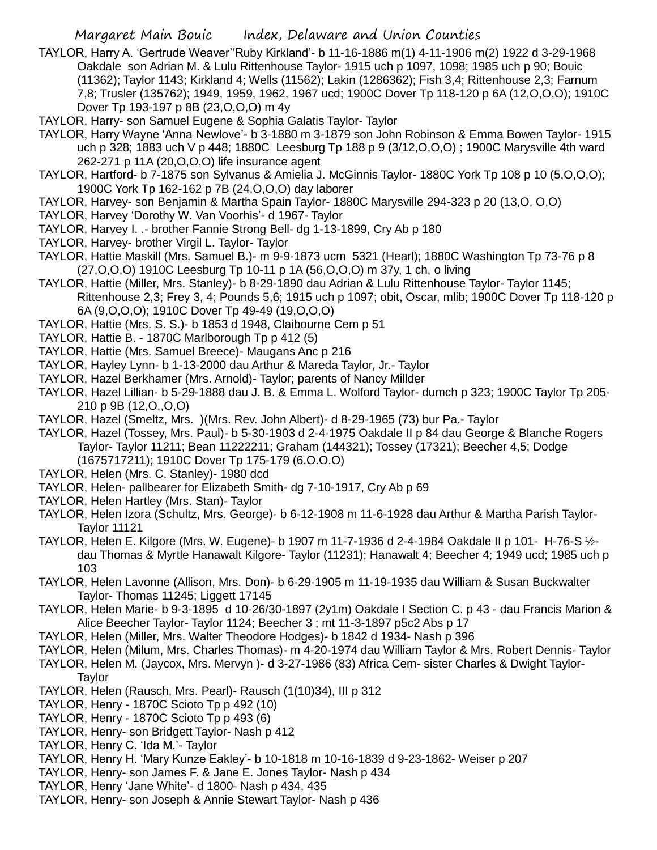- TAYLOR, Harry A. 'Gertrude Weaver''Ruby Kirkland'- b 11-16-1886 m(1) 4-11-1906 m(2) 1922 d 3-29-1968 Oakdale son Adrian M. & Lulu Rittenhouse Taylor- 1915 uch p 1097, 1098; 1985 uch p 90; Bouic (11362); Taylor 1143; Kirkland 4; Wells (11562); Lakin (1286362); Fish 3,4; Rittenhouse 2,3; Farnum 7,8; Trusler (135762); 1949, 1959, 1962, 1967 ucd; 1900C Dover Tp 118-120 p 6A (12,O,O,O); 1910C Dover Tp 193-197 p 8B (23,O,O,O) m 4y
- TAYLOR, Harry- son Samuel Eugene & Sophia Galatis Taylor- Taylor
- TAYLOR, Harry Wayne 'Anna Newlove'- b 3-1880 m 3-1879 son John Robinson & Emma Bowen Taylor- 1915 uch p 328; 1883 uch V p 448; 1880C Leesburg Tp 188 p 9 (3/12,O,O,O) ; 1900C Marysville 4th ward 262-271 p 11A (20,O,O,O) life insurance agent
- TAYLOR, Hartford- b 7-1875 son Sylvanus & Amielia J. McGinnis Taylor- 1880C York Tp 108 p 10 (5,O,O,O); 1900C York Tp 162-162 p 7B (24,O,O,O) day laborer
- TAYLOR, Harvey- son Benjamin & Martha Spain Taylor- 1880C Marysville 294-323 p 20 (13,O, O,O)
- TAYLOR, Harvey 'Dorothy W. Van Voorhis'- d 1967- Taylor
- TAYLOR, Harvey I. .- brother Fannie Strong Bell- dg 1-13-1899, Cry Ab p 180
- TAYLOR, Harvey- brother Virgil L. Taylor- Taylor
- TAYLOR, Hattie Maskill (Mrs. Samuel B.)- m 9-9-1873 ucm 5321 (Hearl); 1880C Washington Tp 73-76 p 8 (27,O,O,O) 1910C Leesburg Tp 10-11 p 1A (56,O,O,O) m 37y, 1 ch, o living
- TAYLOR, Hattie (Miller, Mrs. Stanley)- b 8-29-1890 dau Adrian & Lulu Rittenhouse Taylor- Taylor 1145; Rittenhouse 2,3; Frey 3, 4; Pounds 5,6; 1915 uch p 1097; obit, Oscar, mlib; 1900C Dover Tp 118-120 p 6A (9,O,O,O); 1910C Dover Tp 49-49 (19,O,O,O)
- TAYLOR, Hattie (Mrs. S. S.)- b 1853 d 1948, Claibourne Cem p 51
- TAYLOR, Hattie B. 1870C Marlborough Tp p 412 (5)
- TAYLOR, Hattie (Mrs. Samuel Breece)- Maugans Anc p 216
- TAYLOR, Hayley Lynn- b 1-13-2000 dau Arthur & Mareda Taylor, Jr.- Taylor
- TAYLOR, Hazel Berkhamer (Mrs. Arnold)- Taylor; parents of Nancy Millder
- TAYLOR, Hazel Lillian- b 5-29-1888 dau J. B. & Emma L. Wolford Taylor- dumch p 323; 1900C Taylor Tp 205- 210 p 9B (12,O,,O,O)
- TAYLOR, Hazel (Smeltz, Mrs. )(Mrs. Rev. John Albert)- d 8-29-1965 (73) bur Pa.- Taylor
- TAYLOR, Hazel (Tossey, Mrs. Paul)- b 5-30-1903 d 2-4-1975 Oakdale II p 84 dau George & Blanche Rogers Taylor- Taylor 11211; Bean 11222211; Graham (144321); Tossey (17321); Beecher 4,5; Dodge (1675717211); 1910C Dover Tp 175-179 (6.O.O.O)
- TAYLOR, Helen (Mrs. C. Stanley)- 1980 dcd
- TAYLOR, Helen- pallbearer for Elizabeth Smith- dg 7-10-1917, Cry Ab p 69
- TAYLOR, Helen Hartley (Mrs. Stan)- Taylor
- TAYLOR, Helen Izora (Schultz, Mrs. George)- b 6-12-1908 m 11-6-1928 dau Arthur & Martha Parish Taylor-Taylor 11121
- TAYLOR, Helen E. Kilgore (Mrs. W. Eugene)- b 1907 m 11-7-1936 d 2-4-1984 Oakdale II p 101- H-76-S ½ dau Thomas & Myrtle Hanawalt Kilgore- Taylor (11231); Hanawalt 4; Beecher 4; 1949 ucd; 1985 uch p 103
- TAYLOR, Helen Lavonne (Allison, Mrs. Don)- b 6-29-1905 m 11-19-1935 dau William & Susan Buckwalter Taylor- Thomas 11245; Liggett 17145
- TAYLOR, Helen Marie- b 9-3-1895 d 10-26/30-1897 (2y1m) Oakdale I Section C. p 43 dau Francis Marion & Alice Beecher Taylor- Taylor 1124; Beecher 3 ; mt 11-3-1897 p5c2 Abs p 17
- TAYLOR, Helen (Miller, Mrs. Walter Theodore Hodges)- b 1842 d 1934- Nash p 396
- TAYLOR, Helen (Milum, Mrs. Charles Thomas)- m 4-20-1974 dau William Taylor & Mrs. Robert Dennis- Taylor
- TAYLOR, Helen M. (Jaycox, Mrs. Mervyn )- d 3-27-1986 (83) Africa Cem- sister Charles & Dwight Taylor-Taylor
- TAYLOR, Helen (Rausch, Mrs. Pearl)- Rausch (1(10)34), III p 312
- TAYLOR, Henry 1870C Scioto Tp p 492 (10)
- TAYLOR, Henry 1870C Scioto Tp p 493 (6)
- TAYLOR, Henry- son Bridgett Taylor- Nash p 412
- TAYLOR, Henry C. 'Ida M.'- Taylor
- TAYLOR, Henry H. 'Mary Kunze Eakley'- b 10-1818 m 10-16-1839 d 9-23-1862- Weiser p 207
- TAYLOR, Henry- son James F. & Jane E. Jones Taylor- Nash p 434
- TAYLOR, Henry 'Jane White'- d 1800- Nash p 434, 435
- TAYLOR, Henry- son Joseph & Annie Stewart Taylor- Nash p 436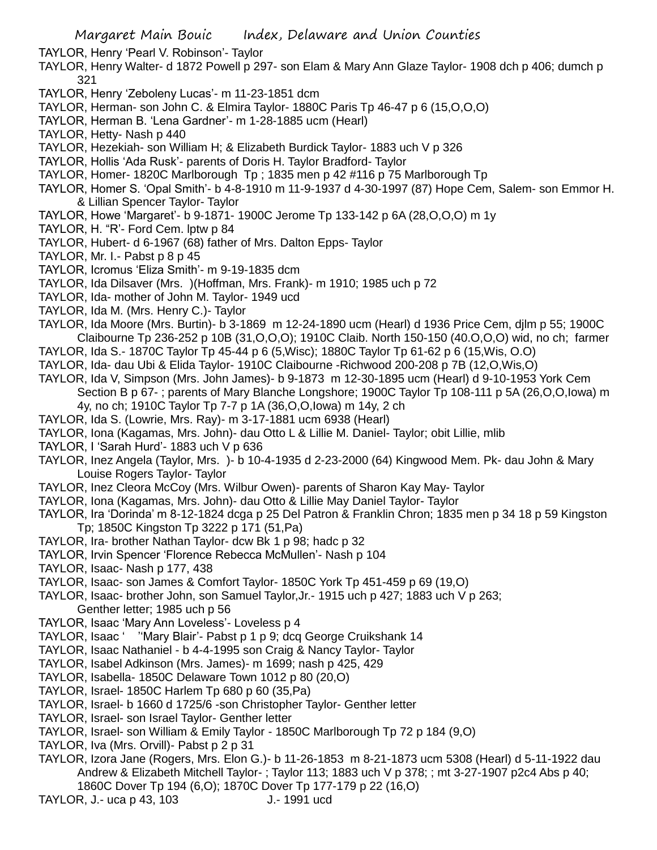TAYLOR, Henry 'Pearl V. Robinson'- Taylor

- TAYLOR, Henry Walter- d 1872 Powell p 297- son Elam & Mary Ann Glaze Taylor- 1908 dch p 406; dumch p 321
- TAYLOR, Henry 'Zeboleny Lucas'- m 11-23-1851 dcm
- TAYLOR, Herman- son John C. & Elmira Taylor- 1880C Paris Tp 46-47 p 6 (15,O,O,O)
- TAYLOR, Herman B. 'Lena Gardner'- m 1-28-1885 ucm (Hearl)
- TAYLOR, Hetty- Nash p 440
- TAYLOR, Hezekiah- son William H; & Elizabeth Burdick Taylor- 1883 uch V p 326
- TAYLOR, Hollis 'Ada Rusk'- parents of Doris H. Taylor Bradford- Taylor
- TAYLOR, Homer- 1820C Marlborough Tp ; 1835 men p 42 #116 p 75 Marlborough Tp
- TAYLOR, Homer S. 'Opal Smith'- b 4-8-1910 m 11-9-1937 d 4-30-1997 (87) Hope Cem, Salem- son Emmor H. & Lillian Spencer Taylor- Taylor
- TAYLOR, Howe 'Margaret'- b 9-1871- 1900C Jerome Tp 133-142 p 6A (28,O,O,O) m 1y
- TAYLOR, H. "R'- Ford Cem. lptw p 84
- TAYLOR, Hubert- d 6-1967 (68) father of Mrs. Dalton Epps- Taylor
- TAYLOR, Mr. I.- Pabst p 8 p 45
- TAYLOR, Icromus 'Eliza Smith'- m 9-19-1835 dcm
- TAYLOR, Ida Dilsaver (Mrs. )(Hoffman, Mrs. Frank)- m 1910; 1985 uch p 72
- TAYLOR, Ida- mother of John M. Taylor- 1949 ucd
- TAYLOR, Ida M. (Mrs. Henry C.)- Taylor
- TAYLOR, Ida Moore (Mrs. Burtin)- b 3-1869 m 12-24-1890 ucm (Hearl) d 1936 Price Cem, djlm p 55; 1900C Claibourne Tp 236-252 p 10B (31,O,O,O); 1910C Claib. North 150-150 (40.O,O,O) wid, no ch; farmer
- TAYLOR, Ida S.- 1870C Taylor Tp 45-44 p 6 (5,Wisc); 1880C Taylor Tp 61-62 p 6 (15,Wis, O.O)
- TAYLOR, Ida- dau Ubi & Elida Taylor- 1910C Claibourne -Richwood 200-208 p 7B (12,O,Wis,O)
- TAYLOR, Ida V, Simpson (Mrs. John James)- b 9-1873 m 12-30-1895 ucm (Hearl) d 9-10-1953 York Cem Section B p 67- ; parents of Mary Blanche Longshore; 1900C Taylor Tp 108-111 p 5A (26,O,O,Iowa) m 4y, no ch; 1910C Taylor Tp 7-7 p 1A (36,O,O,Iowa) m 14y, 2 ch
- TAYLOR, Ida S. (Lowrie, Mrs. Ray)- m 3-17-1881 ucm 6938 (Hearl)
- TAYLOR, Iona (Kagamas, Mrs. John)- dau Otto L & Lillie M. Daniel- Taylor; obit Lillie, mlib
- TAYLOR, I 'Sarah Hurd'- 1883 uch V p 636
- TAYLOR, Inez Angela (Taylor, Mrs. )- b 10-4-1935 d 2-23-2000 (64) Kingwood Mem. Pk- dau John & Mary Louise Rogers Taylor- Taylor
- TAYLOR, Inez Cleora McCoy (Mrs. Wilbur Owen)- parents of Sharon Kay May- Taylor
- TAYLOR, Iona (Kagamas, Mrs. John)- dau Otto & Lillie May Daniel Taylor- Taylor
- TAYLOR, Ira 'Dorinda' m 8-12-1824 dcga p 25 Del Patron & Franklin Chron; 1835 men p 34 18 p 59 Kingston Tp; 1850C Kingston Tp 3222 p 171 (51,Pa)
- TAYLOR, Ira- brother Nathan Taylor- dcw Bk 1 p 98; hadc p 32
- TAYLOR, Irvin Spencer 'Florence Rebecca McMullen'- Nash p 104
- TAYLOR, Isaac- Nash p 177, 438
- TAYLOR, Isaac- son James & Comfort Taylor- 1850C York Tp 451-459 p 69 (19,O)
- TAYLOR, Isaac- brother John, son Samuel Taylor,Jr.- 1915 uch p 427; 1883 uch V p 263;
- Genther letter; 1985 uch p 56
- TAYLOR, Isaac 'Mary Ann Loveless'- Loveless p 4
- TAYLOR, Isaac ' ''Mary Blair'- Pabst p 1 p 9; dcq George Cruikshank 14
- TAYLOR, Isaac Nathaniel b 4-4-1995 son Craig & Nancy Taylor- Taylor
- TAYLOR, Isabel Adkinson (Mrs. James)- m 1699; nash p 425, 429
- TAYLOR, Isabella- 1850C Delaware Town 1012 p 80 (20,O)
- TAYLOR, Israel- 1850C Harlem Tp 680 p 60 (35,Pa)
- TAYLOR, Israel- b 1660 d 1725/6 -son Christopher Taylor- Genther letter
- TAYLOR, Israel- son Israel Taylor- Genther letter
- TAYLOR, Israel- son William & Emily Taylor 1850C Marlborough Tp 72 p 184 (9,O)
- TAYLOR, Iva (Mrs. Orvill)- Pabst p 2 p 31
- TAYLOR, Izora Jane (Rogers, Mrs. Elon G.)- b 11-26-1853 m 8-21-1873 ucm 5308 (Hearl) d 5-11-1922 dau Andrew & Elizabeth Mitchell Taylor- ; Taylor 113; 1883 uch V p 378; ; mt 3-27-1907 p2c4 Abs p 40;
	- 1860C Dover Tp 194 (6,O); 1870C Dover Tp 177-179 p 22 (16,O)
- TAYLOR, J.- uca p 43, 103 J.- 1991 ucd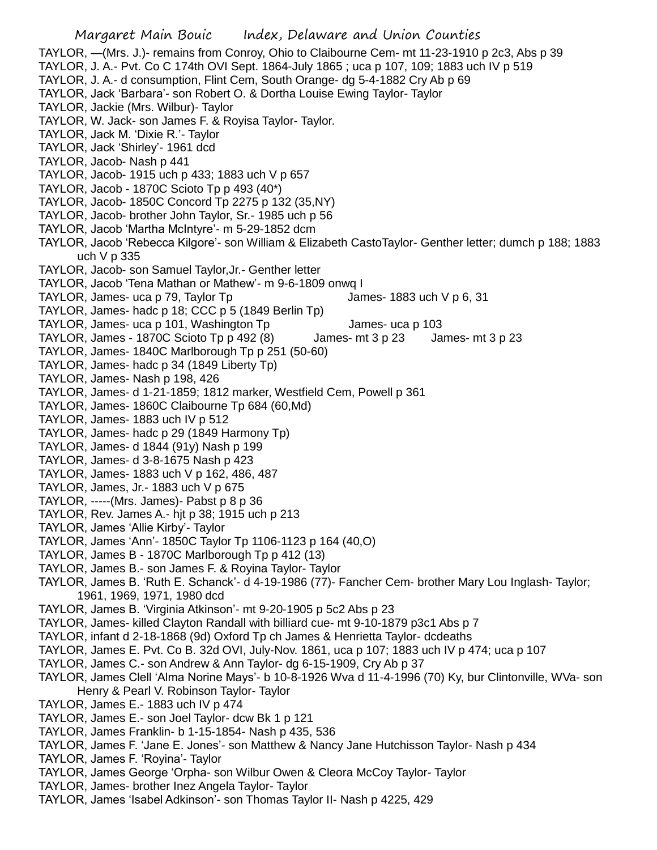TAYLOR, —(Mrs. J.)- remains from Conroy, Ohio to Claibourne Cem- mt 11-23-1910 p 2c3, Abs p 39 TAYLOR, J. A.- Pvt. Co C 174th OVI Sept. 1864-July 1865 ; uca p 107, 109; 1883 uch IV p 519 TAYLOR, J. A.- d consumption, Flint Cem, South Orange- dg 5-4-1882 Cry Ab p 69 TAYLOR, Jack 'Barbara'- son Robert O. & Dortha Louise Ewing Taylor- Taylor TAYLOR, Jackie (Mrs. Wilbur)- Taylor TAYLOR, W. Jack- son James F. & Royisa Taylor- Taylor. TAYLOR, Jack M. 'Dixie R.'- Taylor TAYLOR, Jack 'Shirley'- 1961 dcd TAYLOR, Jacob- Nash p 441 TAYLOR, Jacob- 1915 uch p 433; 1883 uch V p 657 TAYLOR, Jacob - 1870C Scioto Tp p 493 (40\*) TAYLOR, Jacob- 1850C Concord Tp 2275 p 132 (35,NY) TAYLOR, Jacob- brother John Taylor, Sr.- 1985 uch p 56 TAYLOR, Jacob 'Martha McIntyre'- m 5-29-1852 dcm TAYLOR, Jacob 'Rebecca Kilgore'- son William & Elizabeth CastoTaylor- Genther letter; dumch p 188; 1883 uch V p 335 TAYLOR, Jacob- son Samuel Taylor,Jr.- Genther letter TAYLOR, Jacob 'Tena Mathan or Mathew'- m 9-6-1809 onwq I TAYLOR, James- uca p 79, Taylor Tp  $\qquad \qquad$  James- 1883 uch V p 6, 31 TAYLOR, James- hadc p 18; CCC p 5 (1849 Berlin Tp) TAYLOR, James- uca p 101, Washington Tp James- uca p 103 TAYLOR, James - 1870C Scioto Tp p 492 (8) James- mt 3 p 23 James- mt 3 p 23 TAYLOR, James- 1840C Marlborough Tp p 251 (50-60) TAYLOR, James- hadc p 34 (1849 Liberty Tp) TAYLOR, James- Nash p 198, 426 TAYLOR, James- d 1-21-1859; 1812 marker, Westfield Cem, Powell p 361 TAYLOR, James- 1860C Claibourne Tp 684 (60,Md) TAYLOR, James- 1883 uch IV p 512 TAYLOR, James- hadc p 29 (1849 Harmony Tp) TAYLOR, James- d 1844 (91y) Nash p 199 TAYLOR, James- d 3-8-1675 Nash p 423 TAYLOR, James- 1883 uch V p 162, 486, 487 TAYLOR, James, Jr.- 1883 uch V p 675 TAYLOR, -----(Mrs. James)- Pabst p 8 p 36 TAYLOR, Rev. James A.- hjt p 38; 1915 uch p 213 TAYLOR, James 'Allie Kirby'- Taylor TAYLOR, James 'Ann'- 1850C Taylor Tp 1106-1123 p 164 (40,O) TAYLOR, James B - 1870C Marlborough Tp p 412 (13) TAYLOR, James B.- son James F. & Royina Taylor- Taylor TAYLOR, James B. 'Ruth E. Schanck'- d 4-19-1986 (77)- Fancher Cem- brother Mary Lou Inglash- Taylor; 1961, 1969, 1971, 1980 dcd TAYLOR, James B. 'Virginia Atkinson'- mt 9-20-1905 p 5c2 Abs p 23 TAYLOR, James- killed Clayton Randall with billiard cue- mt 9-10-1879 p3c1 Abs p 7 TAYLOR, infant d 2-18-1868 (9d) Oxford Tp ch James & Henrietta Taylor- dcdeaths TAYLOR, James E. Pvt. Co B. 32d OVI, July-Nov. 1861, uca p 107; 1883 uch IV p 474; uca p 107 TAYLOR, James C.- son Andrew & Ann Taylor- dg 6-15-1909, Cry Ab p 37 TAYLOR, James Clell 'Alma Norine Mays'- b 10-8-1926 Wva d 11-4-1996 (70) Ky, bur Clintonville, WVa- son Henry & Pearl V. Robinson Taylor- Taylor TAYLOR, James E.- 1883 uch IV p 474 TAYLOR, James E.- son Joel Taylor- dcw Bk 1 p 121 TAYLOR, James Franklin- b 1-15-1854- Nash p 435, 536 TAYLOR, James F. 'Jane E. Jones'- son Matthew & Nancy Jane Hutchisson Taylor- Nash p 434 TAYLOR, James F. 'Royina'- Taylor TAYLOR, James George 'Orpha- son Wilbur Owen & Cleora McCoy Taylor- Taylor

- TAYLOR, James- brother Inez Angela Taylor- Taylor
- TAYLOR, James 'Isabel Adkinson'- son Thomas Taylor II- Nash p 4225, 429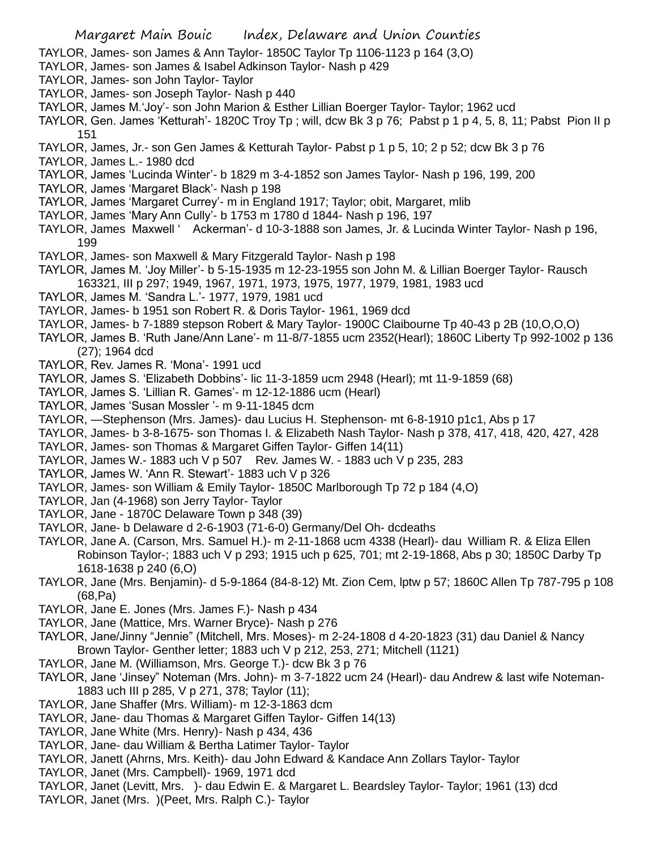TAYLOR, James- son James & Ann Taylor- 1850C Taylor Tp 1106-1123 p 164 (3,O)

- TAYLOR, James- son James & Isabel Adkinson Taylor- Nash p 429
- TAYLOR, James- son John Taylor- Taylor
- TAYLOR, James- son Joseph Taylor- Nash p 440
- TAYLOR, James M.'Joy'- son John Marion & Esther Lillian Boerger Taylor- Taylor; 1962 ucd
- TAYLOR, Gen. James 'Ketturah'- 1820C Troy Tp ; will, dcw Bk 3 p 76; Pabst p 1 p 4, 5, 8, 11; Pabst Pion II p 151
- TAYLOR, James, Jr.- son Gen James & Ketturah Taylor- Pabst p 1 p 5, 10; 2 p 52; dcw Bk 3 p 76
- TAYLOR, James L.- 1980 dcd
- TAYLOR, James 'Lucinda Winter'- b 1829 m 3-4-1852 son James Taylor- Nash p 196, 199, 200
- TAYLOR, James 'Margaret Black'- Nash p 198
- TAYLOR, James 'Margaret Currey'- m in England 1917; Taylor; obit, Margaret, mlib
- TAYLOR, James 'Mary Ann Cully'- b 1753 m 1780 d 1844- Nash p 196, 197
- TAYLOR, James Maxwell ' Ackerman'- d 10-3-1888 son James, Jr. & Lucinda Winter Taylor- Nash p 196, 199
- TAYLOR, James- son Maxwell & Mary Fitzgerald Taylor- Nash p 198
- TAYLOR, James M. 'Joy Miller'- b 5-15-1935 m 12-23-1955 son John M. & Lillian Boerger Taylor- Rausch 163321, III p 297; 1949, 1967, 1971, 1973, 1975, 1977, 1979, 1981, 1983 ucd
- TAYLOR, James M. 'Sandra L.'- 1977, 1979, 1981 ucd
- TAYLOR, James- b 1951 son Robert R. & Doris Taylor- 1961, 1969 dcd
- TAYLOR, James- b 7-1889 stepson Robert & Mary Taylor- 1900C Claibourne Tp 40-43 p 2B (10,O,O,O)
- TAYLOR, James B. 'Ruth Jane/Ann Lane'- m 11-8/7-1855 ucm 2352(Hearl); 1860C Liberty Tp 992-1002 p 136 (27); 1964 dcd
- TAYLOR, Rev. James R. 'Mona'- 1991 ucd
- TAYLOR, James S. 'Elizabeth Dobbins'- lic 11-3-1859 ucm 2948 (Hearl); mt 11-9-1859 (68)
- TAYLOR, James S. 'Lillian R. Games'- m 12-12-1886 ucm (Hearl)
- TAYLOR, James 'Susan Mossler '- m 9-11-1845 dcm
- TAYLOR, —Stephenson (Mrs. James)- dau Lucius H. Stephenson- mt 6-8-1910 p1c1, Abs p 17
- TAYLOR, James- b 3-8-1675- son Thomas I. & Elizabeth Nash Taylor- Nash p 378, 417, 418, 420, 427, 428
- TAYLOR, James- son Thomas & Margaret Giffen Taylor- Giffen 14(11)
- TAYLOR, James W.- 1883 uch V p 507 Rev. James W. 1883 uch V p 235, 283
- TAYLOR, James W. 'Ann R. Stewart'- 1883 uch V p 326
- TAYLOR, James- son William & Emily Taylor- 1850C Marlborough Tp 72 p 184 (4,O)
- TAYLOR, Jan (4-1968) son Jerry Taylor- Taylor
- TAYLOR, Jane 1870C Delaware Town p 348 (39)
- TAYLOR, Jane- b Delaware d 2-6-1903 (71-6-0) Germany/Del Oh- dcdeaths
- TAYLOR, Jane A. (Carson, Mrs. Samuel H.)- m 2-11-1868 ucm 4338 (Hearl)- dau William R. & Eliza Ellen Robinson Taylor-; 1883 uch V p 293; 1915 uch p 625, 701; mt 2-19-1868, Abs p 30; 1850C Darby Tp 1618-1638 p 240 (6,O)
- TAYLOR, Jane (Mrs. Benjamin)- d 5-9-1864 (84-8-12) Mt. Zion Cem, lptw p 57; 1860C Allen Tp 787-795 p 108 (68,Pa)
- TAYLOR, Jane E. Jones (Mrs. James F.)- Nash p 434
- TAYLOR, Jane (Mattice, Mrs. Warner Bryce)- Nash p 276
- TAYLOR, Jane/Jinny "Jennie" (Mitchell, Mrs. Moses)- m 2-24-1808 d 4-20-1823 (31) dau Daniel & Nancy Brown Taylor- Genther letter; 1883 uch V p 212, 253, 271; Mitchell (1121)
- TAYLOR, Jane M. (Williamson, Mrs. George T.)- dcw Bk 3 p 76
- TAYLOR, Jane 'Jinsey" Noteman (Mrs. John)- m 3-7-1822 ucm 24 (Hearl)- dau Andrew & last wife Noteman-1883 uch III p 285, V p 271, 378; Taylor (11);
- TAYLOR, Jane Shaffer (Mrs. William)- m 12-3-1863 dcm
- TAYLOR, Jane- dau Thomas & Margaret Giffen Taylor- Giffen 14(13)
- TAYLOR, Jane White (Mrs. Henry)- Nash p 434, 436
- TAYLOR, Jane- dau William & Bertha Latimer Taylor- Taylor
- TAYLOR, Janett (Ahrns, Mrs. Keith)- dau John Edward & Kandace Ann Zollars Taylor- Taylor
- TAYLOR, Janet (Mrs. Campbell)- 1969, 1971 dcd
- TAYLOR, Janet (Levitt, Mrs. )- dau Edwin E. & Margaret L. Beardsley Taylor- Taylor; 1961 (13) dcd
- TAYLOR, Janet (Mrs. )(Peet, Mrs. Ralph C.)- Taylor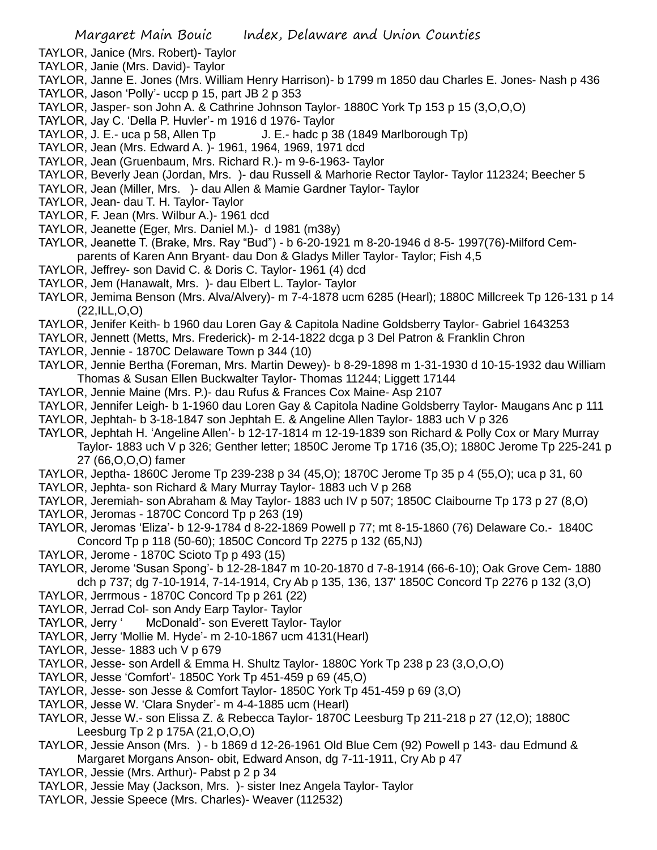- TAYLOR, Janice (Mrs. Robert)- Taylor
- TAYLOR, Janie (Mrs. David)- Taylor
- TAYLOR, Janne E. Jones (Mrs. William Henry Harrison)- b 1799 m 1850 dau Charles E. Jones- Nash p 436 TAYLOR, Jason 'Polly'- uccp p 15, part JB 2 p 353
- TAYLOR, Jasper- son John A. & Cathrine Johnson Taylor- 1880C York Tp 153 p 15 (3,O,O,O)
- TAYLOR, Jay C. 'Della P. Huvler'- m 1916 d 1976- Taylor
- TAYLOR, J. E.- uca p 58, Allen Tp J. E.- hadc p 38 (1849 Marlborough Tp)
- TAYLOR, Jean (Mrs. Edward A. )- 1961, 1964, 1969, 1971 dcd
- TAYLOR, Jean (Gruenbaum, Mrs. Richard R.)- m 9-6-1963- Taylor
- TAYLOR, Beverly Jean (Jordan, Mrs. )- dau Russell & Marhorie Rector Taylor- Taylor 112324; Beecher 5
- TAYLOR, Jean (Miller, Mrs. )- dau Allen & Mamie Gardner Taylor- Taylor
- TAYLOR, Jean- dau T. H. Taylor- Taylor
- TAYLOR, F. Jean (Mrs. Wilbur A.)- 1961 dcd
- TAYLOR, Jeanette (Eger, Mrs. Daniel M.)- d 1981 (m38y)
- TAYLOR, Jeanette T. (Brake, Mrs. Ray "Bud") b 6-20-1921 m 8-20-1946 d 8-5- 1997(76)-Milford Cemparents of Karen Ann Bryant- dau Don & Gladys Miller Taylor- Taylor; Fish 4,5
- TAYLOR, Jeffrey- son David C. & Doris C. Taylor- 1961 (4) dcd
- TAYLOR, Jem (Hanawalt, Mrs. )- dau Elbert L. Taylor- Taylor
- TAYLOR, Jemima Benson (Mrs. Alva/Alvery)- m 7-4-1878 ucm 6285 (Hearl); 1880C Millcreek Tp 126-131 p 14 (22,ILL,O,O)
- TAYLOR, Jenifer Keith- b 1960 dau Loren Gay & Capitola Nadine Goldsberry Taylor- Gabriel 1643253
- TAYLOR, Jennett (Metts, Mrs. Frederick)- m 2-14-1822 dcga p 3 Del Patron & Franklin Chron
- TAYLOR, Jennie 1870C Delaware Town p 344 (10)
- TAYLOR, Jennie Bertha (Foreman, Mrs. Martin Dewey)- b 8-29-1898 m 1-31-1930 d 10-15-1932 dau William Thomas & Susan Ellen Buckwalter Taylor- Thomas 11244; Liggett 17144
- TAYLOR, Jennie Maine (Mrs. P.)- dau Rufus & Frances Cox Maine- Asp 2107
- TAYLOR, Jennifer Leigh- b 1-1960 dau Loren Gay & Capitola Nadine Goldsberry Taylor- Maugans Anc p 111
- TAYLOR, Jephtah- b 3-18-1847 son Jephtah E. & Angeline Allen Taylor- 1883 uch V p 326
- TAYLOR, Jephtah H. 'Angeline Allen'- b 12-17-1814 m 12-19-1839 son Richard & Polly Cox or Mary Murray Taylor- 1883 uch V p 326; Genther letter; 1850C Jerome Tp 1716 (35,O); 1880C Jerome Tp 225-241 p 27 (66,O,O,O) famer
- TAYLOR, Jeptha- 1860C Jerome Tp 239-238 p 34 (45,O); 1870C Jerome Tp 35 p 4 (55,O); uca p 31, 60
- TAYLOR, Jephta- son Richard & Mary Murray Taylor- 1883 uch V p 268
- TAYLOR, Jeremiah- son Abraham & May Taylor- 1883 uch IV p 507; 1850C Claibourne Tp 173 p 27 (8,O)
- TAYLOR, Jeromas 1870C Concord Tp p 263 (19)
- TAYLOR, Jeromas 'Eliza'- b 12-9-1784 d 8-22-1869 Powell p 77; mt 8-15-1860 (76) Delaware Co.- 1840C Concord Tp p 118 (50-60); 1850C Concord Tp 2275 p 132 (65,NJ)
- TAYLOR, Jerome 1870C Scioto Tp p 493 (15)
- TAYLOR, Jerome 'Susan Spong'- b 12-28-1847 m 10-20-1870 d 7-8-1914 (66-6-10); Oak Grove Cem- 1880 dch p 737; dg 7-10-1914, 7-14-1914, Cry Ab p 135, 136, 137' 1850C Concord Tp 2276 p 132 (3,O)
- TAYLOR, Jerrmous 1870C Concord Tp p 261 (22)
- TAYLOR, Jerrad Col- son Andy Earp Taylor- Taylor
- TAYLOR, Jerry ' McDonald'- son Everett Taylor- Taylor
- TAYLOR, Jerry 'Mollie M. Hyde'- m 2-10-1867 ucm 4131(Hearl)
- TAYLOR, Jesse- 1883 uch V p 679
- TAYLOR, Jesse- son Ardell & Emma H. Shultz Taylor- 1880C York Tp 238 p 23 (3,O,O,O)
- TAYLOR, Jesse 'Comfort'- 1850C York Tp 451-459 p 69 (45,O)
- TAYLOR, Jesse- son Jesse & Comfort Taylor- 1850C York Tp 451-459 p 69 (3,O)
- TAYLOR, Jesse W. 'Clara Snyder'- m 4-4-1885 ucm (Hearl)
- TAYLOR, Jesse W.- son Elissa Z. & Rebecca Taylor- 1870C Leesburg Tp 211-218 p 27 (12,O); 1880C Leesburg Tp 2 p 175A (21,O,O,O)
- TAYLOR, Jessie Anson (Mrs. ) b 1869 d 12-26-1961 Old Blue Cem (92) Powell p 143- dau Edmund & Margaret Morgans Anson- obit, Edward Anson, dg 7-11-1911, Cry Ab p 47
- TAYLOR, Jessie (Mrs. Arthur)- Pabst p 2 p 34
- TAYLOR, Jessie May (Jackson, Mrs. )- sister Inez Angela Taylor- Taylor
- TAYLOR, Jessie Speece (Mrs. Charles)- Weaver (112532)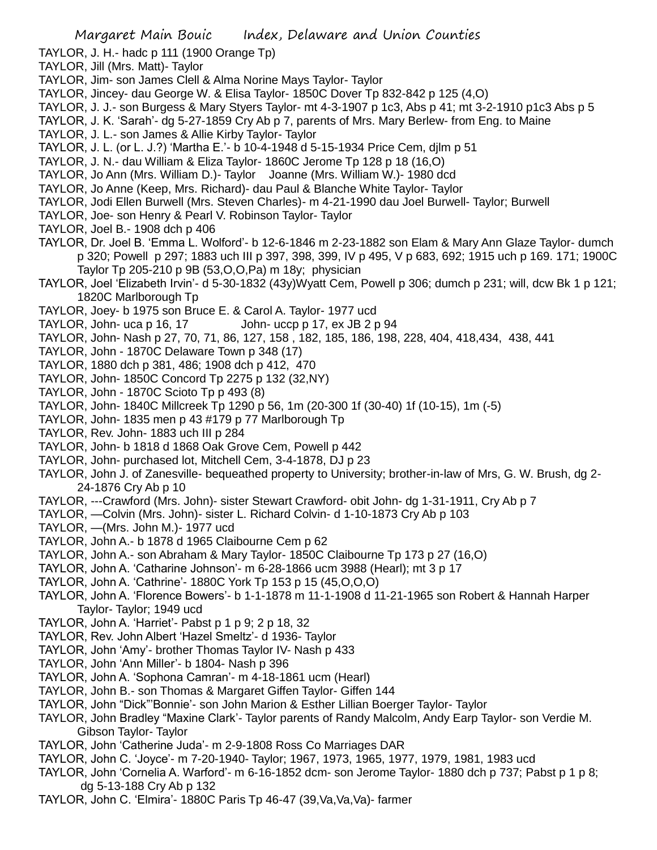- TAYLOR, J. H.- hadc p 111 (1900 Orange Tp)
- TAYLOR, Jill (Mrs. Matt)- Taylor
- TAYLOR, Jim- son James Clell & Alma Norine Mays Taylor- Taylor
- TAYLOR, Jincey- dau George W. & Elisa Taylor- 1850C Dover Tp 832-842 p 125 (4,O)
- TAYLOR, J. J.- son Burgess & Mary Styers Taylor- mt 4-3-1907 p 1c3, Abs p 41; mt 3-2-1910 p1c3 Abs p 5
- TAYLOR, J. K. 'Sarah'- dg 5-27-1859 Cry Ab p 7, parents of Mrs. Mary Berlew- from Eng. to Maine
- TAYLOR, J. L.- son James & Allie Kirby Taylor- Taylor
- TAYLOR, J. L. (or L. J.?) 'Martha E.'- b 10-4-1948 d 5-15-1934 Price Cem, djlm p 51
- TAYLOR, J. N.- dau William & Eliza Taylor- 1860C Jerome Tp 128 p 18 (16,O)
- TAYLOR, Jo Ann (Mrs. William D.)- Taylor Joanne (Mrs. William W.)- 1980 dcd
- TAYLOR, Jo Anne (Keep, Mrs. Richard)- dau Paul & Blanche White Taylor- Taylor
- TAYLOR, Jodi Ellen Burwell (Mrs. Steven Charles)- m 4-21-1990 dau Joel Burwell- Taylor; Burwell
- TAYLOR, Joe- son Henry & Pearl V. Robinson Taylor- Taylor
- TAYLOR, Joel B.- 1908 dch p 406
- TAYLOR, Dr. Joel B. 'Emma L. Wolford'- b 12-6-1846 m 2-23-1882 son Elam & Mary Ann Glaze Taylor- dumch p 320; Powell p 297; 1883 uch III p 397, 398, 399, IV p 495, V p 683, 692; 1915 uch p 169. 171; 1900C Taylor Tp 205-210 p 9B (53,O,O,Pa) m 18y; physician
- TAYLOR, Joel 'Elizabeth Irvin'- d 5-30-1832 (43y)Wyatt Cem, Powell p 306; dumch p 231; will, dcw Bk 1 p 121; 1820C Marlborough Tp
- TAYLOR, Joey- b 1975 son Bruce E. & Carol A. Taylor- 1977 ucd
- TAYLOR, John- uca p 16, 17 John- uccp p 17, ex JB  $2 p 94$
- TAYLOR, John- Nash p 27, 70, 71, 86, 127, 158 , 182, 185, 186, 198, 228, 404, 418,434, 438, 441
- TAYLOR, John 1870C Delaware Town p 348 (17)
- TAYLOR, 1880 dch p 381, 486; 1908 dch p 412, 470
- TAYLOR, John- 1850C Concord Tp 2275 p 132 (32,NY)
- TAYLOR, John 1870C Scioto Tp p 493 (8)
- TAYLOR, John- 1840C Millcreek Tp 1290 p 56, 1m (20-300 1f (30-40) 1f (10-15), 1m (-5)
- TAYLOR, John- 1835 men p 43 #179 p 77 Marlborough Tp
- TAYLOR, Rev. John- 1883 uch III p 284
- TAYLOR, John- b 1818 d 1868 Oak Grove Cem, Powell p 442
- TAYLOR, John- purchased lot, Mitchell Cem, 3-4-1878, DJ p 23
- TAYLOR, John J. of Zanesville- bequeathed property to University; brother-in-law of Mrs, G. W. Brush, dg 2- 24-1876 Cry Ab p 10
- TAYLOR, ---Crawford (Mrs. John)- sister Stewart Crawford- obit John- dg 1-31-1911, Cry Ab p 7
- TAYLOR, —Colvin (Mrs. John)- sister L. Richard Colvin- d 1-10-1873 Cry Ab p 103
- TAYLOR, —(Mrs. John M.)- 1977 ucd
- TAYLOR, John A.- b 1878 d 1965 Claibourne Cem p 62
- TAYLOR, John A.- son Abraham & Mary Taylor- 1850C Claibourne Tp 173 p 27 (16,O)
- TAYLOR, John A. 'Catharine Johnson'- m 6-28-1866 ucm 3988 (Hearl); mt 3 p 17
- TAYLOR, John A. 'Cathrine'- 1880C York Tp 153 p 15 (45,O,O,O)
- TAYLOR, John A. 'Florence Bowers'- b 1-1-1878 m 11-1-1908 d 11-21-1965 son Robert & Hannah Harper Taylor- Taylor; 1949 ucd
- TAYLOR, John A. 'Harriet'- Pabst p 1 p 9; 2 p 18, 32
- TAYLOR, Rev. John Albert 'Hazel Smeltz'- d 1936- Taylor
- TAYLOR, John 'Amy'- brother Thomas Taylor IV- Nash p 433
- TAYLOR, John 'Ann Miller'- b 1804- Nash p 396
- TAYLOR, John A. 'Sophona Camran'- m 4-18-1861 ucm (Hearl)
- TAYLOR, John B.- son Thomas & Margaret Giffen Taylor- Giffen 144
- TAYLOR, John "Dick"'Bonnie'- son John Marion & Esther Lillian Boerger Taylor- Taylor
- TAYLOR, John Bradley "Maxine Clark'- Taylor parents of Randy Malcolm, Andy Earp Taylor- son Verdie M. Gibson Taylor- Taylor
- TAYLOR, John 'Catherine Juda'- m 2-9-1808 Ross Co Marriages DAR
- TAYLOR, John C. 'Joyce'- m 7-20-1940- Taylor; 1967, 1973, 1965, 1977, 1979, 1981, 1983 ucd
- TAYLOR, John 'Cornelia A. Warford'- m 6-16-1852 dcm- son Jerome Taylor- 1880 dch p 737; Pabst p 1 p 8; dg 5-13-188 Cry Ab p 132
- TAYLOR, John C. 'Elmira'- 1880C Paris Tp 46-47 (39,Va,Va,Va)- farmer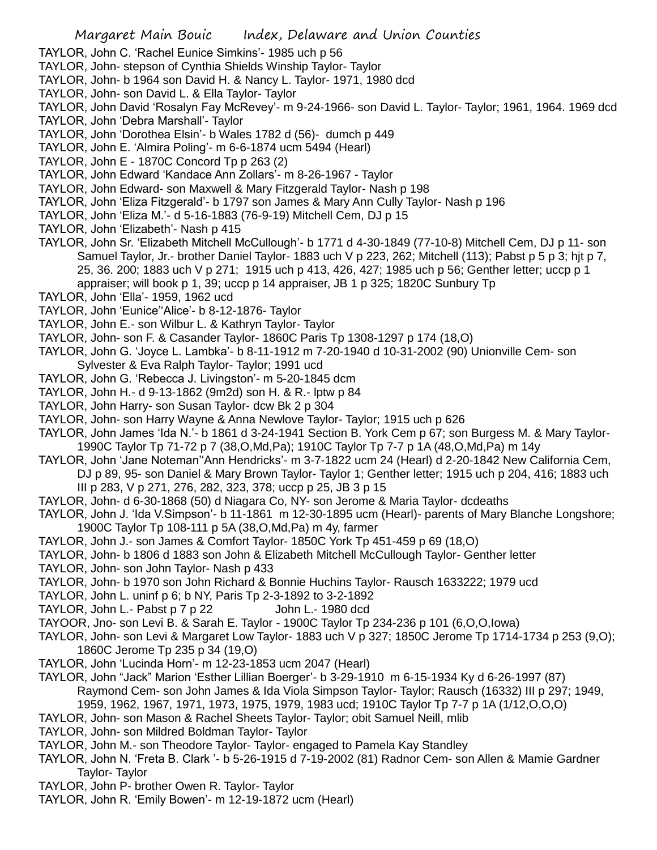TAYLOR, John C. 'Rachel Eunice Simkins'- 1985 uch p 56

- TAYLOR, John- stepson of Cynthia Shields Winship Taylor- Taylor
- TAYLOR, John- b 1964 son David H. & Nancy L. Taylor- 1971, 1980 dcd
- TAYLOR, John- son David L. & Ella Taylor- Taylor
- TAYLOR, John David 'Rosalyn Fay McRevey'- m 9-24-1966- son David L. Taylor- Taylor; 1961, 1964. 1969 dcd
- TAYLOR, John 'Debra Marshall'- Taylor
- TAYLOR, John 'Dorothea Elsin'- b Wales 1782 d (56)- dumch p 449
- TAYLOR, John E. 'Almira Poling'- m 6-6-1874 ucm 5494 (Hearl)
- TAYLOR, John E 1870C Concord Tp p 263 (2)
- TAYLOR, John Edward 'Kandace Ann Zollars'- m 8-26-1967 Taylor
- TAYLOR, John Edward- son Maxwell & Mary Fitzgerald Taylor- Nash p 198
- TAYLOR, John 'Eliza Fitzgerald'- b 1797 son James & Mary Ann Cully Taylor- Nash p 196
- TAYLOR, John 'Eliza M.'- d 5-16-1883 (76-9-19) Mitchell Cem, DJ p 15
- TAYLOR, John 'Elizabeth'- Nash p 415
- TAYLOR, John Sr. 'Elizabeth Mitchell McCullough'- b 1771 d 4-30-1849 (77-10-8) Mitchell Cem, DJ p 11- son Samuel Taylor, Jr.- brother Daniel Taylor- 1883 uch V p 223, 262; Mitchell (113); Pabst p 5 p 3; hjt p 7, 25, 36. 200; 1883 uch V p 271; 1915 uch p 413, 426, 427; 1985 uch p 56; Genther letter; uccp p 1 appraiser; will book p 1, 39; uccp p 14 appraiser, JB 1 p 325; 1820C Sunbury Tp
- TAYLOR, John 'Ella'- 1959, 1962 ucd
- TAYLOR, John 'Eunice''Alice'- b 8-12-1876- Taylor
- TAYLOR, John E.- son Wilbur L. & Kathryn Taylor- Taylor
- TAYLOR, John- son F. & Casander Taylor- 1860C Paris Tp 1308-1297 p 174 (18,O)
- TAYLOR, John G. 'Joyce L. Lambka'- b 8-11-1912 m 7-20-1940 d 10-31-2002 (90) Unionville Cem- son Sylvester & Eva Ralph Taylor- Taylor; 1991 ucd
- TAYLOR, John G. 'Rebecca J. Livingston'- m 5-20-1845 dcm
- TAYLOR, John H.- d 9-13-1862 (9m2d) son H. & R.- lptw p 84
- TAYLOR, John Harry- son Susan Taylor- dcw Bk 2 p 304
- TAYLOR, John- son Harry Wayne & Anna Newlove Taylor- Taylor; 1915 uch p 626
- TAYLOR, John James 'Ida N.'- b 1861 d 3-24-1941 Section B. York Cem p 67; son Burgess M. & Mary Taylor-1990C Taylor Tp 71-72 p 7 (38,O,Md,Pa); 1910C Taylor Tp 7-7 p 1A (48,O,Md,Pa) m 14y
- TAYLOR, John 'Jane Noteman''Ann Hendricks'- m 3-7-1822 ucm 24 (Hearl) d 2-20-1842 New California Cem, DJ p 89, 95- son Daniel & Mary Brown Taylor- Taylor 1; Genther letter; 1915 uch p 204, 416; 1883 uch III p 283, V p 271, 276, 282, 323, 378; uccp p 25, JB 3 p 15
- TAYLOR, John- d 6-30-1868 (50) d Niagara Co, NY- son Jerome & Maria Taylor- dcdeaths
- TAYLOR, John J. 'Ida V.Simpson'- b 11-1861 m 12-30-1895 ucm (Hearl)- parents of Mary Blanche Longshore; 1900C Taylor Tp 108-111 p 5A (38,O,Md,Pa) m 4y, farmer
- TAYLOR, John J.- son James & Comfort Taylor- 1850C York Tp 451-459 p 69 (18,O)
- TAYLOR, John- b 1806 d 1883 son John & Elizabeth Mitchell McCullough Taylor- Genther letter
- TAYLOR, John- son John Taylor- Nash p 433
- TAYLOR, John- b 1970 son John Richard & Bonnie Huchins Taylor- Rausch 1633222; 1979 ucd
- TAYLOR, John L. uninf p 6; b NY, Paris Tp 2-3-1892 to 3-2-1892
- TAYLOR, John L.- Pabst p 7 p 22 John L.- 1980 dcd
- TAYOOR, Jno- son Levi B. & Sarah E. Taylor 1900C Taylor Tp 234-236 p 101 (6,O,O,Iowa)
- TAYLOR, John- son Levi & Margaret Low Taylor- 1883 uch V p 327; 1850C Jerome Tp 1714-1734 p 253 (9,O); 1860C Jerome Tp 235 p 34 (19,O)
- TAYLOR, John 'Lucinda Horn'- m 12-23-1853 ucm 2047 (Hearl)
- TAYLOR, John "Jack" Marion 'Esther Lillian Boerger'- b 3-29-1910 m 6-15-1934 Ky d 6-26-1997 (87) Raymond Cem- son John James & Ida Viola Simpson Taylor- Taylor; Rausch (16332) III p 297; 1949, 1959, 1962, 1967, 1971, 1973, 1975, 1979, 1983 ucd; 1910C Taylor Tp 7-7 p 1A (1/12,O,O,O)
- TAYLOR, John- son Mason & Rachel Sheets Taylor- Taylor; obit Samuel Neill, mlib
- TAYLOR, John- son Mildred Boldman Taylor- Taylor
- TAYLOR, John M.- son Theodore Taylor- Taylor- engaged to Pamela Kay Standley
- TAYLOR, John N. 'Freta B. Clark '- b 5-26-1915 d 7-19-2002 (81) Radnor Cem- son Allen & Mamie Gardner Taylor- Taylor
- TAYLOR, John P- brother Owen R. Taylor- Taylor
- TAYLOR, John R. 'Emily Bowen'- m 12-19-1872 ucm (Hearl)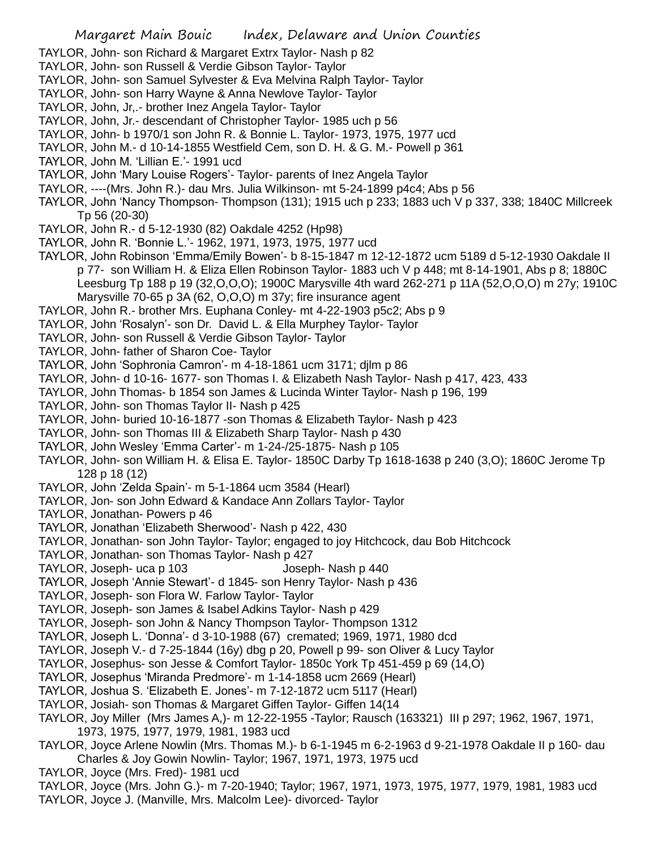- TAYLOR, John- son Richard & Margaret Extrx Taylor- Nash p 82
- TAYLOR, John- son Russell & Verdie Gibson Taylor- Taylor
- TAYLOR, John- son Samuel Sylvester & Eva Melvina Ralph Taylor- Taylor
- TAYLOR, John- son Harry Wayne & Anna Newlove Taylor- Taylor
- TAYLOR, John, Jr,.- brother Inez Angela Taylor- Taylor
- TAYLOR, John, Jr.- descendant of Christopher Taylor- 1985 uch p 56
- TAYLOR, John- b 1970/1 son John R. & Bonnie L. Taylor- 1973, 1975, 1977 ucd
- TAYLOR, John M.- d 10-14-1855 Westfield Cem, son D. H. & G. M.- Powell p 361
- TAYLOR, John M. 'Lillian E.'- 1991 ucd
- TAYLOR, John 'Mary Louise Rogers'- Taylor- parents of Inez Angela Taylor
- TAYLOR, ----(Mrs. John R.)- dau Mrs. Julia Wilkinson- mt 5-24-1899 p4c4; Abs p 56
- TAYLOR, John 'Nancy Thompson- Thompson (131); 1915 uch p 233; 1883 uch V p 337, 338; 1840C Millcreek Tp 56 (20-30)
- TAYLOR, John R.- d 5-12-1930 (82) Oakdale 4252 (Hp98)
- TAYLOR, John R. 'Bonnie L.'- 1962, 1971, 1973, 1975, 1977 ucd
- TAYLOR, John Robinson 'Emma/Emily Bowen'- b 8-15-1847 m 12-12-1872 ucm 5189 d 5-12-1930 Oakdale II p 77- son William H. & Eliza Ellen Robinson Taylor- 1883 uch V p 448; mt 8-14-1901, Abs p 8; 1880C Leesburg Tp 188 p 19 (32,O,O,O); 1900C Marysville 4th ward 262-271 p 11A (52,O,O,O) m 27y; 1910C Marysville 70-65 p 3A (62, O,O,O) m 37y; fire insurance agent
- TAYLOR, John R.- brother Mrs. Euphana Conley- mt 4-22-1903 p5c2; Abs p 9
- TAYLOR, John 'Rosalyn'- son Dr. David L. & Ella Murphey Taylor- Taylor
- TAYLOR, John- son Russell & Verdie Gibson Taylor- Taylor
- TAYLOR, John- father of Sharon Coe- Taylor
- TAYLOR, John 'Sophronia Camron'- m 4-18-1861 ucm 3171; djlm p 86
- TAYLOR, John- d 10-16- 1677- son Thomas I. & Elizabeth Nash Taylor- Nash p 417, 423, 433
- TAYLOR, John Thomas- b 1854 son James & Lucinda Winter Taylor- Nash p 196, 199
- TAYLOR, John- son Thomas Taylor II- Nash p 425
- TAYLOR, John- buried 10-16-1877 -son Thomas & Elizabeth Taylor- Nash p 423
- TAYLOR, John- son Thomas III & Elizabeth Sharp Taylor- Nash p 430
- TAYLOR, John Wesley 'Emma Carter'- m 1-24-/25-1875- Nash p 105
- TAYLOR, John- son William H. & Elisa E. Taylor- 1850C Darby Tp 1618-1638 p 240 (3,O); 1860C Jerome Tp 128 p 18 (12)
- TAYLOR, John 'Zelda Spain'- m 5-1-1864 ucm 3584 (Hearl)
- TAYLOR, Jon- son John Edward & Kandace Ann Zollars Taylor- Taylor
- TAYLOR, Jonathan- Powers p 46
- TAYLOR, Jonathan 'Elizabeth Sherwood'- Nash p 422, 430
- TAYLOR, Jonathan- son John Taylor- Taylor; engaged to joy Hitchcock, dau Bob Hitchcock
- TAYLOR, Jonathan- son Thomas Taylor- Nash p 427
- TAYLOR, Joseph- uca p 103 Joseph- Nash p 440
- TAYLOR, Joseph 'Annie Stewart'- d 1845- son Henry Taylor- Nash p 436
- TAYLOR, Joseph- son Flora W. Farlow Taylor- Taylor
- TAYLOR, Joseph- son James & Isabel Adkins Taylor- Nash p 429
- TAYLOR, Joseph- son John & Nancy Thompson Taylor- Thompson 1312
- TAYLOR, Joseph L. 'Donna'- d 3-10-1988 (67) cremated; 1969, 1971, 1980 dcd
- TAYLOR, Joseph V.- d 7-25-1844 (16y) dbg p 20, Powell p 99- son Oliver & Lucy Taylor
- TAYLOR, Josephus- son Jesse & Comfort Taylor- 1850c York Tp 451-459 p 69 (14,O)
- TAYLOR, Josephus 'Miranda Predmore'- m 1-14-1858 ucm 2669 (Hearl)
- TAYLOR, Joshua S. 'Elizabeth E. Jones'- m 7-12-1872 ucm 5117 (Hearl)
- TAYLOR, Josiah- son Thomas & Margaret Giffen Taylor- Giffen 14(14
- TAYLOR, Joy Miller (Mrs James A,)- m 12-22-1955 -Taylor; Rausch (163321) III p 297; 1962, 1967, 1971, 1973, 1975, 1977, 1979, 1981, 1983 ucd
- TAYLOR, Joyce Arlene Nowlin (Mrs. Thomas M.)- b 6-1-1945 m 6-2-1963 d 9-21-1978 Oakdale II p 160- dau Charles & Joy Gowin Nowlin- Taylor; 1967, 1971, 1973, 1975 ucd
- TAYLOR, Joyce (Mrs. Fred)- 1981 ucd
- TAYLOR, Joyce (Mrs. John G.)- m 7-20-1940; Taylor; 1967, 1971, 1973, 1975, 1977, 1979, 1981, 1983 ucd TAYLOR, Joyce J. (Manville, Mrs. Malcolm Lee)- divorced- Taylor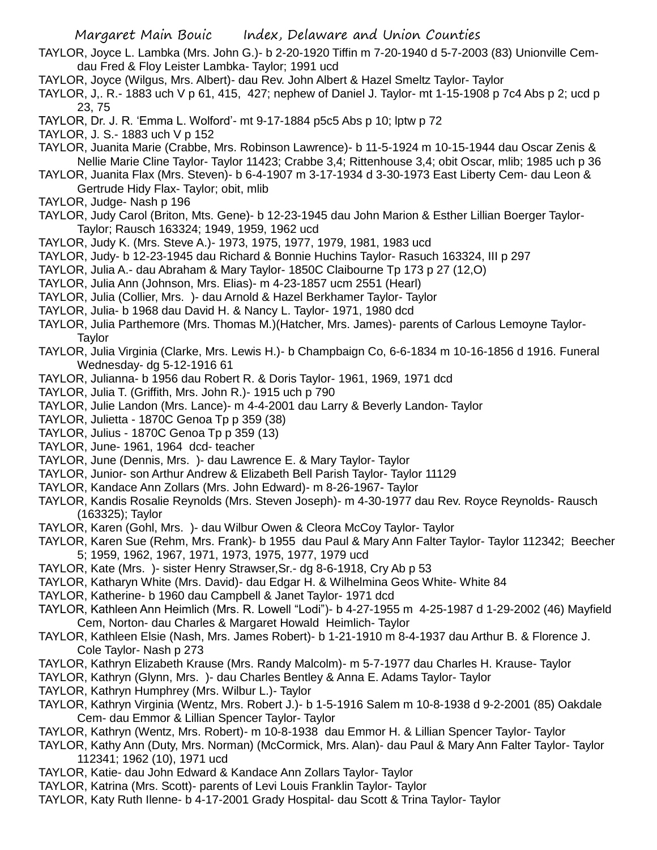- TAYLOR, Joyce L. Lambka (Mrs. John G.)- b 2-20-1920 Tiffin m 7-20-1940 d 5-7-2003 (83) Unionville Cemdau Fred & Floy Leister Lambka- Taylor; 1991 ucd
- TAYLOR, Joyce (Wilgus, Mrs. Albert)- dau Rev. John Albert & Hazel Smeltz Taylor- Taylor
- TAYLOR, J,. R.- 1883 uch V p 61, 415, 427; nephew of Daniel J. Taylor- mt 1-15-1908 p 7c4 Abs p 2; ucd p 23, 75
- TAYLOR, Dr. J. R. 'Emma L. Wolford'- mt 9-17-1884 p5c5 Abs p 10; lptw p 72
- TAYLOR, J. S.- 1883 uch V p 152
- TAYLOR, Juanita Marie (Crabbe, Mrs. Robinson Lawrence)- b 11-5-1924 m 10-15-1944 dau Oscar Zenis & Nellie Marie Cline Taylor- Taylor 11423; Crabbe 3,4; Rittenhouse 3,4; obit Oscar, mlib; 1985 uch p 36
- TAYLOR, Juanita Flax (Mrs. Steven)- b 6-4-1907 m 3-17-1934 d 3-30-1973 East Liberty Cem- dau Leon & Gertrude Hidy Flax- Taylor; obit, mlib
- TAYLOR, Judge- Nash p 196
- TAYLOR, Judy Carol (Briton, Mts. Gene)- b 12-23-1945 dau John Marion & Esther Lillian Boerger Taylor-Taylor; Rausch 163324; 1949, 1959, 1962 ucd
- TAYLOR, Judy K. (Mrs. Steve A.)- 1973, 1975, 1977, 1979, 1981, 1983 ucd
- TAYLOR, Judy- b 12-23-1945 dau Richard & Bonnie Huchins Taylor- Rasuch 163324, III p 297
- TAYLOR, Julia A.- dau Abraham & Mary Taylor- 1850C Claibourne Tp 173 p 27 (12,O)
- TAYLOR, Julia Ann (Johnson, Mrs. Elias)- m 4-23-1857 ucm 2551 (Hearl)
- TAYLOR, Julia (Collier, Mrs. )- dau Arnold & Hazel Berkhamer Taylor- Taylor
- TAYLOR, Julia- b 1968 dau David H. & Nancy L. Taylor- 1971, 1980 dcd
- TAYLOR, Julia Parthemore (Mrs. Thomas M.)(Hatcher, Mrs. James)- parents of Carlous Lemoyne Taylor-**Taylor**
- TAYLOR, Julia Virginia (Clarke, Mrs. Lewis H.)- b Champbaign Co, 6-6-1834 m 10-16-1856 d 1916. Funeral Wednesday- dg 5-12-1916 61
- TAYLOR, Julianna- b 1956 dau Robert R. & Doris Taylor- 1961, 1969, 1971 dcd
- TAYLOR, Julia T. (Griffith, Mrs. John R.)- 1915 uch p 790
- TAYLOR, Julie Landon (Mrs. Lance)- m 4-4-2001 dau Larry & Beverly Landon- Taylor
- TAYLOR, Julietta 1870C Genoa Tp p 359 (38)
- TAYLOR, Julius 1870C Genoa Tp p 359 (13)
- TAYLOR, June- 1961, 1964 dcd- teacher
- TAYLOR, June (Dennis, Mrs. )- dau Lawrence E. & Mary Taylor- Taylor
- TAYLOR, Junior- son Arthur Andrew & Elizabeth Bell Parish Taylor- Taylor 11129
- TAYLOR, Kandace Ann Zollars (Mrs. John Edward)- m 8-26-1967- Taylor
- TAYLOR, Kandis Rosalie Reynolds (Mrs. Steven Joseph)- m 4-30-1977 dau Rev. Royce Reynolds- Rausch (163325); Taylor
- TAYLOR, Karen (Gohl, Mrs. )- dau Wilbur Owen & Cleora McCoy Taylor- Taylor
- TAYLOR, Karen Sue (Rehm, Mrs. Frank)- b 1955 dau Paul & Mary Ann Falter Taylor- Taylor 112342; Beecher 5; 1959, 1962, 1967, 1971, 1973, 1975, 1977, 1979 ucd
- TAYLOR, Kate (Mrs. )- sister Henry Strawser,Sr.- dg 8-6-1918, Cry Ab p 53
- TAYLOR, Katharyn White (Mrs. David)- dau Edgar H. & Wilhelmina Geos White- White 84
- TAYLOR, Katherine- b 1960 dau Campbell & Janet Taylor- 1971 dcd
- TAYLOR, Kathleen Ann Heimlich (Mrs. R. Lowell "Lodi")- b 4-27-1955 m 4-25-1987 d 1-29-2002 (46) Mayfield Cem, Norton- dau Charles & Margaret Howald Heimlich- Taylor
- TAYLOR, Kathleen Elsie (Nash, Mrs. James Robert)- b 1-21-1910 m 8-4-1937 dau Arthur B. & Florence J. Cole Taylor- Nash p 273
- TAYLOR, Kathryn Elizabeth Krause (Mrs. Randy Malcolm)- m 5-7-1977 dau Charles H. Krause- Taylor
- TAYLOR, Kathryn (Glynn, Mrs. )- dau Charles Bentley & Anna E. Adams Taylor- Taylor
- TAYLOR, Kathryn Humphrey (Mrs. Wilbur L.)- Taylor
- TAYLOR, Kathryn Virginia (Wentz, Mrs. Robert J.)- b 1-5-1916 Salem m 10-8-1938 d 9-2-2001 (85) Oakdale Cem- dau Emmor & Lillian Spencer Taylor- Taylor
- TAYLOR, Kathryn (Wentz, Mrs. Robert)- m 10-8-1938 dau Emmor H. & Lillian Spencer Taylor- Taylor
- TAYLOR, Kathy Ann (Duty, Mrs. Norman) (McCormick, Mrs. Alan)- dau Paul & Mary Ann Falter Taylor- Taylor 112341; 1962 (10), 1971 ucd
- TAYLOR, Katie- dau John Edward & Kandace Ann Zollars Taylor- Taylor
- TAYLOR, Katrina (Mrs. Scott)- parents of Levi Louis Franklin Taylor- Taylor
- TAYLOR, Katy Ruth Ilenne- b 4-17-2001 Grady Hospital- dau Scott & Trina Taylor- Taylor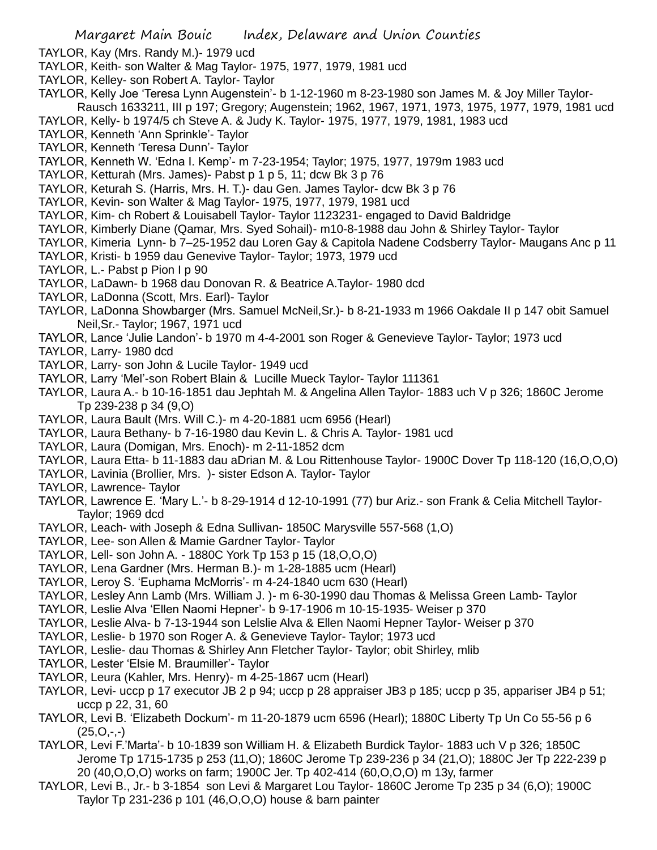- TAYLOR, Kay (Mrs. Randy M.)- 1979 ucd
- TAYLOR, Keith- son Walter & Mag Taylor- 1975, 1977, 1979, 1981 ucd
- TAYLOR, Kelley- son Robert A. Taylor- Taylor
- TAYLOR, Kelly Joe 'Teresa Lynn Augenstein'- b 1-12-1960 m 8-23-1980 son James M. & Joy Miller Taylor-Rausch 1633211, III p 197; Gregory; Augenstein; 1962, 1967, 1971, 1973, 1975, 1977, 1979, 1981 ucd
- TAYLOR, Kelly- b 1974/5 ch Steve A. & Judy K. Taylor- 1975, 1977, 1979, 1981, 1983 ucd
- TAYLOR, Kenneth 'Ann Sprinkle'- Taylor
- TAYLOR, Kenneth 'Teresa Dunn'- Taylor
- TAYLOR, Kenneth W. 'Edna I. Kemp'- m 7-23-1954; Taylor; 1975, 1977, 1979m 1983 ucd
- TAYLOR, Ketturah (Mrs. James)- Pabst p 1 p 5, 11; dcw Bk 3 p 76
- TAYLOR, Keturah S. (Harris, Mrs. H. T.)- dau Gen. James Taylor- dcw Bk 3 p 76
- TAYLOR, Kevin- son Walter & Mag Taylor- 1975, 1977, 1979, 1981 ucd
- TAYLOR, Kim- ch Robert & Louisabell Taylor- Taylor 1123231- engaged to David Baldridge
- TAYLOR, Kimberly Diane (Qamar, Mrs. Syed Sohail)- m10-8-1988 dau John & Shirley Taylor- Taylor
- TAYLOR, Kimeria Lynn- b 7–25-1952 dau Loren Gay & Capitola Nadene Codsberry Taylor- Maugans Anc p 11
- TAYLOR, Kristi- b 1959 dau Genevive Taylor- Taylor; 1973, 1979 ucd
- TAYLOR, L.- Pabst p Pion I p 90
- TAYLOR, LaDawn- b 1968 dau Donovan R. & Beatrice A.Taylor- 1980 dcd
- TAYLOR, LaDonna (Scott, Mrs. Earl)- Taylor
- TAYLOR, LaDonna Showbarger (Mrs. Samuel McNeil,Sr.)- b 8-21-1933 m 1966 Oakdale II p 147 obit Samuel Neil,Sr.- Taylor; 1967, 1971 ucd
- TAYLOR, Lance 'Julie Landon'- b 1970 m 4-4-2001 son Roger & Genevieve Taylor- Taylor; 1973 ucd
- TAYLOR, Larry- 1980 dcd
- TAYLOR, Larry- son John & Lucile Taylor- 1949 ucd
- TAYLOR, Larry 'Mel'-son Robert Blain & Lucille Mueck Taylor- Taylor 111361
- TAYLOR, Laura A.- b 10-16-1851 dau Jephtah M. & Angelina Allen Taylor- 1883 uch V p 326; 1860C Jerome Tp 239-238 p 34 (9,O)
- TAYLOR, Laura Bault (Mrs. Will C.)- m 4-20-1881 ucm 6956 (Hearl)
- TAYLOR, Laura Bethany- b 7-16-1980 dau Kevin L. & Chris A. Taylor- 1981 ucd
- TAYLOR, Laura (Domigan, Mrs. Enoch)- m 2-11-1852 dcm
- TAYLOR, Laura Etta- b 11-1883 dau aDrian M. & Lou Rittenhouse Taylor- 1900C Dover Tp 118-120 (16,O,O,O)
- TAYLOR, Lavinia (Brollier, Mrs. )- sister Edson A. Taylor- Taylor
- TAYLOR, Lawrence- Taylor
- TAYLOR, Lawrence E. 'Mary L.'- b 8-29-1914 d 12-10-1991 (77) bur Ariz.- son Frank & Celia Mitchell Taylor-Taylor; 1969 dcd
- TAYLOR, Leach- with Joseph & Edna Sullivan- 1850C Marysville 557-568 (1,O)
- TAYLOR, Lee- son Allen & Mamie Gardner Taylor- Taylor
- TAYLOR, Lell- son John A. 1880C York Tp 153 p 15 (18,O,O,O)
- TAYLOR, Lena Gardner (Mrs. Herman B.)- m 1-28-1885 ucm (Hearl)
- TAYLOR, Leroy S. 'Euphama McMorris'- m 4-24-1840 ucm 630 (Hearl)
- TAYLOR, Lesley Ann Lamb (Mrs. William J. )- m 6-30-1990 dau Thomas & Melissa Green Lamb- Taylor
- TAYLOR, Leslie Alva 'Ellen Naomi Hepner'- b 9-17-1906 m 10-15-1935- Weiser p 370
- TAYLOR, Leslie Alva- b 7-13-1944 son Lelslie Alva & Ellen Naomi Hepner Taylor- Weiser p 370
- TAYLOR, Leslie- b 1970 son Roger A. & Genevieve Taylor- Taylor; 1973 ucd
- TAYLOR, Leslie- dau Thomas & Shirley Ann Fletcher Taylor- Taylor; obit Shirley, mlib
- TAYLOR, Lester 'Elsie M. Braumiller'- Taylor
- TAYLOR, Leura (Kahler, Mrs. Henry)- m 4-25-1867 ucm (Hearl)
- TAYLOR, Levi- uccp p 17 executor JB 2 p 94; uccp p 28 appraiser JB3 p 185; uccp p 35, appariser JB4 p 51; uccp p 22, 31, 60
- TAYLOR, Levi B. 'Elizabeth Dockum'- m 11-20-1879 ucm 6596 (Hearl); 1880C Liberty Tp Un Co 55-56 p 6  $(25,0,-)$
- TAYLOR, Levi F.'Marta'- b 10-1839 son William H. & Elizabeth Burdick Taylor- 1883 uch V p 326; 1850C Jerome Tp 1715-1735 p 253 (11,O); 1860C Jerome Tp 239-236 p 34 (21,O); 1880C Jer Tp 222-239 p 20 (40,O,O,O) works on farm; 1900C Jer. Tp 402-414 (60,O,O,O) m 13y, farmer
- TAYLOR, Levi B., Jr.- b 3-1854 son Levi & Margaret Lou Taylor- 1860C Jerome Tp 235 p 34 (6,O); 1900C Taylor Tp 231-236 p 101 (46,O,O,O) house & barn painter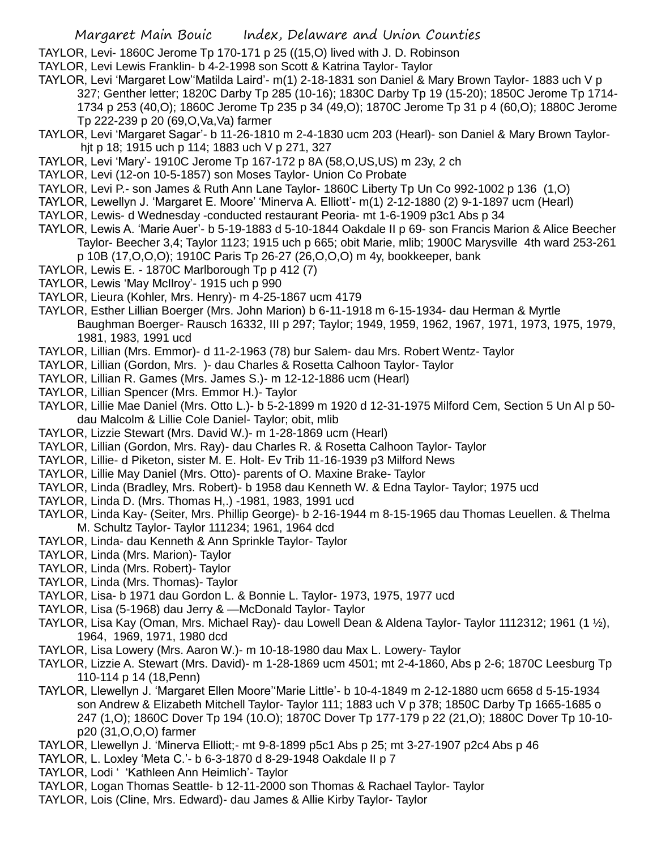TAYLOR, Levi- 1860C Jerome Tp 170-171 p 25 ((15,O) lived with J. D. Robinson

- TAYLOR, Levi Lewis Franklin- b 4-2-1998 son Scott & Katrina Taylor- Taylor
- TAYLOR, Levi 'Margaret Low''Matilda Laird'- m(1) 2-18-1831 son Daniel & Mary Brown Taylor- 1883 uch V p 327; Genther letter; 1820C Darby Tp 285 (10-16); 1830C Darby Tp 19 (15-20); 1850C Jerome Tp 1714- 1734 p 253 (40,O); 1860C Jerome Tp 235 p 34 (49,O); 1870C Jerome Tp 31 p 4 (60,O); 1880C Jerome Tp 222-239 p 20 (69,O,Va,Va) farmer
- TAYLOR, Levi 'Margaret Sagar'- b 11-26-1810 m 2-4-1830 ucm 203 (Hearl)- son Daniel & Mary Brown Taylorhjt p 18; 1915 uch p 114; 1883 uch V p 271, 327
- TAYLOR, Levi 'Mary'- 1910C Jerome Tp 167-172 p 8A (58,O,US,US) m 23y, 2 ch
- TAYLOR, Levi (12-on 10-5-1857) son Moses Taylor- Union Co Probate
- TAYLOR, Levi P.- son James & Ruth Ann Lane Taylor- 1860C Liberty Tp Un Co 992-1002 p 136 (1,O)
- TAYLOR, Lewellyn J. 'Margaret E. Moore' 'Minerva A. Elliott'- m(1) 2-12-1880 (2) 9-1-1897 ucm (Hearl)
- TAYLOR, Lewis- d Wednesday -conducted restaurant Peoria- mt 1-6-1909 p3c1 Abs p 34
- TAYLOR, Lewis A. 'Marie Auer'- b 5-19-1883 d 5-10-1844 Oakdale II p 69- son Francis Marion & Alice Beecher Taylor- Beecher 3,4; Taylor 1123; 1915 uch p 665; obit Marie, mlib; 1900C Marysville 4th ward 253-261 p 10B (17,O,O,O); 1910C Paris Tp 26-27 (26,O,O,O) m 4y, bookkeeper, bank
- TAYLOR, Lewis E. 1870C Marlborough Tp p 412 (7)
- TAYLOR, Lewis 'May McIlroy'- 1915 uch p 990
- TAYLOR, Lieura (Kohler, Mrs. Henry)- m 4-25-1867 ucm 4179
- TAYLOR, Esther Lillian Boerger (Mrs. John Marion) b 6-11-1918 m 6-15-1934- dau Herman & Myrtle Baughman Boerger- Rausch 16332, III p 297; Taylor; 1949, 1959, 1962, 1967, 1971, 1973, 1975, 1979, 1981, 1983, 1991 ucd
- TAYLOR, Lillian (Mrs. Emmor)- d 11-2-1963 (78) bur Salem- dau Mrs. Robert Wentz- Taylor
- TAYLOR, Lillian (Gordon, Mrs. )- dau Charles & Rosetta Calhoon Taylor- Taylor
- TAYLOR, Lillian R. Games (Mrs. James S.)- m 12-12-1886 ucm (Hearl)
- TAYLOR, Lillian Spencer (Mrs. Emmor H.)- Taylor
- TAYLOR, Lillie Mae Daniel (Mrs. Otto L.)- b 5-2-1899 m 1920 d 12-31-1975 Milford Cem, Section 5 Un Al p 50 dau Malcolm & Lillie Cole Daniel- Taylor; obit, mlib
- TAYLOR, Lizzie Stewart (Mrs. David W.)- m 1-28-1869 ucm (Hearl)
- TAYLOR, Lillian (Gordon, Mrs. Ray)- dau Charles R. & Rosetta Calhoon Taylor- Taylor
- TAYLOR, Lillie- d Piketon, sister M. E. Holt- Ev Trib 11-16-1939 p3 Milford News
- TAYLOR, Lillie May Daniel (Mrs. Otto)- parents of O. Maxine Brake- Taylor
- TAYLOR, Linda (Bradley, Mrs. Robert)- b 1958 dau Kenneth W. & Edna Taylor- Taylor; 1975 ucd
- TAYLOR, Linda D. (Mrs. Thomas H,.) -1981, 1983, 1991 ucd
- TAYLOR, Linda Kay- (Seiter, Mrs. Phillip George)- b 2-16-1944 m 8-15-1965 dau Thomas Leuellen. & Thelma M. Schultz Taylor- Taylor 111234; 1961, 1964 dcd
- TAYLOR, Linda- dau Kenneth & Ann Sprinkle Taylor- Taylor
- TAYLOR, Linda (Mrs. Marion)- Taylor
- TAYLOR, Linda (Mrs. Robert)- Taylor
- TAYLOR, Linda (Mrs. Thomas)- Taylor
- TAYLOR, Lisa- b 1971 dau Gordon L. & Bonnie L. Taylor- 1973, 1975, 1977 ucd
- TAYLOR, Lisa (5-1968) dau Jerry & —McDonald Taylor- Taylor
- TAYLOR, Lisa Kay (Oman, Mrs. Michael Ray)- dau Lowell Dean & Aldena Taylor- Taylor 1112312; 1961 (1 ½), 1964, 1969, 1971, 1980 dcd
- TAYLOR, Lisa Lowery (Mrs. Aaron W.)- m 10-18-1980 dau Max L. Lowery- Taylor
- TAYLOR, Lizzie A. Stewart (Mrs. David)- m 1-28-1869 ucm 4501; mt 2-4-1860, Abs p 2-6; 1870C Leesburg Tp 110-114 p 14 (18,Penn)
- TAYLOR, Llewellyn J. 'Margaret Ellen Moore''Marie Little'- b 10-4-1849 m 2-12-1880 ucm 6658 d 5-15-1934 son Andrew & Elizabeth Mitchell Taylor- Taylor 111; 1883 uch V p 378; 1850C Darby Tp 1665-1685 o 247 (1,O); 1860C Dover Tp 194 (10.O); 1870C Dover Tp 177-179 p 22 (21,O); 1880C Dover Tp 10-10 p20 (31,O,O,O) farmer
- TAYLOR, Llewellyn J. 'Minerva Elliott;- mt 9-8-1899 p5c1 Abs p 25; mt 3-27-1907 p2c4 Abs p 46
- TAYLOR, L. Loxley 'Meta C.'- b 6-3-1870 d 8-29-1948 Oakdale II p 7
- TAYLOR, Lodi ' 'Kathleen Ann Heimlich'- Taylor
- TAYLOR, Logan Thomas Seattle- b 12-11-2000 son Thomas & Rachael Taylor- Taylor
- TAYLOR, Lois (Cline, Mrs. Edward)- dau James & Allie Kirby Taylor- Taylor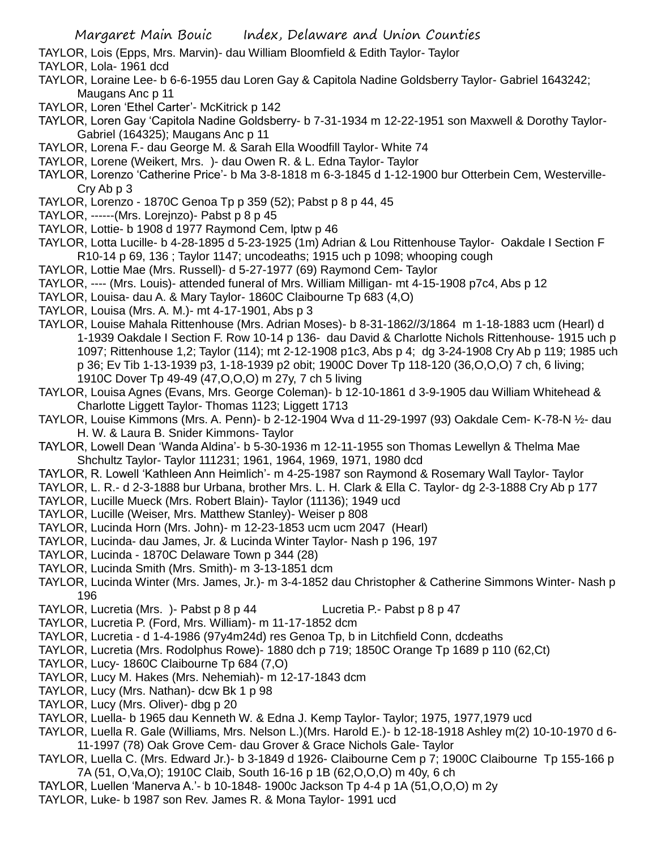TAYLOR, Lois (Epps, Mrs. Marvin)- dau William Bloomfield & Edith Taylor- Taylor

- TAYLOR, Lola- 1961 dcd
- TAYLOR, Loraine Lee- b 6-6-1955 dau Loren Gay & Capitola Nadine Goldsberry Taylor- Gabriel 1643242; Maugans Anc p 11
- TAYLOR, Loren 'Ethel Carter'- McKitrick p 142
- TAYLOR, Loren Gay 'Capitola Nadine Goldsberry- b 7-31-1934 m 12-22-1951 son Maxwell & Dorothy Taylor-Gabriel (164325); Maugans Anc p 11
- TAYLOR, Lorena F.- dau George M. & Sarah Ella Woodfill Taylor- White 74
- TAYLOR, Lorene (Weikert, Mrs. )- dau Owen R. & L. Edna Taylor- Taylor
- TAYLOR, Lorenzo 'Catherine Price'- b Ma 3-8-1818 m 6-3-1845 d 1-12-1900 bur Otterbein Cem, Westerville-Cry Ab p 3
- TAYLOR, Lorenzo 1870C Genoa Tp p 359 (52); Pabst p 8 p 44, 45
- TAYLOR, ------(Mrs. Lorejnzo)- Pabst p 8 p 45
- TAYLOR, Lottie- b 1908 d 1977 Raymond Cem, lptw p 46
- TAYLOR, Lotta Lucille- b 4-28-1895 d 5-23-1925 (1m) Adrian & Lou Rittenhouse Taylor- Oakdale I Section F R10-14 p 69, 136 ; Taylor 1147; uncodeaths; 1915 uch p 1098; whooping cough
- TAYLOR, Lottie Mae (Mrs. Russell)- d 5-27-1977 (69) Raymond Cem- Taylor
- TAYLOR, ---- (Mrs. Louis)- attended funeral of Mrs. William Milligan- mt 4-15-1908 p7c4, Abs p 12
- TAYLOR, Louisa- dau A. & Mary Taylor- 1860C Claibourne Tp 683 (4,O)
- TAYLOR, Louisa (Mrs. A. M.)- mt 4-17-1901, Abs p 3
- TAYLOR, Louise Mahala Rittenhouse (Mrs. Adrian Moses)- b 8-31-1862//3/1864 m 1-18-1883 ucm (Hearl) d 1-1939 Oakdale I Section F. Row 10-14 p 136- dau David & Charlotte Nichols Rittenhouse- 1915 uch p 1097; Rittenhouse 1,2; Taylor (114); mt 2-12-1908 p1c3, Abs p 4; dg 3-24-1908 Cry Ab p 119; 1985 uch p 36; Ev Tib 1-13-1939 p3, 1-18-1939 p2 obit; 1900C Dover Tp 118-120 (36,O,O,O) 7 ch, 6 living; 1910C Dover Tp 49-49 (47,O,O,O) m 27y, 7 ch 5 living
- TAYLOR, Louisa Agnes (Evans, Mrs. George Coleman)- b 12-10-1861 d 3-9-1905 dau William Whitehead & Charlotte Liggett Taylor- Thomas 1123; Liggett 1713
- TAYLOR, Louise Kimmons (Mrs. A. Penn)- b 2-12-1904 Wva d 11-29-1997 (93) Oakdale Cem- K-78-N ½- dau H. W. & Laura B. Snider Kimmons- Taylor
- TAYLOR, Lowell Dean 'Wanda Aldina'- b 5-30-1936 m 12-11-1955 son Thomas Lewellyn & Thelma Mae Shchultz Taylor- Taylor 111231; 1961, 1964, 1969, 1971, 1980 dcd
- TAYLOR, R. Lowell 'Kathleen Ann Heimlich'- m 4-25-1987 son Raymond & Rosemary Wall Taylor- Taylor
- TAYLOR, L. R.- d 2-3-1888 bur Urbana, brother Mrs. L. H. Clark & Ella C. Taylor- dg 2-3-1888 Cry Ab p 177
- TAYLOR, Lucille Mueck (Mrs. Robert Blain)- Taylor (11136); 1949 ucd
- TAYLOR, Lucille (Weiser, Mrs. Matthew Stanley)- Weiser p 808
- TAYLOR, Lucinda Horn (Mrs. John)- m 12-23-1853 ucm ucm 2047 (Hearl)
- TAYLOR, Lucinda- dau James, Jr. & Lucinda Winter Taylor- Nash p 196, 197
- TAYLOR, Lucinda 1870C Delaware Town p 344 (28)
- TAYLOR, Lucinda Smith (Mrs. Smith)- m 3-13-1851 dcm
- TAYLOR, Lucinda Winter (Mrs. James, Jr.)- m 3-4-1852 dau Christopher & Catherine Simmons Winter- Nash p 196
- TAYLOR, Lucretia (Mrs. )- Pabst p 8 p 44 Lucretia P.- Pabst p 8 p 47
- TAYLOR, Lucretia P. (Ford, Mrs. William)- m 11-17-1852 dcm
- TAYLOR, Lucretia d 1-4-1986 (97y4m24d) res Genoa Tp, b in Litchfield Conn, dcdeaths
- TAYLOR, Lucretia (Mrs. Rodolphus Rowe)- 1880 dch p 719; 1850C Orange Tp 1689 p 110 (62,Ct)
- TAYLOR, Lucy- 1860C Claibourne Tp 684 (7,O)
- TAYLOR, Lucy M. Hakes (Mrs. Nehemiah)- m 12-17-1843 dcm
- TAYLOR, Lucy (Mrs. Nathan)- dcw Bk 1 p 98
- TAYLOR, Lucy (Mrs. Oliver)- dbg p 20
- TAYLOR, Luella- b 1965 dau Kenneth W. & Edna J. Kemp Taylor- Taylor; 1975, 1977,1979 ucd
- TAYLOR, Luella R. Gale (Williams, Mrs. Nelson L.)(Mrs. Harold E.)- b 12-18-1918 Ashley m(2) 10-10-1970 d 6- 11-1997 (78) Oak Grove Cem- dau Grover & Grace Nichols Gale- Taylor
- TAYLOR, Luella C. (Mrs. Edward Jr.)- b 3-1849 d 1926- Claibourne Cem p 7; 1900C Claibourne Tp 155-166 p 7A (51, O,Va,O); 1910C Claib, South 16-16 p 1B (62,O,O,O) m 40y, 6 ch
- TAYLOR, Luellen 'Manerva A.'- b 10-1848- 1900c Jackson Tp 4-4 p 1A (51,O,O,O) m 2y
- TAYLOR, Luke- b 1987 son Rev. James R. & Mona Taylor- 1991 ucd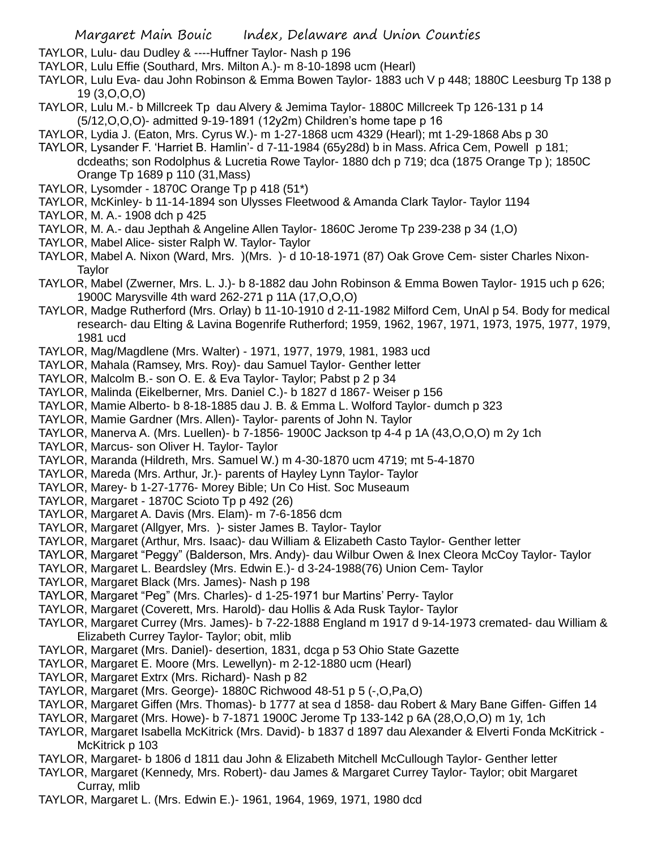TAYLOR, Lulu- dau Dudley & ----Huffner Taylor- Nash p 196

TAYLOR, Lulu Effie (Southard, Mrs. Milton A.)- m 8-10-1898 ucm (Hearl)

TAYLOR, Lulu Eva- dau John Robinson & Emma Bowen Taylor- 1883 uch V p 448; 1880C Leesburg Tp 138 p 19 (3,O,O,O)

TAYLOR, Lulu M.- b Millcreek Tp dau Alvery & Jemima Taylor- 1880C Millcreek Tp 126-131 p 14 (5/12,O,O,O)- admitted 9-19-1891 (12y2m) Children's home tape p 16

TAYLOR, Lydia J. (Eaton, Mrs. Cyrus W.)- m 1-27-1868 ucm 4329 (Hearl); mt 1-29-1868 Abs p 30

- TAYLOR, Lysander F. 'Harriet B. Hamlin'- d 7-11-1984 (65y28d) b in Mass. Africa Cem, Powell p 181; dcdeaths; son Rodolphus & Lucretia Rowe Taylor- 1880 dch p 719; dca (1875 Orange Tp ); 1850C Orange Tp 1689 p 110 (31,Mass)
- TAYLOR, Lysomder 1870C Orange Tp p 418 (51\*)
- TAYLOR, McKinley- b 11-14-1894 son Ulysses Fleetwood & Amanda Clark Taylor- Taylor 1194
- TAYLOR, M. A.- 1908 dch p 425
- TAYLOR, M. A.- dau Jepthah & Angeline Allen Taylor- 1860C Jerome Tp 239-238 p 34 (1,O)
- TAYLOR, Mabel Alice- sister Ralph W. Taylor- Taylor
- TAYLOR, Mabel A. Nixon (Ward, Mrs. )(Mrs. )- d 10-18-1971 (87) Oak Grove Cem- sister Charles Nixon-Taylor
- TAYLOR, Mabel (Zwerner, Mrs. L. J.)- b 8-1882 dau John Robinson & Emma Bowen Taylor- 1915 uch p 626; 1900C Marysville 4th ward 262-271 p 11A (17,O,O,O)
- TAYLOR, Madge Rutherford (Mrs. Orlay) b 11-10-1910 d 2-11-1982 Milford Cem, UnAl p 54. Body for medical research- dau Elting & Lavina Bogenrife Rutherford; 1959, 1962, 1967, 1971, 1973, 1975, 1977, 1979, 1981 ucd
- TAYLOR, Mag/Magdlene (Mrs. Walter) 1971, 1977, 1979, 1981, 1983 ucd
- TAYLOR, Mahala (Ramsey, Mrs. Roy)- dau Samuel Taylor- Genther letter
- TAYLOR, Malcolm B.- son O. E. & Eva Taylor- Taylor; Pabst p 2 p 34
- TAYLOR, Malinda (Eikelberner, Mrs. Daniel C.)- b 1827 d 1867- Weiser p 156
- TAYLOR, Mamie Alberto- b 8-18-1885 dau J. B. & Emma L. Wolford Taylor- dumch p 323
- TAYLOR, Mamie Gardner (Mrs. Allen)- Taylor- parents of John N. Taylor
- TAYLOR, Manerva A. (Mrs. Luellen)- b 7-1856- 1900C Jackson tp 4-4 p 1A (43,O,O,O) m 2y 1ch
- TAYLOR, Marcus- son Oliver H. Taylor- Taylor
- TAYLOR, Maranda (Hildreth, Mrs. Samuel W.) m 4-30-1870 ucm 4719; mt 5-4-1870
- TAYLOR, Mareda (Mrs. Arthur, Jr.)- parents of Hayley Lynn Taylor- Taylor
- TAYLOR, Marey- b 1-27-1776- Morey Bible; Un Co Hist. Soc Museaum
- TAYLOR, Margaret 1870C Scioto Tp p 492 (26)
- TAYLOR, Margaret A. Davis (Mrs. Elam)- m 7-6-1856 dcm
- TAYLOR, Margaret (Allgyer, Mrs. )- sister James B. Taylor- Taylor
- TAYLOR, Margaret (Arthur, Mrs. Isaac)- dau William & Elizabeth Casto Taylor- Genther letter
- TAYLOR, Margaret "Peggy" (Balderson, Mrs. Andy)- dau Wilbur Owen & Inex Cleora McCoy Taylor- Taylor
- TAYLOR, Margaret L. Beardsley (Mrs. Edwin E.)- d 3-24-1988(76) Union Cem- Taylor
- TAYLOR, Margaret Black (Mrs. James)- Nash p 198
- TAYLOR, Margaret "Peg" (Mrs. Charles)- d 1-25-1971 bur Martins' Perry- Taylor
- TAYLOR, Margaret (Coverett, Mrs. Harold)- dau Hollis & Ada Rusk Taylor- Taylor
- TAYLOR, Margaret Currey (Mrs. James)- b 7-22-1888 England m 1917 d 9-14-1973 cremated- dau William & Elizabeth Currey Taylor- Taylor; obit, mlib
- TAYLOR, Margaret (Mrs. Daniel)- desertion, 1831, dcga p 53 Ohio State Gazette
- TAYLOR, Margaret E. Moore (Mrs. Lewellyn)- m 2-12-1880 ucm (Hearl)
- TAYLOR, Margaret Extrx (Mrs. Richard)- Nash p 82
- TAYLOR, Margaret (Mrs. George)- 1880C Richwood 48-51 p 5 (-,O,Pa,O)
- TAYLOR, Margaret Giffen (Mrs. Thomas)- b 1777 at sea d 1858- dau Robert & Mary Bane Giffen- Giffen 14
- TAYLOR, Margaret (Mrs. Howe)- b 7-1871 1900C Jerome Tp 133-142 p 6A (28,O,O,O) m 1y, 1ch
- TAYLOR, Margaret Isabella McKitrick (Mrs. David)- b 1837 d 1897 dau Alexander & Elverti Fonda McKitrick McKitrick p 103
- TAYLOR, Margaret- b 1806 d 1811 dau John & Elizabeth Mitchell McCullough Taylor- Genther letter
- TAYLOR, Margaret (Kennedy, Mrs. Robert)- dau James & Margaret Currey Taylor- Taylor; obit Margaret Curray, mlib
- TAYLOR, Margaret L. (Mrs. Edwin E.)- 1961, 1964, 1969, 1971, 1980 dcd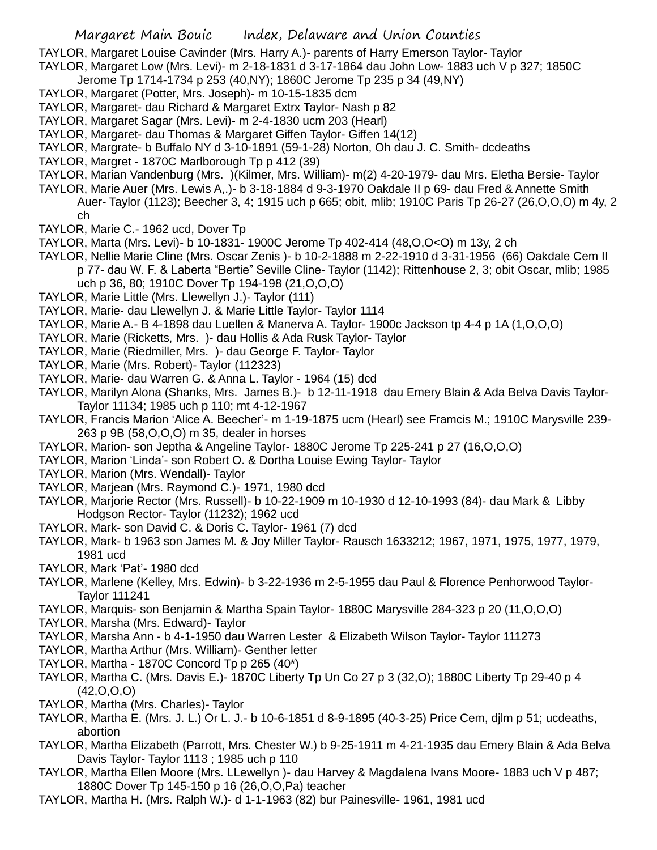TAYLOR, Margaret Louise Cavinder (Mrs. Harry A.)- parents of Harry Emerson Taylor- Taylor

- TAYLOR, Margaret Low (Mrs. Levi)- m 2-18-1831 d 3-17-1864 dau John Low- 1883 uch V p 327; 1850C
	- Jerome Tp 1714-1734 p 253 (40,NY); 1860C Jerome Tp 235 p 34 (49,NY)
- TAYLOR, Margaret (Potter, Mrs. Joseph)- m 10-15-1835 dcm
- TAYLOR, Margaret- dau Richard & Margaret Extrx Taylor- Nash p 82
- TAYLOR, Margaret Sagar (Mrs. Levi)- m 2-4-1830 ucm 203 (Hearl)
- TAYLOR, Margaret- dau Thomas & Margaret Giffen Taylor- Giffen 14(12)
- TAYLOR, Margrate- b Buffalo NY d 3-10-1891 (59-1-28) Norton, Oh dau J. C. Smith- dcdeaths
- TAYLOR, Margret 1870C Marlborough Tp p 412 (39)
- TAYLOR, Marian Vandenburg (Mrs. )(Kilmer, Mrs. William)- m(2) 4-20-1979- dau Mrs. Eletha Bersie- Taylor
- TAYLOR, Marie Auer (Mrs. Lewis A,.)- b 3-18-1884 d 9-3-1970 Oakdale II p 69- dau Fred & Annette Smith Auer- Taylor (1123); Beecher 3, 4; 1915 uch p 665; obit, mlib; 1910C Paris Tp 26-27 (26,O,O,O) m 4y, 2 ch
- TAYLOR, Marie C.- 1962 ucd, Dover Tp
- TAYLOR, Marta (Mrs. Levi)- b 10-1831- 1900C Jerome Tp 402-414 (48,O,O<O) m 13y, 2 ch
- TAYLOR, Nellie Marie Cline (Mrs. Oscar Zenis )- b 10-2-1888 m 2-22-1910 d 3-31-1956 (66) Oakdale Cem II p 77- dau W. F. & Laberta "Bertie" Seville Cline- Taylor (1142); Rittenhouse 2, 3; obit Oscar, mlib; 1985 uch p 36, 80; 1910C Dover Tp 194-198 (21,O,O,O)
- TAYLOR, Marie Little (Mrs. Llewellyn J.)- Taylor (111)
- TAYLOR, Marie- dau Llewellyn J. & Marie Little Taylor- Taylor 1114
- TAYLOR, Marie A.- B 4-1898 dau Luellen & Manerva A. Taylor- 1900c Jackson tp 4-4 p 1A (1,O,O,O)
- TAYLOR, Marie (Ricketts, Mrs. )- dau Hollis & Ada Rusk Taylor- Taylor
- TAYLOR, Marie (Riedmiller, Mrs. )- dau George F. Taylor- Taylor
- TAYLOR, Marie (Mrs. Robert)- Taylor (112323)
- TAYLOR, Marie- dau Warren G. & Anna L. Taylor 1964 (15) dcd
- TAYLOR, Marilyn Alona (Shanks, Mrs. James B.)- b 12-11-1918 dau Emery Blain & Ada Belva Davis Taylor-Taylor 11134; 1985 uch p 110; mt 4-12-1967
- TAYLOR, Francis Marion 'Alice A. Beecher'- m 1-19-1875 ucm (Hearl) see Framcis M.; 1910C Marysville 239- 263 p 9B (58,O,O,O) m 35, dealer in horses
- TAYLOR, Marion- son Jeptha & Angeline Taylor- 1880C Jerome Tp 225-241 p 27 (16,O,O,O)
- TAYLOR, Marion 'Linda'- son Robert O. & Dortha Louise Ewing Taylor- Taylor
- TAYLOR, Marion (Mrs. Wendall)- Taylor
- TAYLOR, Marjean (Mrs. Raymond C.)- 1971, 1980 dcd
- TAYLOR, Marjorie Rector (Mrs. Russell)- b 10-22-1909 m 10-1930 d 12-10-1993 (84)- dau Mark & Libby Hodgson Rector- Taylor (11232); 1962 ucd
- TAYLOR, Mark- son David C. & Doris C. Taylor- 1961 (7) dcd
- TAYLOR, Mark- b 1963 son James M. & Joy Miller Taylor- Rausch 1633212; 1967, 1971, 1975, 1977, 1979, 1981 ucd
- TAYLOR, Mark 'Pat'- 1980 dcd
- TAYLOR, Marlene (Kelley, Mrs. Edwin)- b 3-22-1936 m 2-5-1955 dau Paul & Florence Penhorwood Taylor-Taylor 111241
- TAYLOR, Marquis- son Benjamin & Martha Spain Taylor- 1880C Marysville 284-323 p 20 (11,O,O,O)
- TAYLOR, Marsha (Mrs. Edward)- Taylor
- TAYLOR, Marsha Ann b 4-1-1950 dau Warren Lester & Elizabeth Wilson Taylor- Taylor 111273
- TAYLOR, Martha Arthur (Mrs. William)- Genther letter
- TAYLOR, Martha 1870C Concord Tp p 265 (40\*)
- TAYLOR, Martha C. (Mrs. Davis E.)- 1870C Liberty Tp Un Co 27 p 3 (32,O); 1880C Liberty Tp 29-40 p 4  $(42, 0, 0, 0)$
- TAYLOR, Martha (Mrs. Charles)- Taylor
- TAYLOR, Martha E. (Mrs. J. L.) Or L. J.- b 10-6-1851 d 8-9-1895 (40-3-25) Price Cem, djlm p 51; ucdeaths, abortion
- TAYLOR, Martha Elizabeth (Parrott, Mrs. Chester W.) b 9-25-1911 m 4-21-1935 dau Emery Blain & Ada Belva Davis Taylor- Taylor 1113 ; 1985 uch p 110
- TAYLOR, Martha Ellen Moore (Mrs. LLewellyn )- dau Harvey & Magdalena Ivans Moore- 1883 uch V p 487; 1880C Dover Tp 145-150 p 16 (26,O,O,Pa) teacher
- TAYLOR, Martha H. (Mrs. Ralph W.)- d 1-1-1963 (82) bur Painesville- 1961, 1981 ucd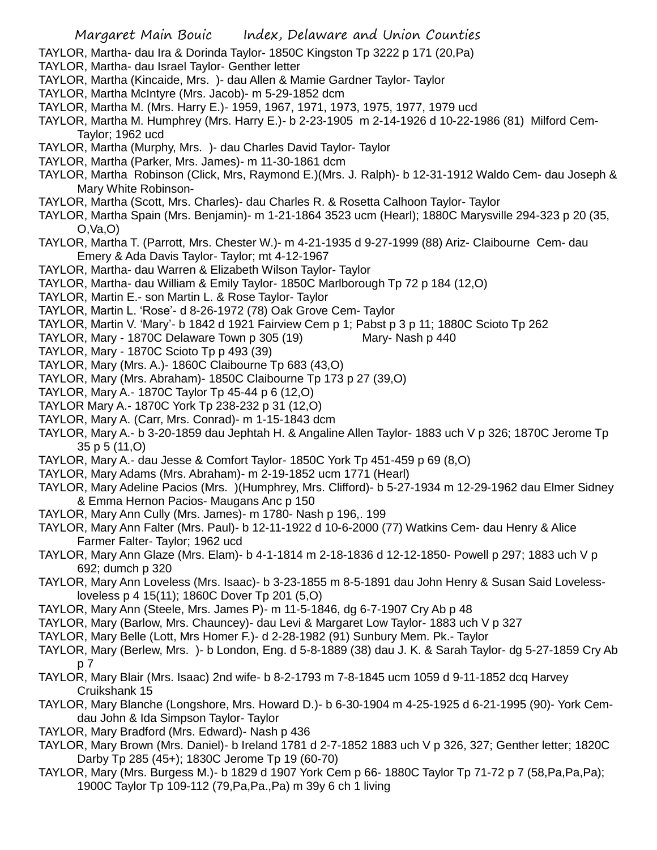TAYLOR, Martha- dau Ira & Dorinda Taylor- 1850C Kingston Tp 3222 p 171 (20,Pa)

- TAYLOR, Martha- dau Israel Taylor- Genther letter
- TAYLOR, Martha (Kincaide, Mrs. )- dau Allen & Mamie Gardner Taylor- Taylor
- TAYLOR, Martha McIntyre (Mrs. Jacob)- m 5-29-1852 dcm
- TAYLOR, Martha M. (Mrs. Harry E.)- 1959, 1967, 1971, 1973, 1975, 1977, 1979 ucd
- TAYLOR, Martha M. Humphrey (Mrs. Harry E.)- b 2-23-1905 m 2-14-1926 d 10-22-1986 (81) Milford Cem-Taylor; 1962 ucd
- TAYLOR, Martha (Murphy, Mrs. )- dau Charles David Taylor- Taylor
- TAYLOR, Martha (Parker, Mrs. James)- m 11-30-1861 dcm
- TAYLOR, Martha Robinson (Click, Mrs, Raymond E.)(Mrs. J. Ralph)- b 12-31-1912 Waldo Cem- dau Joseph & Mary White Robinson-
- TAYLOR, Martha (Scott, Mrs. Charles)- dau Charles R. & Rosetta Calhoon Taylor- Taylor
- TAYLOR, Martha Spain (Mrs. Benjamin)- m 1-21-1864 3523 ucm (Hearl); 1880C Marysville 294-323 p 20 (35, O,Va,O)
- TAYLOR, Martha T. (Parrott, Mrs. Chester W.)- m 4-21-1935 d 9-27-1999 (88) Ariz- Claibourne Cem- dau Emery & Ada Davis Taylor- Taylor; mt 4-12-1967
- TAYLOR, Martha- dau Warren & Elizabeth Wilson Taylor- Taylor
- TAYLOR, Martha- dau William & Emily Taylor- 1850C Marlborough Tp 72 p 184 (12,O)
- TAYLOR, Martin E.- son Martin L. & Rose Taylor- Taylor
- TAYLOR, Martin L. 'Rose'- d 8-26-1972 (78) Oak Grove Cem- Taylor
- TAYLOR, Martin V. 'Mary'- b 1842 d 1921 Fairview Cem p 1; Pabst p 3 p 11; 1880C Scioto Tp 262
- TAYLOR, Mary 1870C Delaware Town p 305 (19) Mary- Nash p 440
- TAYLOR, Mary 1870C Scioto Tp p 493 (39)
- TAYLOR, Mary (Mrs. A.)- 1860C Claibourne Tp 683 (43,O)
- TAYLOR, Mary (Mrs. Abraham)- 1850C Claibourne Tp 173 p 27 (39,O)
- TAYLOR, Mary A.- 1870C Taylor Tp 45-44 p 6 (12,O)
- TAYLOR Mary A.- 1870C York Tp 238-232 p 31 (12,O)
- TAYLOR, Mary A. (Carr, Mrs. Conrad)- m 1-15-1843 dcm
- TAYLOR, Mary A.- b 3-20-1859 dau Jephtah H. & Angaline Allen Taylor- 1883 uch V p 326; 1870C Jerome Tp 35 p 5 (11,O)
- TAYLOR, Mary A.- dau Jesse & Comfort Taylor- 1850C York Tp 451-459 p 69 (8,O)
- TAYLOR, Mary Adams (Mrs. Abraham)- m 2-19-1852 ucm 1771 (Hearl)
- TAYLOR, Mary Adeline Pacios (Mrs. )(Humphrey, Mrs. Clifford)- b 5-27-1934 m 12-29-1962 dau Elmer Sidney & Emma Hernon Pacios- Maugans Anc p 150
- TAYLOR, Mary Ann Cully (Mrs. James)- m 1780- Nash p 196,. 199
- TAYLOR, Mary Ann Falter (Mrs. Paul)- b 12-11-1922 d 10-6-2000 (77) Watkins Cem- dau Henry & Alice Farmer Falter- Taylor; 1962 ucd
- TAYLOR, Mary Ann Glaze (Mrs. Elam)- b 4-1-1814 m 2-18-1836 d 12-12-1850- Powell p 297; 1883 uch V p 692; dumch p 320
- TAYLOR, Mary Ann Loveless (Mrs. Isaac)- b 3-23-1855 m 8-5-1891 dau John Henry & Susan Said Lovelessloveless p 4 15(11); 1860C Dover Tp 201 (5,O)
- TAYLOR, Mary Ann (Steele, Mrs. James P)- m 11-5-1846, dg 6-7-1907 Cry Ab p 48
- TAYLOR, Mary (Barlow, Mrs. Chauncey)- dau Levi & Margaret Low Taylor- 1883 uch V p 327
- TAYLOR, Mary Belle (Lott, Mrs Homer F.)- d 2-28-1982 (91) Sunbury Mem. Pk.- Taylor
- TAYLOR, Mary (Berlew, Mrs. )- b London, Eng. d 5-8-1889 (38) dau J. K. & Sarah Taylor- dg 5-27-1859 Cry Ab p 7
- TAYLOR, Mary Blair (Mrs. Isaac) 2nd wife- b 8-2-1793 m 7-8-1845 ucm 1059 d 9-11-1852 dcq Harvey Cruikshank 15
- TAYLOR, Mary Blanche (Longshore, Mrs. Howard D.)- b 6-30-1904 m 4-25-1925 d 6-21-1995 (90)- York Cemdau John & Ida Simpson Taylor- Taylor
- TAYLOR, Mary Bradford (Mrs. Edward)- Nash p 436
- TAYLOR, Mary Brown (Mrs. Daniel)- b Ireland 1781 d 2-7-1852 1883 uch V p 326, 327; Genther letter; 1820C Darby Tp 285 (45+); 1830C Jerome Tp 19 (60-70)
- TAYLOR, Mary (Mrs. Burgess M.)- b 1829 d 1907 York Cem p 66- 1880C Taylor Tp 71-72 p 7 (58,Pa,Pa,Pa); 1900C Taylor Tp 109-112 (79,Pa,Pa.,Pa) m 39y 6 ch 1 living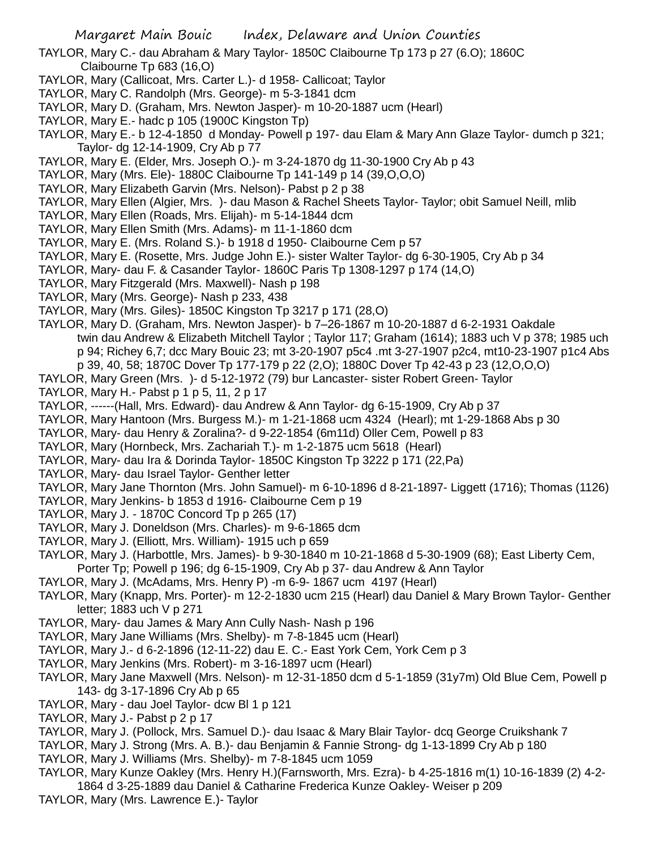- TAYLOR, Mary C.- dau Abraham & Mary Taylor- 1850C Claibourne Tp 173 p 27 (6.O); 1860C Claibourne Tp 683 (16,O)
- TAYLOR, Mary (Callicoat, Mrs. Carter L.)- d 1958- Callicoat; Taylor
- TAYLOR, Mary C. Randolph (Mrs. George)- m 5-3-1841 dcm
- TAYLOR, Mary D. (Graham, Mrs. Newton Jasper)- m 10-20-1887 ucm (Hearl)
- TAYLOR, Mary E.- hadc p 105 (1900C Kingston Tp)
- TAYLOR, Mary E.- b 12-4-1850 d Monday- Powell p 197- dau Elam & Mary Ann Glaze Taylor- dumch p 321; Taylor- dg 12-14-1909, Cry Ab p 77
- TAYLOR, Mary E. (Elder, Mrs. Joseph O.)- m 3-24-1870 dg 11-30-1900 Cry Ab p 43
- TAYLOR, Mary (Mrs. Ele)- 1880C Claibourne Tp 141-149 p 14 (39,O,O,O)
- TAYLOR, Mary Elizabeth Garvin (Mrs. Nelson)- Pabst p 2 p 38
- TAYLOR, Mary Ellen (Algier, Mrs. )- dau Mason & Rachel Sheets Taylor- Taylor; obit Samuel Neill, mlib
- TAYLOR, Mary Ellen (Roads, Mrs. Elijah)- m 5-14-1844 dcm
- TAYLOR, Mary Ellen Smith (Mrs. Adams)- m 11-1-1860 dcm
- TAYLOR, Mary E. (Mrs. Roland S.)- b 1918 d 1950- Claibourne Cem p 57
- TAYLOR, Mary E. (Rosette, Mrs. Judge John E.)- sister Walter Taylor- dg 6-30-1905, Cry Ab p 34
- TAYLOR, Mary- dau F. & Casander Taylor- 1860C Paris Tp 1308-1297 p 174 (14,O)
- TAYLOR, Mary Fitzgerald (Mrs. Maxwell)- Nash p 198
- TAYLOR, Mary (Mrs. George)- Nash p 233, 438
- TAYLOR, Mary (Mrs. Giles)- 1850C Kingston Tp 3217 p 171 (28,O)
- TAYLOR, Mary D. (Graham, Mrs. Newton Jasper)- b 7–26-1867 m 10-20-1887 d 6-2-1931 Oakdale twin dau Andrew & Elizabeth Mitchell Taylor ; Taylor 117; Graham (1614); 1883 uch V p 378; 1985 uch p 94; Richey 6,7; dcc Mary Bouic 23; mt 3-20-1907 p5c4 .mt 3-27-1907 p2c4, mt10-23-1907 p1c4 Abs p 39, 40, 58; 1870C Dover Tp 177-179 p 22 (2,O); 1880C Dover Tp 42-43 p 23 (12,O,O,O)
- TAYLOR, Mary Green (Mrs. )- d 5-12-1972 (79) bur Lancaster- sister Robert Green- Taylor
- TAYLOR, Mary H.- Pabst p 1 p 5, 11, 2 p 17
- TAYLOR, ------(Hall, Mrs. Edward)- dau Andrew & Ann Taylor- dg 6-15-1909, Cry Ab p 37
- TAYLOR, Mary Hantoon (Mrs. Burgess M.)- m 1-21-1868 ucm 4324 (Hearl); mt 1-29-1868 Abs p 30
- TAYLOR, Mary- dau Henry & Zoralina?- d 9-22-1854 (6m11d) Oller Cem, Powell p 83
- TAYLOR, Mary (Hornbeck, Mrs. Zachariah T.)- m 1-2-1875 ucm 5618 (Hearl)
- TAYLOR, Mary- dau Ira & Dorinda Taylor- 1850C Kingston Tp 3222 p 171 (22,Pa)
- TAYLOR, Mary- dau Israel Taylor- Genther letter
- TAYLOR, Mary Jane Thornton (Mrs. John Samuel)- m 6-10-1896 d 8-21-1897- Liggett (1716); Thomas (1126)
- TAYLOR, Mary Jenkins- b 1853 d 1916- Claibourne Cem p 19
- TAYLOR, Mary J. 1870C Concord Tp p 265 (17)
- TAYLOR, Mary J. Doneldson (Mrs. Charles)- m 9-6-1865 dcm
- TAYLOR, Mary J. (Elliott, Mrs. William)- 1915 uch p 659
- TAYLOR, Mary J. (Harbottle, Mrs. James)- b 9-30-1840 m 10-21-1868 d 5-30-1909 (68); East Liberty Cem, Porter Tp; Powell p 196; dg 6-15-1909, Cry Ab p 37- dau Andrew & Ann Taylor
- TAYLOR, Mary J. (McAdams, Mrs. Henry P) -m 6-9- 1867 ucm 4197 (Hearl)
- TAYLOR, Mary (Knapp, Mrs. Porter)- m 12-2-1830 ucm 215 (Hearl) dau Daniel & Mary Brown Taylor- Genther letter; 1883 uch V p 271
- TAYLOR, Mary- dau James & Mary Ann Cully Nash- Nash p 196
- TAYLOR, Mary Jane Williams (Mrs. Shelby)- m 7-8-1845 ucm (Hearl)
- TAYLOR, Mary J.- d 6-2-1896 (12-11-22) dau E. C.- East York Cem, York Cem p 3
- TAYLOR, Mary Jenkins (Mrs. Robert)- m 3-16-1897 ucm (Hearl)
- TAYLOR, Mary Jane Maxwell (Mrs. Nelson)- m 12-31-1850 dcm d 5-1-1859 (31y7m) Old Blue Cem, Powell p 143- dg 3-17-1896 Cry Ab p 65
- TAYLOR, Mary dau Joel Taylor- dcw Bl 1 p 121
- TAYLOR, Mary J.- Pabst p 2 p 17
- TAYLOR, Mary J. (Pollock, Mrs. Samuel D.)- dau Isaac & Mary Blair Taylor- dcq George Cruikshank 7
- TAYLOR, Mary J. Strong (Mrs. A. B.)- dau Benjamin & Fannie Strong- dg 1-13-1899 Cry Ab p 180
- TAYLOR, Mary J. Williams (Mrs. Shelby)- m 7-8-1845 ucm 1059
- TAYLOR, Mary Kunze Oakley (Mrs. Henry H.)(Farnsworth, Mrs. Ezra)- b 4-25-1816 m(1) 10-16-1839 (2) 4-2-
- 1864 d 3-25-1889 dau Daniel & Catharine Frederica Kunze Oakley- Weiser p 209 TAYLOR, Mary (Mrs. Lawrence E.)- Taylor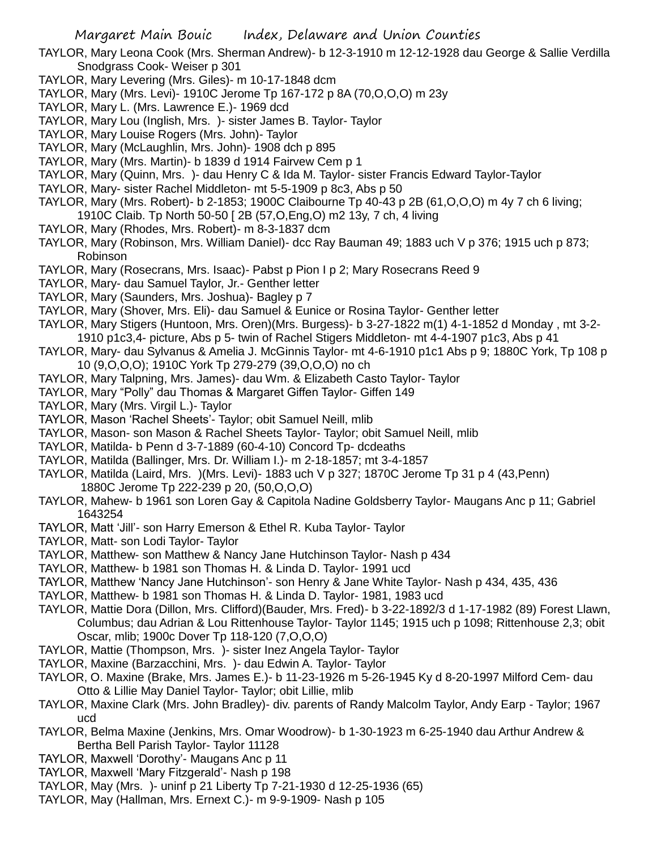TAYLOR, Mary Leona Cook (Mrs. Sherman Andrew)- b 12-3-1910 m 12-12-1928 dau George & Sallie Verdilla Snodgrass Cook- Weiser p 301

- TAYLOR, Mary Levering (Mrs. Giles)- m 10-17-1848 dcm
- TAYLOR, Mary (Mrs. Levi)- 1910C Jerome Tp 167-172 p 8A (70,O,O,O) m 23y
- TAYLOR, Mary L. (Mrs. Lawrence E.)- 1969 dcd
- TAYLOR, Mary Lou (Inglish, Mrs. )- sister James B. Taylor- Taylor
- TAYLOR, Mary Louise Rogers (Mrs. John)- Taylor
- TAYLOR, Mary (McLaughlin, Mrs. John)- 1908 dch p 895
- TAYLOR, Mary (Mrs. Martin)- b 1839 d 1914 Fairvew Cem p 1
- TAYLOR, Mary (Quinn, Mrs. )- dau Henry C & Ida M. Taylor- sister Francis Edward Taylor-Taylor
- TAYLOR, Mary- sister Rachel Middleton- mt 5-5-1909 p 8c3, Abs p 50
- TAYLOR, Mary (Mrs. Robert)- b 2-1853; 1900C Claibourne Tp 40-43 p 2B (61,O,O,O) m 4y 7 ch 6 living; 1910C Claib. Tp North 50-50 [ 2B (57,O,Eng,O) m2 13y, 7 ch, 4 living
- TAYLOR, Mary (Rhodes, Mrs. Robert)- m 8-3-1837 dcm
- TAYLOR, Mary (Robinson, Mrs. William Daniel)- dcc Ray Bauman 49; 1883 uch V p 376; 1915 uch p 873; Robinson
- TAYLOR, Mary (Rosecrans, Mrs. Isaac)- Pabst p Pion I p 2; Mary Rosecrans Reed 9
- TAYLOR, Mary- dau Samuel Taylor, Jr.- Genther letter
- TAYLOR, Mary (Saunders, Mrs. Joshua)- Bagley p 7
- TAYLOR, Mary (Shover, Mrs. Eli)- dau Samuel & Eunice or Rosina Taylor- Genther letter
- TAYLOR, Mary Stigers (Huntoon, Mrs. Oren)(Mrs. Burgess)- b 3-27-1822 m(1) 4-1-1852 d Monday , mt 3-2- 1910 p1c3,4- picture, Abs p 5- twin of Rachel Stigers Middleton- mt 4-4-1907 p1c3, Abs p 41
- TAYLOR, Mary- dau Sylvanus & Amelia J. McGinnis Taylor- mt 4-6-1910 p1c1 Abs p 9; 1880C York, Tp 108 p 10 (9,O,O,O); 1910C York Tp 279-279 (39,O,O,O) no ch
- TAYLOR, Mary Talpning, Mrs. James)- dau Wm. & Elizabeth Casto Taylor- Taylor
- TAYLOR, Mary "Polly" dau Thomas & Margaret Giffen Taylor- Giffen 149
- TAYLOR, Mary (Mrs. Virgil L.)- Taylor
- TAYLOR, Mason 'Rachel Sheets'- Taylor; obit Samuel Neill, mlib
- TAYLOR, Mason- son Mason & Rachel Sheets Taylor- Taylor; obit Samuel Neill, mlib
- TAYLOR, Matilda- b Penn d 3-7-1889 (60-4-10) Concord Tp- dcdeaths
- TAYLOR, Matilda (Ballinger, Mrs. Dr. William I.)- m 2-18-1857; mt 3-4-1857
- TAYLOR, Matilda (Laird, Mrs. )(Mrs. Levi)- 1883 uch V p 327; 1870C Jerome Tp 31 p 4 (43,Penn) 1880C Jerome Tp 222-239 p 20, (50,O,O,O)
- TAYLOR, Mahew- b 1961 son Loren Gay & Capitola Nadine Goldsberry Taylor- Maugans Anc p 11; Gabriel 1643254
- TAYLOR, Matt 'Jill'- son Harry Emerson & Ethel R. Kuba Taylor- Taylor
- TAYLOR, Matt- son Lodi Taylor- Taylor
- TAYLOR, Matthew- son Matthew & Nancy Jane Hutchinson Taylor- Nash p 434
- TAYLOR, Matthew- b 1981 son Thomas H. & Linda D. Taylor- 1991 ucd
- TAYLOR, Matthew 'Nancy Jane Hutchinson'- son Henry & Jane White Taylor- Nash p 434, 435, 436
- TAYLOR, Matthew- b 1981 son Thomas H. & Linda D. Taylor- 1981, 1983 ucd
- TAYLOR, Mattie Dora (Dillon, Mrs. Clifford)(Bauder, Mrs. Fred)- b 3-22-1892/3 d 1-17-1982 (89) Forest Llawn, Columbus; dau Adrian & Lou Rittenhouse Taylor- Taylor 1145; 1915 uch p 1098; Rittenhouse 2,3; obit Oscar, mlib; 1900c Dover Tp 118-120 (7,O,O,O)
- TAYLOR, Mattie (Thompson, Mrs. )- sister Inez Angela Taylor- Taylor
- TAYLOR, Maxine (Barzacchini, Mrs. )- dau Edwin A. Taylor- Taylor
- TAYLOR, O. Maxine (Brake, Mrs. James E.)- b 11-23-1926 m 5-26-1945 Ky d 8-20-1997 Milford Cem- dau Otto & Lillie May Daniel Taylor- Taylor; obit Lillie, mlib
- TAYLOR, Maxine Clark (Mrs. John Bradley)- div. parents of Randy Malcolm Taylor, Andy Earp Taylor; 1967 ucd
- TAYLOR, Belma Maxine (Jenkins, Mrs. Omar Woodrow)- b 1-30-1923 m 6-25-1940 dau Arthur Andrew & Bertha Bell Parish Taylor- Taylor 11128
- TAYLOR, Maxwell 'Dorothy'- Maugans Anc p 11
- TAYLOR, Maxwell 'Mary Fitzgerald'- Nash p 198
- TAYLOR, May (Mrs. )- uninf p 21 Liberty Tp 7-21-1930 d 12-25-1936 (65)
- TAYLOR, May (Hallman, Mrs. Ernext C.)- m 9-9-1909- Nash p 105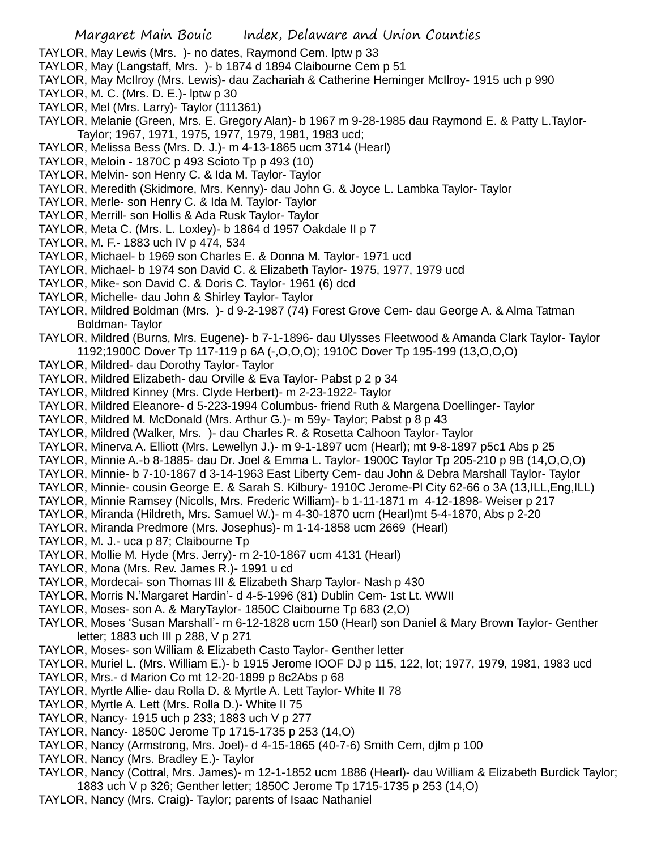- TAYLOR, May Lewis (Mrs. )- no dates, Raymond Cem. lptw p 33
- TAYLOR, May (Langstaff, Mrs. )- b 1874 d 1894 Claibourne Cem p 51
- TAYLOR, May McIlroy (Mrs. Lewis)- dau Zachariah & Catherine Heminger McIlroy- 1915 uch p 990
- TAYLOR, M. C. (Mrs. D. E.)- lptw p 30
- TAYLOR, Mel (Mrs. Larry)- Taylor (111361)
- TAYLOR, Melanie (Green, Mrs. E. Gregory Alan)- b 1967 m 9-28-1985 dau Raymond E. & Patty L.Taylor-Taylor; 1967, 1971, 1975, 1977, 1979, 1981, 1983 ucd;
- TAYLOR, Melissa Bess (Mrs. D. J.)- m 4-13-1865 ucm 3714 (Hearl)
- TAYLOR, Meloin 1870C p 493 Scioto Tp p 493 (10)
- TAYLOR, Melvin- son Henry C. & Ida M. Taylor- Taylor
- TAYLOR, Meredith (Skidmore, Mrs. Kenny)- dau John G. & Joyce L. Lambka Taylor- Taylor
- TAYLOR, Merle- son Henry C. & Ida M. Taylor- Taylor
- TAYLOR, Merrill- son Hollis & Ada Rusk Taylor- Taylor
- TAYLOR, Meta C. (Mrs. L. Loxley)- b 1864 d 1957 Oakdale II p 7
- TAYLOR, M. F.- 1883 uch IV p 474, 534
- TAYLOR, Michael- b 1969 son Charles E. & Donna M. Taylor- 1971 ucd
- TAYLOR, Michael- b 1974 son David C. & Elizabeth Taylor- 1975, 1977, 1979 ucd
- TAYLOR, Mike- son David C. & Doris C. Taylor- 1961 (6) dcd
- TAYLOR, Michelle- dau John & Shirley Taylor- Taylor
- TAYLOR, Mildred Boldman (Mrs. )- d 9-2-1987 (74) Forest Grove Cem- dau George A. & Alma Tatman Boldman- Taylor
- TAYLOR, Mildred (Burns, Mrs. Eugene)- b 7-1-1896- dau Ulysses Fleetwood & Amanda Clark Taylor- Taylor 1192;1900C Dover Tp 117-119 p 6A (-,O,O,O); 1910C Dover Tp 195-199 (13,O,O,O)
- TAYLOR, Mildred- dau Dorothy Taylor- Taylor
- TAYLOR, Mildred Elizabeth- dau Orville & Eva Taylor- Pabst p 2 p 34
- TAYLOR, Mildred Kinney (Mrs. Clyde Herbert)- m 2-23-1922- Taylor
- TAYLOR, Mildred Eleanore- d 5-223-1994 Columbus- friend Ruth & Margena Doellinger- Taylor
- TAYLOR, Mildred M. McDonald (Mrs. Arthur G.)- m 59y- Taylor; Pabst p 8 p 43
- TAYLOR, Mildred (Walker, Mrs. )- dau Charles R. & Rosetta Calhoon Taylor- Taylor
- TAYLOR, Minerva A. Elliott (Mrs. Lewellyn J.)- m 9-1-1897 ucm (Hearl); mt 9-8-1897 p5c1 Abs p 25
- TAYLOR, Minnie A.-b 8-1885- dau Dr. Joel & Emma L. Taylor- 1900C Taylor Tp 205-210 p 9B (14,O,O,O)
- TAYLOR, Minnie- b 7-10-1867 d 3-14-1963 East Liberty Cem- dau John & Debra Marshall Taylor- Taylor
- TAYLOR, Minnie- cousin George E. & Sarah S. Kilbury- 1910C Jerome-Pl City 62-66 o 3A (13,ILL,Eng,ILL)
- TAYLOR, Minnie Ramsey (Nicolls, Mrs. Frederic William)- b 1-11-1871 m 4-12-1898- Weiser p 217
- TAYLOR, Miranda (Hildreth, Mrs. Samuel W.)- m 4-30-1870 ucm (Hearl)mt 5-4-1870, Abs p 2-20
- TAYLOR, Miranda Predmore (Mrs. Josephus)- m 1-14-1858 ucm 2669 (Hearl)
- TAYLOR, M. J.- uca p 87; Claibourne Tp
- TAYLOR, Mollie M. Hyde (Mrs. Jerry)- m 2-10-1867 ucm 4131 (Hearl)
- TAYLOR, Mona (Mrs. Rev. James R.)- 1991 u cd
- TAYLOR, Mordecai- son Thomas III & Elizabeth Sharp Taylor- Nash p 430
- TAYLOR, Morris N.'Margaret Hardin'- d 4-5-1996 (81) Dublin Cem- 1st Lt. WWII
- TAYLOR, Moses- son A. & MaryTaylor- 1850C Claibourne Tp 683 (2,O)
- TAYLOR, Moses 'Susan Marshall'- m 6-12-1828 ucm 150 (Hearl) son Daniel & Mary Brown Taylor- Genther letter; 1883 uch III p 288, V p 271
- TAYLOR, Moses- son William & Elizabeth Casto Taylor- Genther letter
- TAYLOR, Muriel L. (Mrs. William E.)- b 1915 Jerome IOOF DJ p 115, 122, lot; 1977, 1979, 1981, 1983 ucd
- TAYLOR, Mrs.- d Marion Co mt 12-20-1899 p 8c2Abs p 68
- TAYLOR, Myrtle Allie- dau Rolla D. & Myrtle A. Lett Taylor- White II 78
- TAYLOR, Myrtle A. Lett (Mrs. Rolla D.)- White II 75
- TAYLOR, Nancy- 1915 uch p 233; 1883 uch V p 277
- TAYLOR, Nancy- 1850C Jerome Tp 1715-1735 p 253 (14,O)
- TAYLOR, Nancy (Armstrong, Mrs. Joel)- d 4-15-1865 (40-7-6) Smith Cem, djlm p 100
- TAYLOR, Nancy (Mrs. Bradley E.)- Taylor
- TAYLOR, Nancy (Cottral, Mrs. James)- m 12-1-1852 ucm 1886 (Hearl)- dau William & Elizabeth Burdick Taylor; 1883 uch V p 326; Genther letter; 1850C Jerome Tp 1715-1735 p 253 (14,O)
- TAYLOR, Nancy (Mrs. Craig)- Taylor; parents of Isaac Nathaniel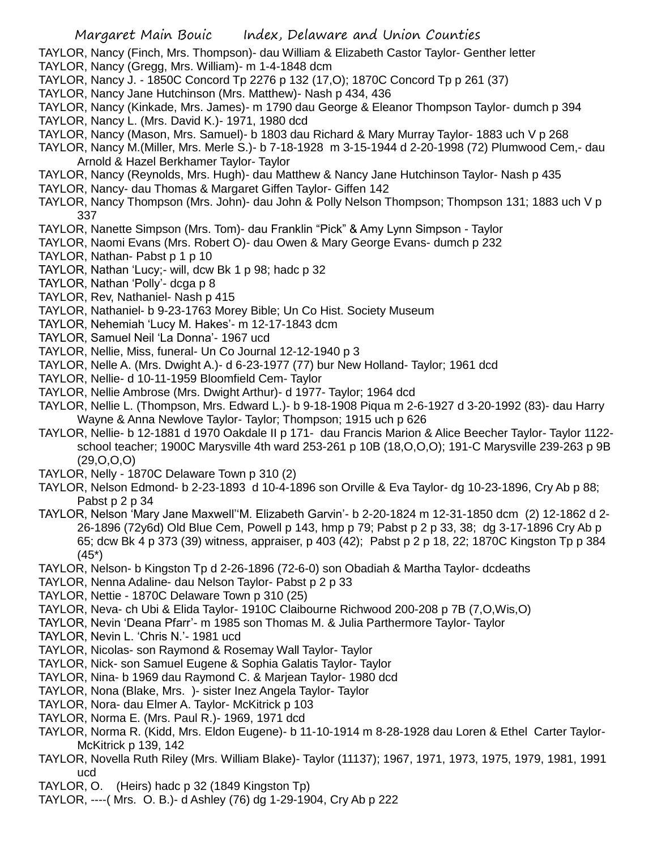- TAYLOR, Nancy (Finch, Mrs. Thompson)- dau William & Elizabeth Castor Taylor- Genther letter
- TAYLOR, Nancy (Gregg, Mrs. William)- m 1-4-1848 dcm
- TAYLOR, Nancy J. 1850C Concord Tp 2276 p 132 (17,O); 1870C Concord Tp p 261 (37)
- TAYLOR, Nancy Jane Hutchinson (Mrs. Matthew)- Nash p 434, 436
- TAYLOR, Nancy (Kinkade, Mrs. James)- m 1790 dau George & Eleanor Thompson Taylor- dumch p 394 TAYLOR, Nancy L. (Mrs. David K.)- 1971, 1980 dcd
- TAYLOR, Nancy (Mason, Mrs. Samuel)- b 1803 dau Richard & Mary Murray Taylor- 1883 uch V p 268
- TAYLOR, Nancy M.(Miller, Mrs. Merle S.)- b 7-18-1928 m 3-15-1944 d 2-20-1998 (72) Plumwood Cem,- dau Arnold & Hazel Berkhamer Taylor- Taylor
- TAYLOR, Nancy (Reynolds, Mrs. Hugh)- dau Matthew & Nancy Jane Hutchinson Taylor- Nash p 435
- TAYLOR, Nancy- dau Thomas & Margaret Giffen Taylor- Giffen 142
- TAYLOR, Nancy Thompson (Mrs. John)- dau John & Polly Nelson Thompson; Thompson 131; 1883 uch V p 337
- TAYLOR, Nanette Simpson (Mrs. Tom)- dau Franklin "Pick" & Amy Lynn Simpson Taylor
- TAYLOR, Naomi Evans (Mrs. Robert O)- dau Owen & Mary George Evans- dumch p 232
- TAYLOR, Nathan- Pabst p 1 p 10
- TAYLOR, Nathan 'Lucy;- will, dcw Bk 1 p 98; hadc p 32
- TAYLOR, Nathan 'Polly'- dcga p 8
- TAYLOR, Rev, Nathaniel- Nash p 415
- TAYLOR, Nathaniel- b 9-23-1763 Morey Bible; Un Co Hist. Society Museum
- TAYLOR, Nehemiah 'Lucy M. Hakes'- m 12-17-1843 dcm
- TAYLOR, Samuel Neil 'La Donna'- 1967 ucd
- TAYLOR, Nellie, Miss, funeral- Un Co Journal 12-12-1940 p 3
- TAYLOR, Nelle A. (Mrs. Dwight A.)- d 6-23-1977 (77) bur New Holland- Taylor; 1961 dcd
- TAYLOR, Nellie- d 10-11-1959 Bloomfield Cem- Taylor
- TAYLOR, Nellie Ambrose (Mrs. Dwight Arthur)- d 1977- Taylor; 1964 dcd
- TAYLOR, Nellie L. (Thompson, Mrs. Edward L.)- b 9-18-1908 Piqua m 2-6-1927 d 3-20-1992 (83)- dau Harry Wayne & Anna Newlove Taylor- Taylor; Thompson; 1915 uch p 626
- TAYLOR, Nellie- b 12-1881 d 1970 Oakdale II p 171- dau Francis Marion & Alice Beecher Taylor- Taylor 1122 school teacher; 1900C Marysville 4th ward 253-261 p 10B (18,O,O,O); 191-C Marysville 239-263 p 9B (29,O,O,O)
- TAYLOR, Nelly 1870C Delaware Town p 310 (2)
- TAYLOR, Nelson Edmond- b 2-23-1893 d 10-4-1896 son Orville & Eva Taylor- dg 10-23-1896, Cry Ab p 88; Pabst p 2 p 34
- TAYLOR, Nelson 'Mary Jane Maxwell''M. Elizabeth Garvin'- b 2-20-1824 m 12-31-1850 dcm (2) 12-1862 d 2- 26-1896 (72y6d) Old Blue Cem, Powell p 143, hmp p 79; Pabst p 2 p 33, 38; dg 3-17-1896 Cry Ab p 65; dcw Bk 4 p 373 (39) witness, appraiser, p 403 (42); Pabst p 2 p 18, 22; 1870C Kingston Tp p 384 (45\*)
- TAYLOR, Nelson- b Kingston Tp d 2-26-1896 (72-6-0) son Obadiah & Martha Taylor- dcdeaths
- TAYLOR, Nenna Adaline- dau Nelson Taylor- Pabst p 2 p 33
- TAYLOR, Nettie 1870C Delaware Town p 310 (25)
- TAYLOR, Neva- ch Ubi & Elida Taylor- 1910C Claibourne Richwood 200-208 p 7B (7,O,Wis,O)
- TAYLOR, Nevin 'Deana Pfarr'- m 1985 son Thomas M. & Julia Parthermore Taylor- Taylor
- TAYLOR, Nevin L. 'Chris N.'- 1981 ucd
- TAYLOR, Nicolas- son Raymond & Rosemay Wall Taylor- Taylor
- TAYLOR, Nick- son Samuel Eugene & Sophia Galatis Taylor- Taylor
- TAYLOR, Nina- b 1969 dau Raymond C. & Marjean Taylor- 1980 dcd
- TAYLOR, Nona (Blake, Mrs. )- sister Inez Angela Taylor- Taylor
- TAYLOR, Nora- dau Elmer A. Taylor- McKitrick p 103
- TAYLOR, Norma E. (Mrs. Paul R.)- 1969, 1971 dcd
- TAYLOR, Norma R. (Kidd, Mrs. Eldon Eugene)- b 11-10-1914 m 8-28-1928 dau Loren & Ethel Carter Taylor-McKitrick p 139, 142
- TAYLOR, Novella Ruth Riley (Mrs. William Blake)- Taylor (11137); 1967, 1971, 1973, 1975, 1979, 1981, 1991 ucd
- TAYLOR, O. (Heirs) hadc p 32 (1849 Kingston Tp)
- TAYLOR, ----( Mrs. O. B.)- d Ashley (76) dg 1-29-1904, Cry Ab p 222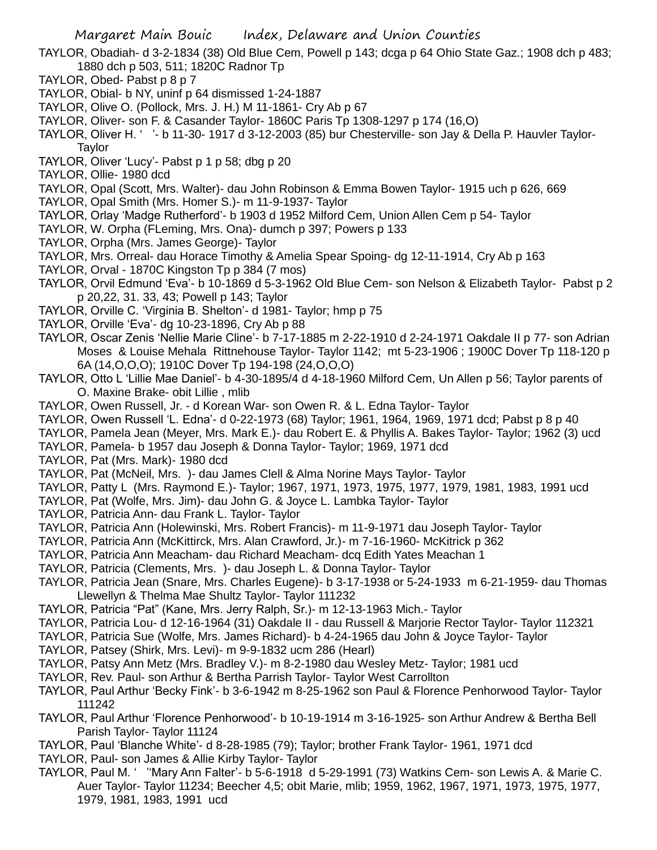- TAYLOR, Obadiah- d 3-2-1834 (38) Old Blue Cem, Powell p 143; dcga p 64 Ohio State Gaz.; 1908 dch p 483; 1880 dch p 503, 511; 1820C Radnor Tp
- TAYLOR, Obed- Pabst p 8 p 7
- TAYLOR, Obial- b NY, uninf p 64 dismissed 1-24-1887
- TAYLOR, Olive O. (Pollock, Mrs. J. H.) M 11-1861- Cry Ab p 67
- TAYLOR, Oliver- son F. & Casander Taylor- 1860C Paris Tp 1308-1297 p 174 (16,O)
- TAYLOR, Oliver H. ' '- b 11-30- 1917 d 3-12-2003 (85) bur Chesterville- son Jay & Della P. Hauvler Taylor-Taylor
- TAYLOR, Oliver 'Lucy'- Pabst p 1 p 58; dbg p 20
- TAYLOR, Ollie- 1980 dcd
- TAYLOR, Opal (Scott, Mrs. Walter)- dau John Robinson & Emma Bowen Taylor- 1915 uch p 626, 669
- TAYLOR, Opal Smith (Mrs. Homer S.)- m 11-9-1937- Taylor
- TAYLOR, Orlay 'Madge Rutherford'- b 1903 d 1952 Milford Cem, Union Allen Cem p 54- Taylor
- TAYLOR, W. Orpha (FLeming, Mrs. Ona)- dumch p 397; Powers p 133
- TAYLOR, Orpha (Mrs. James George)- Taylor
- TAYLOR, Mrs. Orreal- dau Horace Timothy & Amelia Spear Spoing- dg 12-11-1914, Cry Ab p 163
- TAYLOR, Orval 1870C Kingston Tp p 384 (7 mos)
- TAYLOR, Orvil Edmund 'Eva'- b 10-1869 d 5-3-1962 Old Blue Cem- son Nelson & Elizabeth Taylor- Pabst p 2 p 20,22, 31. 33, 43; Powell p 143; Taylor
- TAYLOR, Orville C. 'Virginia B. Shelton'- d 1981- Taylor; hmp p 75
- TAYLOR, Orville 'Eva'- dg 10-23-1896, Cry Ab p 88
- TAYLOR, Oscar Zenis 'Nellie Marie Cline'- b 7-17-1885 m 2-22-1910 d 2-24-1971 Oakdale II p 77- son Adrian Moses & Louise Mehala Rittnehouse Taylor- Taylor 1142; mt 5-23-1906 ; 1900C Dover Tp 118-120 p 6A (14,O,O,O); 1910C Dover Tp 194-198 (24,O,O,O)
- TAYLOR, Otto L 'Lillie Mae Daniel'- b 4-30-1895/4 d 4-18-1960 Milford Cem, Un Allen p 56; Taylor parents of O. Maxine Brake- obit Lillie , mlib
- TAYLOR, Owen Russell, Jr. d Korean War- son Owen R. & L. Edna Taylor- Taylor
- TAYLOR, Owen Russell 'L. Edna'- d 0-22-1973 (68) Taylor; 1961, 1964, 1969, 1971 dcd; Pabst p 8 p 40
- TAYLOR, Pamela Jean (Meyer, Mrs. Mark E.)- dau Robert E. & Phyllis A. Bakes Taylor- Taylor; 1962 (3) ucd
- TAYLOR, Pamela- b 1957 dau Joseph & Donna Taylor- Taylor; 1969, 1971 dcd
- TAYLOR, Pat (Mrs. Mark)- 1980 dcd
- TAYLOR, Pat (McNeil, Mrs. )- dau James Clell & Alma Norine Mays Taylor- Taylor
- TAYLOR, Patty L (Mrs. Raymond E.)- Taylor; 1967, 1971, 1973, 1975, 1977, 1979, 1981, 1983, 1991 ucd
- TAYLOR, Pat (Wolfe, Mrs. Jim)- dau John G. & Joyce L. Lambka Taylor- Taylor
- TAYLOR, Patricia Ann- dau Frank L. Taylor- Taylor
- TAYLOR, Patricia Ann (Holewinski, Mrs. Robert Francis)- m 11-9-1971 dau Joseph Taylor- Taylor
- TAYLOR, Patricia Ann (McKittirck, Mrs. Alan Crawford, Jr.)- m 7-16-1960- McKitrick p 362
- TAYLOR, Patricia Ann Meacham- dau Richard Meacham- dcq Edith Yates Meachan 1
- TAYLOR, Patricia (Clements, Mrs. )- dau Joseph L. & Donna Taylor- Taylor
- TAYLOR, Patricia Jean (Snare, Mrs. Charles Eugene)- b 3-17-1938 or 5-24-1933 m 6-21-1959- dau Thomas Llewellyn & Thelma Mae Shultz Taylor- Taylor 111232
- TAYLOR, Patricia "Pat" (Kane, Mrs. Jerry Ralph, Sr.)- m 12-13-1963 Mich.- Taylor
- TAYLOR, Patricia Lou- d 12-16-1964 (31) Oakdale II dau Russell & Marjorie Rector Taylor- Taylor 112321
- TAYLOR, Patricia Sue (Wolfe, Mrs. James Richard)- b 4-24-1965 dau John & Joyce Taylor- Taylor
- TAYLOR, Patsey (Shirk, Mrs. Levi)- m 9-9-1832 ucm 286 (Hearl)
- TAYLOR, Patsy Ann Metz (Mrs. Bradley V.)- m 8-2-1980 dau Wesley Metz- Taylor; 1981 ucd
- TAYLOR, Rev. Paul- son Arthur & Bertha Parrish Taylor- Taylor West Carrollton
- TAYLOR, Paul Arthur 'Becky Fink'- b 3-6-1942 m 8-25-1962 son Paul & Florence Penhorwood Taylor- Taylor 111242
- TAYLOR, Paul Arthur 'Florence Penhorwood'- b 10-19-1914 m 3-16-1925- son Arthur Andrew & Bertha Bell Parish Taylor- Taylor 11124
- TAYLOR, Paul 'Blanche White'- d 8-28-1985 (79); Taylor; brother Frank Taylor- 1961, 1971 dcd
- TAYLOR, Paul- son James & Allie Kirby Taylor- Taylor
- TAYLOR, Paul M. ' ''Mary Ann Falter'- b 5-6-1918 d 5-29-1991 (73) Watkins Cem- son Lewis A. & Marie C. Auer Taylor- Taylor 11234; Beecher 4,5; obit Marie, mlib; 1959, 1962, 1967, 1971, 1973, 1975, 1977, 1979, 1981, 1983, 1991 ucd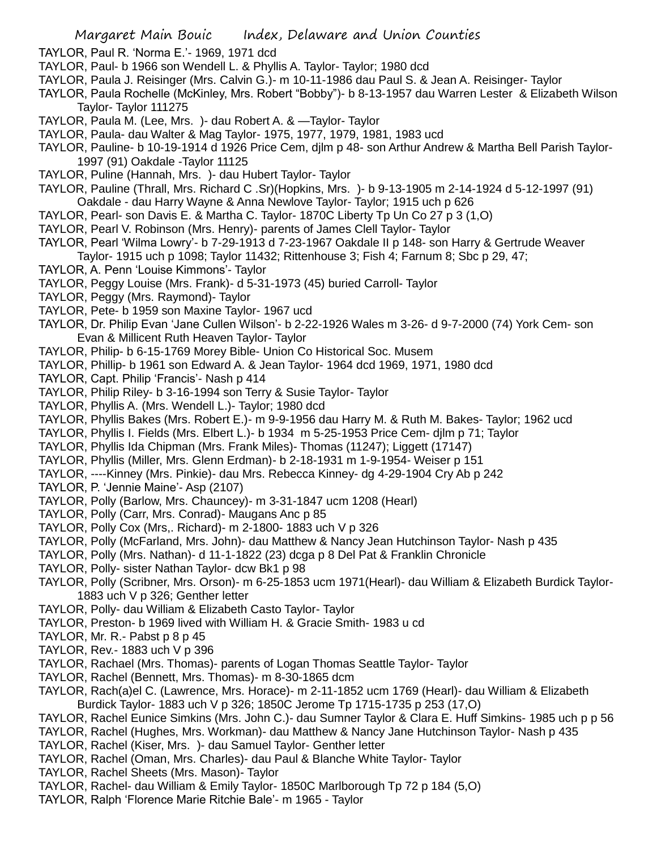- TAYLOR, Paul R. 'Norma E.'- 1969, 1971 dcd
- TAYLOR, Paul- b 1966 son Wendell L. & Phyllis A. Taylor- Taylor; 1980 dcd
- TAYLOR, Paula J. Reisinger (Mrs. Calvin G.)- m 10-11-1986 dau Paul S. & Jean A. Reisinger- Taylor
- TAYLOR, Paula Rochelle (McKinley, Mrs. Robert "Bobby")- b 8-13-1957 dau Warren Lester & Elizabeth Wilson Taylor- Taylor 111275
- TAYLOR, Paula M. (Lee, Mrs. )- dau Robert A. & —Taylor- Taylor
- TAYLOR, Paula- dau Walter & Mag Taylor- 1975, 1977, 1979, 1981, 1983 ucd
- TAYLOR, Pauline- b 10-19-1914 d 1926 Price Cem, djlm p 48- son Arthur Andrew & Martha Bell Parish Taylor-1997 (91) Oakdale -Taylor 11125
- TAYLOR, Puline (Hannah, Mrs. )- dau Hubert Taylor- Taylor
- TAYLOR, Pauline (Thrall, Mrs. Richard C .Sr)(Hopkins, Mrs. )- b 9-13-1905 m 2-14-1924 d 5-12-1997 (91) Oakdale - dau Harry Wayne & Anna Newlove Taylor- Taylor; 1915 uch p 626
- TAYLOR, Pearl- son Davis E. & Martha C. Taylor- 1870C Liberty Tp Un Co 27 p 3 (1,O)
- TAYLOR, Pearl V. Robinson (Mrs. Henry)- parents of James Clell Taylor- Taylor
- TAYLOR, Pearl 'Wilma Lowry'- b 7-29-1913 d 7-23-1967 Oakdale II p 148- son Harry & Gertrude Weaver
- Taylor- 1915 uch p 1098; Taylor 11432; Rittenhouse 3; Fish 4; Farnum 8; Sbc p 29, 47;
- TAYLOR, A. Penn 'Louise Kimmons'- Taylor
- TAYLOR, Peggy Louise (Mrs. Frank)- d 5-31-1973 (45) buried Carroll- Taylor
- TAYLOR, Peggy (Mrs. Raymond)- Taylor
- TAYLOR, Pete- b 1959 son Maxine Taylor- 1967 ucd
- TAYLOR, Dr. Philip Evan 'Jane Cullen Wilson'- b 2-22-1926 Wales m 3-26- d 9-7-2000 (74) York Cem- son Evan & Millicent Ruth Heaven Taylor- Taylor
- TAYLOR, Philip- b 6-15-1769 Morey Bible- Union Co Historical Soc. Musem
- TAYLOR, Phillip- b 1961 son Edward A. & Jean Taylor- 1964 dcd 1969, 1971, 1980 dcd
- TAYLOR, Capt. Philip 'Francis'- Nash p 414
- TAYLOR, Philip Riley- b 3-16-1994 son Terry & Susie Taylor- Taylor
- TAYLOR, Phyllis A. (Mrs. Wendell L.)- Taylor; 1980 dcd
- TAYLOR, Phyllis Bakes (Mrs. Robert E.)- m 9-9-1956 dau Harry M. & Ruth M. Bakes- Taylor; 1962 ucd
- TAYLOR, Phyllis I. Fields (Mrs. Elbert L.)- b 1934 m 5-25-1953 Price Cem- djlm p 71; Taylor
- TAYLOR, Phyllis Ida Chipman (Mrs. Frank Miles)- Thomas (11247); Liggett (17147)
- TAYLOR, Phyllis (Miller, Mrs. Glenn Erdman)- b 2-18-1931 m 1-9-1954- Weiser p 151
- TAYLOR, ----Kinney (Mrs. Pinkie)- dau Mrs. Rebecca Kinney- dg 4-29-1904 Cry Ab p 242
- TAYLOR, P. 'Jennie Maine'- Asp (2107)
- TAYLOR, Polly (Barlow, Mrs. Chauncey)- m 3-31-1847 ucm 1208 (Hearl)
- TAYLOR, Polly (Carr, Mrs. Conrad)- Maugans Anc p 85
- TAYLOR, Polly Cox (Mrs,. Richard)- m 2-1800- 1883 uch V p 326
- TAYLOR, Polly (McFarland, Mrs. John)- dau Matthew & Nancy Jean Hutchinson Taylor- Nash p 435
- TAYLOR, Polly (Mrs. Nathan)- d 11-1-1822 (23) dcga p 8 Del Pat & Franklin Chronicle
- TAYLOR, Polly- sister Nathan Taylor- dcw Bk1 p 98
- TAYLOR, Polly (Scribner, Mrs. Orson)- m 6-25-1853 ucm 1971(Hearl)- dau William & Elizabeth Burdick Taylor-1883 uch V p 326; Genther letter
- TAYLOR, Polly- dau William & Elizabeth Casto Taylor- Taylor
- TAYLOR, Preston- b 1969 lived with William H. & Gracie Smith- 1983 u cd
- TAYLOR, Mr. R.- Pabst p 8 p 45
- TAYLOR, Rev.- 1883 uch V p 396
- TAYLOR, Rachael (Mrs. Thomas)- parents of Logan Thomas Seattle Taylor- Taylor
- TAYLOR, Rachel (Bennett, Mrs. Thomas)- m 8-30-1865 dcm
- TAYLOR, Rach(a)el C. (Lawrence, Mrs. Horace)- m 2-11-1852 ucm 1769 (Hearl)- dau William & Elizabeth Burdick Taylor- 1883 uch V p 326; 1850C Jerome Tp 1715-1735 p 253 (17,O)
- TAYLOR, Rachel Eunice Simkins (Mrs. John C.)- dau Sumner Taylor & Clara E. Huff Simkins- 1985 uch p p 56
- TAYLOR, Rachel (Hughes, Mrs. Workman)- dau Matthew & Nancy Jane Hutchinson Taylor- Nash p 435
- TAYLOR, Rachel (Kiser, Mrs. )- dau Samuel Taylor- Genther letter
- TAYLOR, Rachel (Oman, Mrs. Charles)- dau Paul & Blanche White Taylor- Taylor
- TAYLOR, Rachel Sheets (Mrs. Mason)- Taylor
- TAYLOR, Rachel- dau William & Emily Taylor- 1850C Marlborough Tp 72 p 184 (5,O)
- TAYLOR, Ralph 'Florence Marie Ritchie Bale'- m 1965 Taylor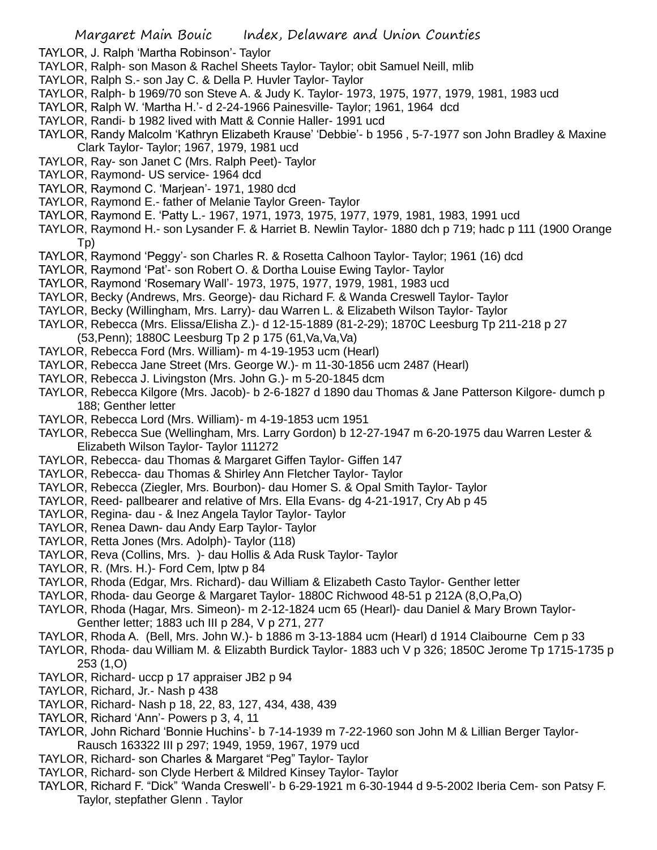TAYLOR, J. Ralph 'Martha Robinson'- Taylor

- TAYLOR, Ralph- son Mason & Rachel Sheets Taylor- Taylor; obit Samuel Neill, mlib
- TAYLOR, Ralph S.- son Jay C. & Della P. Huvler Taylor- Taylor
- TAYLOR, Ralph- b 1969/70 son Steve A. & Judy K. Taylor- 1973, 1975, 1977, 1979, 1981, 1983 ucd
- TAYLOR, Ralph W. 'Martha H.'- d 2-24-1966 Painesville- Taylor; 1961, 1964 dcd
- TAYLOR, Randi- b 1982 lived with Matt & Connie Haller- 1991 ucd
- TAYLOR, Randy Malcolm 'Kathryn Elizabeth Krause' 'Debbie'- b 1956 , 5-7-1977 son John Bradley & Maxine Clark Taylor- Taylor; 1967, 1979, 1981 ucd
- TAYLOR, Ray- son Janet C (Mrs. Ralph Peet)- Taylor
- TAYLOR, Raymond- US service- 1964 dcd
- TAYLOR, Raymond C. 'Marjean'- 1971, 1980 dcd
- TAYLOR, Raymond E.- father of Melanie Taylor Green- Taylor
- TAYLOR, Raymond E. 'Patty L.- 1967, 1971, 1973, 1975, 1977, 1979, 1981, 1983, 1991 ucd
- TAYLOR, Raymond H.- son Lysander F. & Harriet B. Newlin Taylor- 1880 dch p 719; hadc p 111 (1900 Orange Tp)
- TAYLOR, Raymond 'Peggy'- son Charles R. & Rosetta Calhoon Taylor- Taylor; 1961 (16) dcd
- TAYLOR, Raymond 'Pat'- son Robert O. & Dortha Louise Ewing Taylor- Taylor
- TAYLOR, Raymond 'Rosemary Wall'- 1973, 1975, 1977, 1979, 1981, 1983 ucd
- TAYLOR, Becky (Andrews, Mrs. George)- dau Richard F. & Wanda Creswell Taylor- Taylor
- TAYLOR, Becky (Willingham, Mrs. Larry)- dau Warren L. & Elizabeth Wilson Taylor- Taylor
- TAYLOR, Rebecca (Mrs. Elissa/Elisha Z.)- d 12-15-1889 (81-2-29); 1870C Leesburg Tp 211-218 p 27 (53,Penn); 1880C Leesburg Tp 2 p 175 (61,Va,Va,Va)
- TAYLOR, Rebecca Ford (Mrs. William)- m 4-19-1953 ucm (Hearl)
- TAYLOR, Rebecca Jane Street (Mrs. George W.)- m 11-30-1856 ucm 2487 (Hearl)
- TAYLOR, Rebecca J. Livingston (Mrs. John G.)- m 5-20-1845 dcm
- TAYLOR, Rebecca Kilgore (Mrs. Jacob)- b 2-6-1827 d 1890 dau Thomas & Jane Patterson Kilgore- dumch p 188; Genther letter
- TAYLOR, Rebecca Lord (Mrs. William)- m 4-19-1853 ucm 1951
- TAYLOR, Rebecca Sue (Wellingham, Mrs. Larry Gordon) b 12-27-1947 m 6-20-1975 dau Warren Lester & Elizabeth Wilson Taylor- Taylor 111272
- TAYLOR, Rebecca- dau Thomas & Margaret Giffen Taylor- Giffen 147
- TAYLOR, Rebecca- dau Thomas & Shirley Ann Fletcher Taylor- Taylor
- TAYLOR, Rebecca (Ziegler, Mrs. Bourbon)- dau Homer S. & Opal Smith Taylor- Taylor
- TAYLOR, Reed- pallbearer and relative of Mrs. Ella Evans- dg 4-21-1917, Cry Ab p 45
- TAYLOR, Regina- dau & Inez Angela Taylor Taylor- Taylor
- TAYLOR, Renea Dawn- dau Andy Earp Taylor- Taylor
- TAYLOR, Retta Jones (Mrs. Adolph)- Taylor (118)
- TAYLOR, Reva (Collins, Mrs. )- dau Hollis & Ada Rusk Taylor- Taylor
- TAYLOR, R. (Mrs. H.)- Ford Cem, lptw p 84
- TAYLOR, Rhoda (Edgar, Mrs. Richard)- dau William & Elizabeth Casto Taylor- Genther letter
- TAYLOR, Rhoda- dau George & Margaret Taylor- 1880C Richwood 48-51 p 212A (8,O,Pa,O)
- TAYLOR, Rhoda (Hagar, Mrs. Simeon)- m 2-12-1824 ucm 65 (Hearl)- dau Daniel & Mary Brown Taylor-Genther letter; 1883 uch III p 284, V p 271, 277
- TAYLOR, Rhoda A. (Bell, Mrs. John W.)- b 1886 m 3-13-1884 ucm (Hearl) d 1914 Claibourne Cem p 33
- TAYLOR, Rhoda- dau William M. & Elizabth Burdick Taylor- 1883 uch V p 326; 1850C Jerome Tp 1715-1735 p 253 (1,O)
- TAYLOR, Richard- uccp p 17 appraiser JB2 p 94
- TAYLOR, Richard, Jr.- Nash p 438
- TAYLOR, Richard- Nash p 18, 22, 83, 127, 434, 438, 439
- TAYLOR, Richard 'Ann'- Powers p 3, 4, 11
- TAYLOR, John Richard 'Bonnie Huchins'- b 7-14-1939 m 7-22-1960 son John M & Lillian Berger Taylor-Rausch 163322 III p 297; 1949, 1959, 1967, 1979 ucd
- TAYLOR, Richard- son Charles & Margaret "Peg" Taylor- Taylor
- TAYLOR, Richard- son Clyde Herbert & Mildred Kinsey Taylor- Taylor
- TAYLOR, Richard F. "Dick" 'Wanda Creswell'- b 6-29-1921 m 6-30-1944 d 9-5-2002 Iberia Cem- son Patsy F. Taylor, stepfather Glenn . Taylor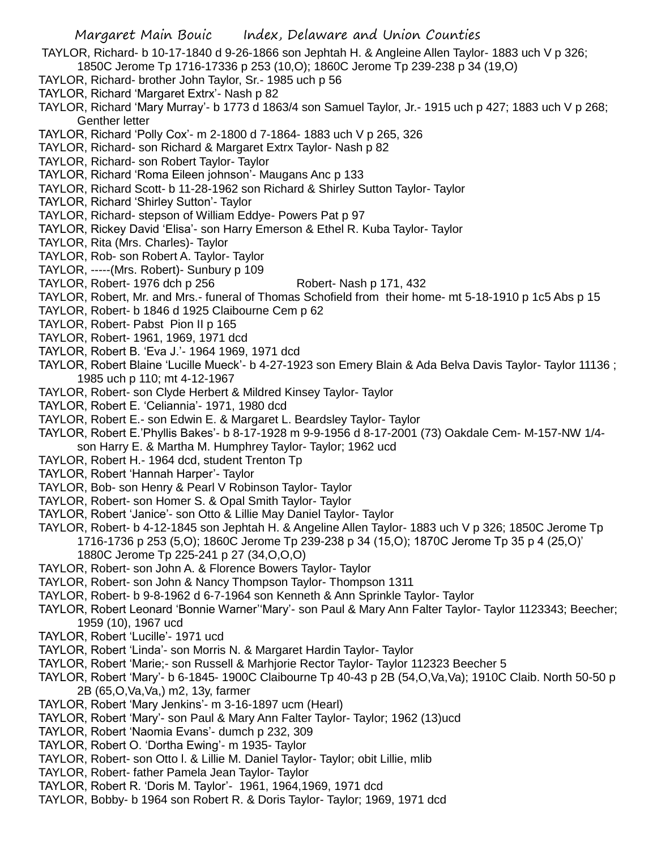TAYLOR, Richard- b 10-17-1840 d 9-26-1866 son Jephtah H. & Angleine Allen Taylor- 1883 uch V p 326;

- 1850C Jerome Tp 1716-17336 p 253 (10,O); 1860C Jerome Tp 239-238 p 34 (19,O)
- TAYLOR, Richard- brother John Taylor, Sr.- 1985 uch p 56
- TAYLOR, Richard 'Margaret Extrx'- Nash p 82
- TAYLOR, Richard 'Mary Murray'- b 1773 d 1863/4 son Samuel Taylor, Jr.- 1915 uch p 427; 1883 uch V p 268; Genther letter
- TAYLOR, Richard 'Polly Cox'- m 2-1800 d 7-1864- 1883 uch V p 265, 326
- TAYLOR, Richard- son Richard & Margaret Extrx Taylor- Nash p 82
- TAYLOR, Richard- son Robert Taylor- Taylor
- TAYLOR, Richard 'Roma Eileen johnson'- Maugans Anc p 133
- TAYLOR, Richard Scott- b 11-28-1962 son Richard & Shirley Sutton Taylor- Taylor
- TAYLOR, Richard 'Shirley Sutton'- Taylor
- TAYLOR, Richard- stepson of William Eddye- Powers Pat p 97
- TAYLOR, Rickey David 'Elisa'- son Harry Emerson & Ethel R. Kuba Taylor- Taylor
- TAYLOR, Rita (Mrs. Charles)- Taylor
- TAYLOR, Rob- son Robert A. Taylor- Taylor
- TAYLOR, -----(Mrs. Robert)- Sunbury p 109
- TAYLOR, Robert- 1976 dch p 256 Robert- Nash p 171, 432
- TAYLOR, Robert, Mr. and Mrs.- funeral of Thomas Schofield from their home- mt 5-18-1910 p 1c5 Abs p 15
- TAYLOR, Robert- b 1846 d 1925 Claibourne Cem p 62
- TAYLOR, Robert- Pabst Pion II p 165
- TAYLOR, Robert- 1961, 1969, 1971 dcd
- TAYLOR, Robert B. 'Eva J.'- 1964 1969, 1971 dcd
- TAYLOR, Robert Blaine 'Lucille Mueck'- b 4-27-1923 son Emery Blain & Ada Belva Davis Taylor- Taylor 11136 ; 1985 uch p 110; mt 4-12-1967
- TAYLOR, Robert- son Clyde Herbert & Mildred Kinsey Taylor- Taylor
- TAYLOR, Robert E. 'Celiannia'- 1971, 1980 dcd
- TAYLOR, Robert E.- son Edwin E. & Margaret L. Beardsley Taylor- Taylor
- TAYLOR, Robert E.'Phyllis Bakes'- b 8-17-1928 m 9-9-1956 d 8-17-2001 (73) Oakdale Cem- M-157-NW 1/4 son Harry E. & Martha M. Humphrey Taylor- Taylor; 1962 ucd
- TAYLOR, Robert H.- 1964 dcd, student Trenton Tp
- TAYLOR, Robert 'Hannah Harper'- Taylor
- TAYLOR, Bob- son Henry & Pearl V Robinson Taylor- Taylor
- TAYLOR, Robert- son Homer S. & Opal Smith Taylor- Taylor
- TAYLOR, Robert 'Janice'- son Otto & Lillie May Daniel Taylor- Taylor
- TAYLOR, Robert- b 4-12-1845 son Jephtah H. & Angeline Allen Taylor- 1883 uch V p 326; 1850C Jerome Tp 1716-1736 p 253 (5,O); 1860C Jerome Tp 239-238 p 34 (15,O); 1870C Jerome Tp 35 p 4 (25,O)' 1880C Jerome Tp 225-241 p 27 (34,O,O,O)
- TAYLOR, Robert- son John A. & Florence Bowers Taylor- Taylor
- TAYLOR, Robert- son John & Nancy Thompson Taylor- Thompson 1311
- TAYLOR, Robert- b 9-8-1962 d 6-7-1964 son Kenneth & Ann Sprinkle Taylor- Taylor
- TAYLOR, Robert Leonard 'Bonnie Warner''Mary'- son Paul & Mary Ann Falter Taylor- Taylor 1123343; Beecher; 1959 (10), 1967 ucd
- TAYLOR, Robert 'Lucille'- 1971 ucd
- TAYLOR, Robert 'Linda'- son Morris N. & Margaret Hardin Taylor- Taylor
- TAYLOR, Robert 'Marie;- son Russell & Marhjorie Rector Taylor- Taylor 112323 Beecher 5
- TAYLOR, Robert 'Mary'- b 6-1845- 1900C Claibourne Tp 40-43 p 2B (54,O,Va,Va); 1910C Claib. North 50-50 p 2B (65,O,Va,Va,) m2, 13y, farmer
- TAYLOR, Robert 'Mary Jenkins'- m 3-16-1897 ucm (Hearl)
- TAYLOR, Robert 'Mary'- son Paul & Mary Ann Falter Taylor- Taylor; 1962 (13)ucd
- TAYLOR, Robert 'Naomia Evans'- dumch p 232, 309
- TAYLOR, Robert O. 'Dortha Ewing'- m 1935- Taylor
- TAYLOR, Robert- son Otto l. & Lillie M. Daniel Taylor- Taylor; obit Lillie, mlib
- TAYLOR, Robert- father Pamela Jean Taylor- Taylor
- TAYLOR, Robert R. 'Doris M. Taylor'- 1961, 1964,1969, 1971 dcd
- TAYLOR, Bobby- b 1964 son Robert R. & Doris Taylor- Taylor; 1969, 1971 dcd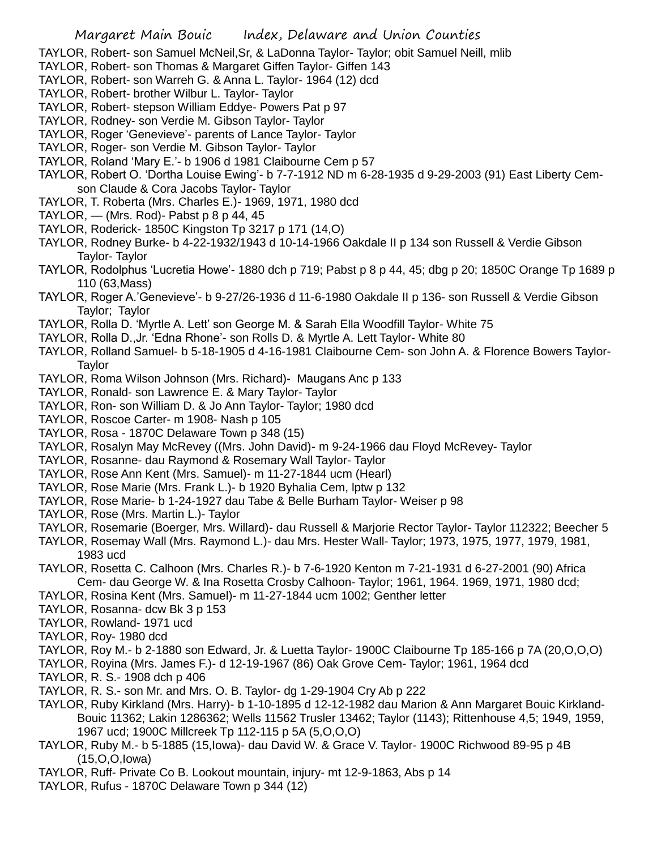TAYLOR, Robert- son Samuel McNeil,Sr, & LaDonna Taylor- Taylor; obit Samuel Neill, mlib

- TAYLOR, Robert- son Thomas & Margaret Giffen Taylor- Giffen 143
- TAYLOR, Robert- son Warreh G. & Anna L. Taylor- 1964 (12) dcd
- TAYLOR, Robert- brother Wilbur L. Taylor- Taylor
- TAYLOR, Robert- stepson William Eddye- Powers Pat p 97
- TAYLOR, Rodney- son Verdie M. Gibson Taylor- Taylor
- TAYLOR, Roger 'Genevieve'- parents of Lance Taylor- Taylor
- TAYLOR, Roger- son Verdie M. Gibson Taylor- Taylor
- TAYLOR, Roland 'Mary E.'- b 1906 d 1981 Claibourne Cem p 57
- TAYLOR, Robert O. 'Dortha Louise Ewing'- b 7-7-1912 ND m 6-28-1935 d 9-29-2003 (91) East Liberty Cemson Claude & Cora Jacobs Taylor- Taylor
- TAYLOR, T. Roberta (Mrs. Charles E.)- 1969, 1971, 1980 dcd
- TAYLOR,  $-$  (Mrs. Rod)- Pabst p 8 p 44, 45
- TAYLOR, Roderick- 1850C Kingston Tp 3217 p 171 (14,O)
- TAYLOR, Rodney Burke- b 4-22-1932/1943 d 10-14-1966 Oakdale II p 134 son Russell & Verdie Gibson Taylor- Taylor
- TAYLOR, Rodolphus 'Lucretia Howe'- 1880 dch p 719; Pabst p 8 p 44, 45; dbg p 20; 1850C Orange Tp 1689 p 110 (63,Mass)
- TAYLOR, Roger A.'Genevieve'- b 9-27/26-1936 d 11-6-1980 Oakdale II p 136- son Russell & Verdie Gibson Taylor; Taylor
- TAYLOR, Rolla D. 'Myrtle A. Lett' son George M. & Sarah Ella Woodfill Taylor- White 75
- TAYLOR, Rolla D.,Jr. 'Edna Rhone'- son Rolls D. & Myrtle A. Lett Taylor- White 80
- TAYLOR, Rolland Samuel- b 5-18-1905 d 4-16-1981 Claibourne Cem- son John A. & Florence Bowers Taylor-Taylor
- TAYLOR, Roma Wilson Johnson (Mrs. Richard)- Maugans Anc p 133
- TAYLOR, Ronald- son Lawrence E. & Mary Taylor- Taylor
- TAYLOR, Ron- son William D. & Jo Ann Taylor- Taylor; 1980 dcd
- TAYLOR, Roscoe Carter- m 1908- Nash p 105
- TAYLOR, Rosa 1870C Delaware Town p 348 (15)
- TAYLOR, Rosalyn May McRevey ((Mrs. John David)- m 9-24-1966 dau Floyd McRevey- Taylor
- TAYLOR, Rosanne- dau Raymond & Rosemary Wall Taylor- Taylor
- TAYLOR, Rose Ann Kent (Mrs. Samuel)- m 11-27-1844 ucm (Hearl)
- TAYLOR, Rose Marie (Mrs. Frank L.)- b 1920 Byhalia Cem, lptw p 132
- TAYLOR, Rose Marie- b 1-24-1927 dau Tabe & Belle Burham Taylor- Weiser p 98
- TAYLOR, Rose (Mrs. Martin L.)- Taylor
- TAYLOR, Rosemarie (Boerger, Mrs. Willard)- dau Russell & Marjorie Rector Taylor- Taylor 112322; Beecher 5
- TAYLOR, Rosemay Wall (Mrs. Raymond L.)- dau Mrs. Hester Wall- Taylor; 1973, 1975, 1977, 1979, 1981, 1983 ucd
- TAYLOR, Rosetta C. Calhoon (Mrs. Charles R.)- b 7-6-1920 Kenton m 7-21-1931 d 6-27-2001 (90) Africa Cem- dau George W. & Ina Rosetta Crosby Calhoon- Taylor; 1961, 1964. 1969, 1971, 1980 dcd;
- TAYLOR, Rosina Kent (Mrs. Samuel)- m 11-27-1844 ucm 1002; Genther letter
- TAYLOR, Rosanna- dcw Bk 3 p 153
- TAYLOR, Rowland- 1971 ucd
- TAYLOR, Roy- 1980 dcd
- TAYLOR, Roy M.- b 2-1880 son Edward, Jr. & Luetta Taylor- 1900C Claibourne Tp 185-166 p 7A (20,O,O,O)
- TAYLOR, Royina (Mrs. James F.)- d 12-19-1967 (86) Oak Grove Cem- Taylor; 1961, 1964 dcd
- TAYLOR, R. S.- 1908 dch p 406
- TAYLOR, R. S.- son Mr. and Mrs. O. B. Taylor- dg 1-29-1904 Cry Ab p 222
- TAYLOR, Ruby Kirkland (Mrs. Harry)- b 1-10-1895 d 12-12-1982 dau Marion & Ann Margaret Bouic Kirkland-Bouic 11362; Lakin 1286362; Wells 11562 Trusler 13462; Taylor (1143); Rittenhouse 4,5; 1949, 1959, 1967 ucd; 1900C Millcreek Tp 112-115 p 5A (5,O,O,O)
- TAYLOR, Ruby M.- b 5-1885 (15,Iowa)- dau David W. & Grace V. Taylor- 1900C Richwood 89-95 p 4B (15,O,O,Iowa)
- TAYLOR, Ruff- Private Co B. Lookout mountain, injury- mt 12-9-1863, Abs p 14
- TAYLOR, Rufus 1870C Delaware Town p 344 (12)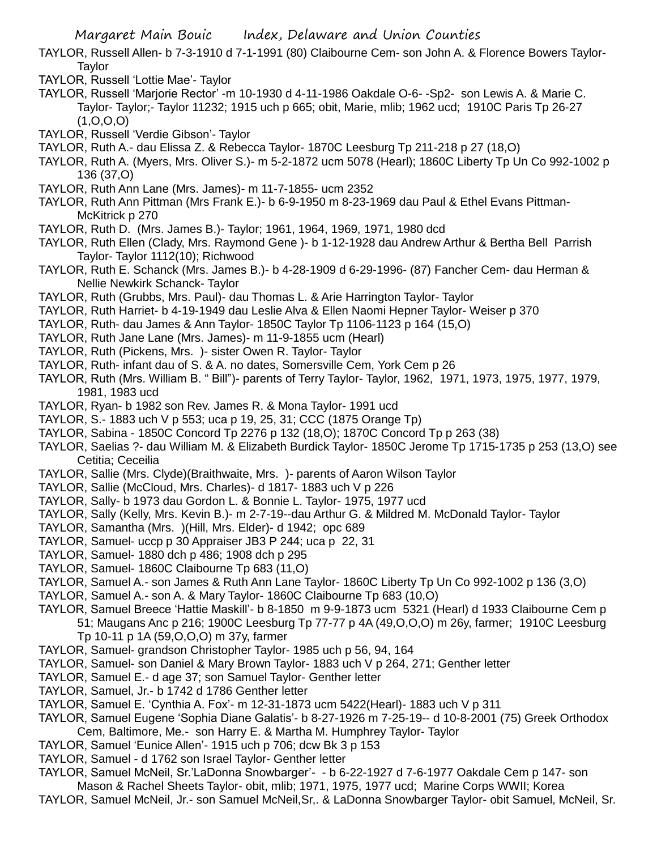- TAYLOR, Russell Allen- b 7-3-1910 d 7-1-1991 (80) Claibourne Cem- son John A. & Florence Bowers Taylor-Taylor
- TAYLOR, Russell 'Lottie Mae'- Taylor
- TAYLOR, Russell 'Marjorie Rector' -m 10-1930 d 4-11-1986 Oakdale O-6- -Sp2- son Lewis A. & Marie C. Taylor- Taylor;- Taylor 11232; 1915 uch p 665; obit, Marie, mlib; 1962 ucd; 1910C Paris Tp 26-27  $(1, 0, 0, 0)$
- TAYLOR, Russell 'Verdie Gibson'- Taylor
- TAYLOR, Ruth A.- dau Elissa Z. & Rebecca Taylor- 1870C Leesburg Tp 211-218 p 27 (18,O)
- TAYLOR, Ruth A. (Myers, Mrs. Oliver S.)- m 5-2-1872 ucm 5078 (Hearl); 1860C Liberty Tp Un Co 992-1002 p 136 (37,O)
- TAYLOR, Ruth Ann Lane (Mrs. James)- m 11-7-1855- ucm 2352
- TAYLOR, Ruth Ann Pittman (Mrs Frank E.)- b 6-9-1950 m 8-23-1969 dau Paul & Ethel Evans Pittman-McKitrick p 270
- TAYLOR, Ruth D. (Mrs. James B.)- Taylor; 1961, 1964, 1969, 1971, 1980 dcd
- TAYLOR, Ruth Ellen (Clady, Mrs. Raymond Gene )- b 1-12-1928 dau Andrew Arthur & Bertha Bell Parrish Taylor- Taylor 1112(10); Richwood
- TAYLOR, Ruth E. Schanck (Mrs. James B.)- b 4-28-1909 d 6-29-1996- (87) Fancher Cem- dau Herman & Nellie Newkirk Schanck- Taylor
- TAYLOR, Ruth (Grubbs, Mrs. Paul)- dau Thomas L. & Arie Harrington Taylor- Taylor
- TAYLOR, Ruth Harriet- b 4-19-1949 dau Leslie Alva & Ellen Naomi Hepner Taylor- Weiser p 370
- TAYLOR, Ruth- dau James & Ann Taylor- 1850C Taylor Tp 1106-1123 p 164 (15,O)
- TAYLOR, Ruth Jane Lane (Mrs. James)- m 11-9-1855 ucm (Hearl)
- TAYLOR, Ruth (Pickens, Mrs. )- sister Owen R. Taylor- Taylor
- TAYLOR, Ruth- infant dau of S. & A. no dates, Somersville Cem, York Cem p 26
- TAYLOR, Ruth (Mrs. William B. " Bill")- parents of Terry Taylor- Taylor, 1962, 1971, 1973, 1975, 1977, 1979, 1981, 1983 ucd
- TAYLOR, Ryan- b 1982 son Rev. James R. & Mona Taylor- 1991 ucd
- TAYLOR, S.- 1883 uch V p 553; uca p 19, 25, 31; CCC (1875 Orange Tp)
- TAYLOR, Sabina 1850C Concord Tp 2276 p 132 (18,O); 1870C Concord Tp p 263 (38)
- TAYLOR, Saelias ?- dau William M. & Elizabeth Burdick Taylor- 1850C Jerome Tp 1715-1735 p 253 (13,O) see Cetitia; Ceceilia
- TAYLOR, Sallie (Mrs. Clyde)(Braithwaite, Mrs. )- parents of Aaron Wilson Taylor
- TAYLOR, Sallie (McCloud, Mrs. Charles)- d 1817- 1883 uch V p 226
- TAYLOR, Sally- b 1973 dau Gordon L. & Bonnie L. Taylor- 1975, 1977 ucd
- TAYLOR, Sally (Kelly, Mrs. Kevin B.)- m 2-7-19--dau Arthur G. & Mildred M. McDonald Taylor- Taylor
- TAYLOR, Samantha (Mrs. )(Hill, Mrs. Elder)- d 1942; opc 689
- TAYLOR, Samuel- uccp p 30 Appraiser JB3 P 244; uca p 22, 31
- TAYLOR, Samuel- 1880 dch p 486; 1908 dch p 295
- TAYLOR, Samuel- 1860C Claibourne Tp 683 (11,O)
- TAYLOR, Samuel A.- son James & Ruth Ann Lane Taylor- 1860C Liberty Tp Un Co 992-1002 p 136 (3,O)
- TAYLOR, Samuel A.- son A. & Mary Taylor- 1860C Claibourne Tp 683 (10,O)
- TAYLOR, Samuel Breece 'Hattie Maskill'- b 8-1850 m 9-9-1873 ucm 5321 (Hearl) d 1933 Claibourne Cem p 51; Maugans Anc p 216; 1900C Leesburg Tp 77-77 p 4A (49,O,O,O) m 26y, farmer; 1910C Leesburg Tp 10-11 p 1A (59,O,O,O) m 37y, farmer
- TAYLOR, Samuel- grandson Christopher Taylor- 1985 uch p 56, 94, 164
- TAYLOR, Samuel- son Daniel & Mary Brown Taylor- 1883 uch V p 264, 271; Genther letter
- TAYLOR, Samuel E.- d age 37; son Samuel Taylor- Genther letter
- TAYLOR, Samuel, Jr.- b 1742 d 1786 Genther letter
- TAYLOR, Samuel E. 'Cynthia A. Fox'- m 12-31-1873 ucm 5422(Hearl)- 1883 uch V p 311
- TAYLOR, Samuel Eugene 'Sophia Diane Galatis'- b 8-27-1926 m 7-25-19-- d 10-8-2001 (75) Greek Orthodox Cem, Baltimore, Me.- son Harry E. & Martha M. Humphrey Taylor- Taylor
- TAYLOR, Samuel 'Eunice Allen'- 1915 uch p 706; dcw Bk 3 p 153
- TAYLOR, Samuel d 1762 son Israel Taylor- Genther letter
- TAYLOR, Samuel McNeil, Sr.'LaDonna Snowbarger'- b 6-22-1927 d 7-6-1977 Oakdale Cem p 147- son
- Mason & Rachel Sheets Taylor- obit, mlib; 1971, 1975, 1977 ucd; Marine Corps WWII; Korea TAYLOR, Samuel McNeil, Jr.- son Samuel McNeil,Sr,. & LaDonna Snowbarger Taylor- obit Samuel, McNeil, Sr.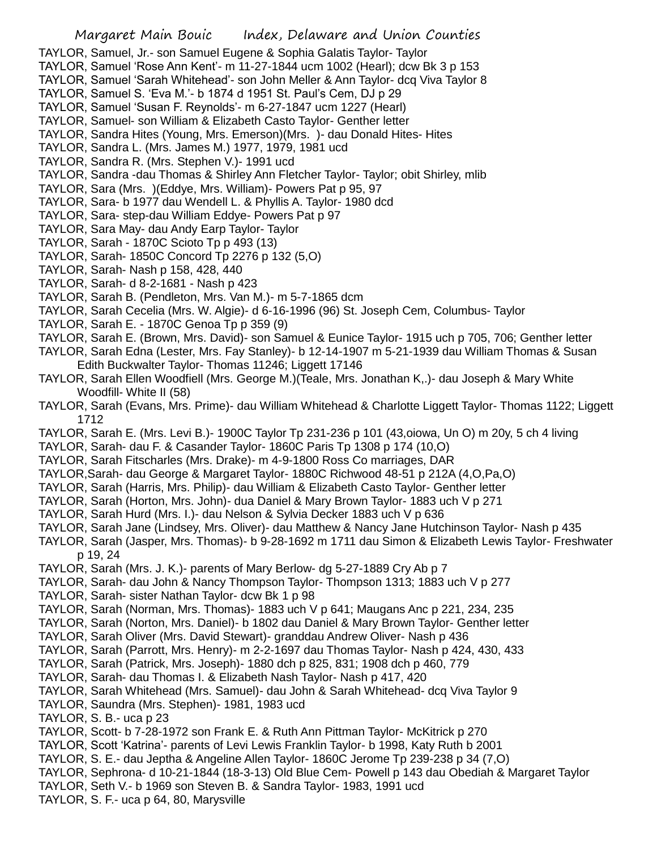- TAYLOR, Samuel, Jr.- son Samuel Eugene & Sophia Galatis Taylor- Taylor
- TAYLOR, Samuel 'Rose Ann Kent'- m 11-27-1844 ucm 1002 (Hearl); dcw Bk 3 p 153
- TAYLOR, Samuel 'Sarah Whitehead'- son John Meller & Ann Taylor- dcq Viva Taylor 8
- TAYLOR, Samuel S. 'Eva M.'- b 1874 d 1951 St. Paul's Cem, DJ p 29
- TAYLOR, Samuel 'Susan F. Reynolds'- m 6-27-1847 ucm 1227 (Hearl)
- TAYLOR, Samuel- son William & Elizabeth Casto Taylor- Genther letter
- TAYLOR, Sandra Hites (Young, Mrs. Emerson)(Mrs. )- dau Donald Hites- Hites
- TAYLOR, Sandra L. (Mrs. James M.) 1977, 1979, 1981 ucd
- TAYLOR, Sandra R. (Mrs. Stephen V.)- 1991 ucd
- TAYLOR, Sandra -dau Thomas & Shirley Ann Fletcher Taylor- Taylor; obit Shirley, mlib
- TAYLOR, Sara (Mrs. )(Eddye, Mrs. William)- Powers Pat p 95, 97
- TAYLOR, Sara- b 1977 dau Wendell L. & Phyllis A. Taylor- 1980 dcd
- TAYLOR, Sara- step-dau William Eddye- Powers Pat p 97
- TAYLOR, Sara May- dau Andy Earp Taylor- Taylor
- TAYLOR, Sarah 1870C Scioto Tp p 493 (13)
- TAYLOR, Sarah- 1850C Concord Tp 2276 p 132 (5,O)
- TAYLOR, Sarah- Nash p 158, 428, 440
- TAYLOR, Sarah- d 8-2-1681 Nash p 423
- TAYLOR, Sarah B. (Pendleton, Mrs. Van M.)- m 5-7-1865 dcm
- TAYLOR, Sarah Cecelia (Mrs. W. Algie)- d 6-16-1996 (96) St. Joseph Cem, Columbus- Taylor
- TAYLOR, Sarah E. 1870C Genoa Tp p 359 (9)
- TAYLOR, Sarah E. (Brown, Mrs. David)- son Samuel & Eunice Taylor- 1915 uch p 705, 706; Genther letter
- TAYLOR, Sarah Edna (Lester, Mrs. Fay Stanley)- b 12-14-1907 m 5-21-1939 dau William Thomas & Susan Edith Buckwalter Taylor- Thomas 11246; Liggett 17146
- TAYLOR, Sarah Ellen Woodfiell (Mrs. George M.)(Teale, Mrs. Jonathan K,.)- dau Joseph & Mary White Woodfill- White II (58)
- TAYLOR, Sarah (Evans, Mrs. Prime)- dau William Whitehead & Charlotte Liggett Taylor- Thomas 1122; Liggett 1712
- TAYLOR, Sarah E. (Mrs. Levi B.)- 1900C Taylor Tp 231-236 p 101 (43,oiowa, Un O) m 20y, 5 ch 4 living
- TAYLOR, Sarah- dau F. & Casander Taylor- 1860C Paris Tp 1308 p 174 (10,O)
- TAYLOR, Sarah Fitscharles (Mrs. Drake)- m 4-9-1800 Ross Co marriages, DAR
- TAYLOR,Sarah- dau George & Margaret Taylor- 1880C Richwood 48-51 p 212A (4,O,Pa,O)
- TAYLOR, Sarah (Harris, Mrs. Philip)- dau William & Elizabeth Casto Taylor- Genther letter
- TAYLOR, Sarah (Horton, Mrs. John)- dua Daniel & Mary Brown Taylor- 1883 uch V p 271
- TAYLOR, Sarah Hurd (Mrs. I.)- dau Nelson & Sylvia Decker 1883 uch V p 636
- TAYLOR, Sarah Jane (Lindsey, Mrs. Oliver)- dau Matthew & Nancy Jane Hutchinson Taylor- Nash p 435
- TAYLOR, Sarah (Jasper, Mrs. Thomas)- b 9-28-1692 m 1711 dau Simon & Elizabeth Lewis Taylor- Freshwater p 19, 24
- TAYLOR, Sarah (Mrs. J. K.)- parents of Mary Berlow- dg 5-27-1889 Cry Ab p 7
- TAYLOR, Sarah- dau John & Nancy Thompson Taylor- Thompson 1313; 1883 uch V p 277
- TAYLOR, Sarah- sister Nathan Taylor- dcw Bk 1 p 98
- TAYLOR, Sarah (Norman, Mrs. Thomas)- 1883 uch V p 641; Maugans Anc p 221, 234, 235
- TAYLOR, Sarah (Norton, Mrs. Daniel)- b 1802 dau Daniel & Mary Brown Taylor- Genther letter
- TAYLOR, Sarah Oliver (Mrs. David Stewart)- granddau Andrew Oliver- Nash p 436
- TAYLOR, Sarah (Parrott, Mrs. Henry)- m 2-2-1697 dau Thomas Taylor- Nash p 424, 430, 433
- TAYLOR, Sarah (Patrick, Mrs. Joseph)- 1880 dch p 825, 831; 1908 dch p 460, 779
- TAYLOR, Sarah- dau Thomas I. & Elizabeth Nash Taylor- Nash p 417, 420
- TAYLOR, Sarah Whitehead (Mrs. Samuel)- dau John & Sarah Whitehead- dcq Viva Taylor 9
- TAYLOR, Saundra (Mrs. Stephen)- 1981, 1983 ucd
- TAYLOR, S. B.- uca p 23
- TAYLOR, Scott- b 7-28-1972 son Frank E. & Ruth Ann Pittman Taylor- McKitrick p 270
- TAYLOR, Scott 'Katrina'- parents of Levi Lewis Franklin Taylor- b 1998, Katy Ruth b 2001
- TAYLOR, S. E.- dau Jeptha & Angeline Allen Taylor- 1860C Jerome Tp 239-238 p 34 (7,O)
- TAYLOR, Sephrona- d 10-21-1844 (18-3-13) Old Blue Cem- Powell p 143 dau Obediah & Margaret Taylor
- TAYLOR, Seth V.- b 1969 son Steven B. & Sandra Taylor- 1983, 1991 ucd
- TAYLOR, S. F.- uca p 64, 80, Marysville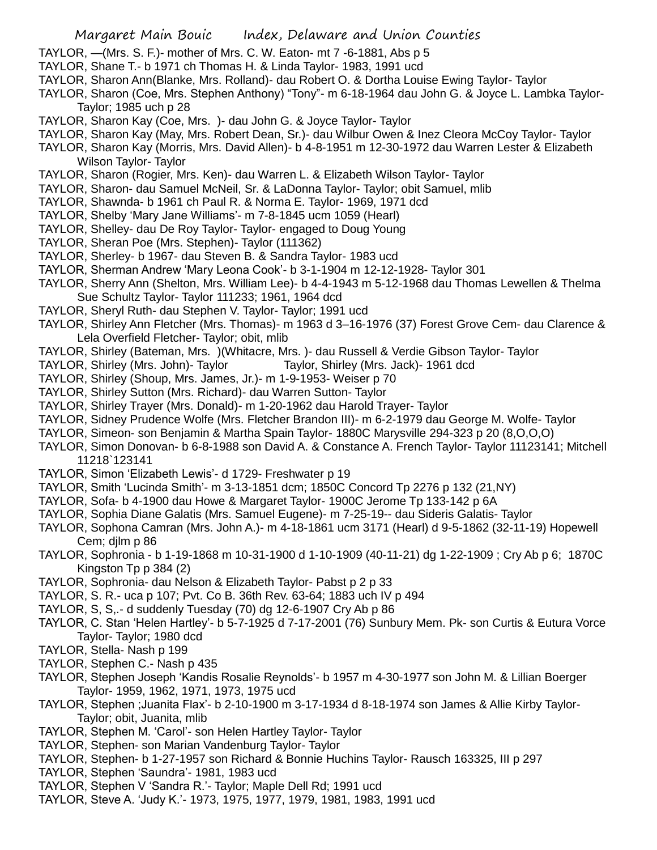- TAYLOR, —(Mrs. S. F.)- mother of Mrs. C. W. Eaton- mt 7 -6-1881, Abs p 5
- TAYLOR, Shane T.- b 1971 ch Thomas H. & Linda Taylor- 1983, 1991 ucd
- TAYLOR, Sharon Ann(Blanke, Mrs. Rolland)- dau Robert O. & Dortha Louise Ewing Taylor- Taylor
- TAYLOR, Sharon (Coe, Mrs. Stephen Anthony) "Tony"- m 6-18-1964 dau John G. & Joyce L. Lambka Taylor-Taylor; 1985 uch p 28
- TAYLOR, Sharon Kay (Coe, Mrs. )- dau John G. & Joyce Taylor- Taylor
- TAYLOR, Sharon Kay (May, Mrs. Robert Dean, Sr.)- dau Wilbur Owen & Inez Cleora McCoy Taylor- Taylor
- TAYLOR, Sharon Kay (Morris, Mrs. David Allen)- b 4-8-1951 m 12-30-1972 dau Warren Lester & Elizabeth Wilson Taylor- Taylor
- TAYLOR, Sharon (Rogier, Mrs. Ken)- dau Warren L. & Elizabeth Wilson Taylor- Taylor
- TAYLOR, Sharon- dau Samuel McNeil, Sr. & LaDonna Taylor- Taylor; obit Samuel, mlib
- TAYLOR, Shawnda- b 1961 ch Paul R. & Norma E. Taylor- 1969, 1971 dcd
- TAYLOR, Shelby 'Mary Jane Williams'- m 7-8-1845 ucm 1059 (Hearl)
- TAYLOR, Shelley- dau De Roy Taylor- Taylor- engaged to Doug Young
- TAYLOR, Sheran Poe (Mrs. Stephen)- Taylor (111362)
- TAYLOR, Sherley- b 1967- dau Steven B. & Sandra Taylor- 1983 ucd
- TAYLOR, Sherman Andrew 'Mary Leona Cook'- b 3-1-1904 m 12-12-1928- Taylor 301
- TAYLOR, Sherry Ann (Shelton, Mrs. William Lee)- b 4-4-1943 m 5-12-1968 dau Thomas Lewellen & Thelma Sue Schultz Taylor- Taylor 111233; 1961, 1964 dcd
- TAYLOR, Sheryl Ruth- dau Stephen V. Taylor- Taylor; 1991 ucd
- TAYLOR, Shirley Ann Fletcher (Mrs. Thomas)- m 1963 d 3–16-1976 (37) Forest Grove Cem- dau Clarence & Lela Overfield Fletcher- Taylor; obit, mlib
- TAYLOR, Shirley (Bateman, Mrs. )(Whitacre, Mrs. )- dau Russell & Verdie Gibson Taylor- Taylor
- TAYLOR, Shirley (Mrs. John)- Taylor Taylor, Shirley (Mrs. Jack)- 1961 dcd
- TAYLOR, Shirley (Shoup, Mrs. James, Jr.)- m 1-9-1953- Weiser p 70
- TAYLOR, Shirley Sutton (Mrs. Richard)- dau Warren Sutton- Taylor
- TAYLOR, Shirley Trayer (Mrs. Donald)- m 1-20-1962 dau Harold Trayer- Taylor
- TAYLOR, Sidney Prudence Wolfe (Mrs. Fletcher Brandon III)- m 6-2-1979 dau George M. Wolfe- Taylor
- TAYLOR, Simeon- son Benjamin & Martha Spain Taylor- 1880C Marysville 294-323 p 20 (8,O,O,O)
- TAYLOR, Simon Donovan- b 6-8-1988 son David A. & Constance A. French Taylor- Taylor 11123141; Mitchell 11218`123141
- TAYLOR, Simon 'Elizabeth Lewis'- d 1729- Freshwater p 19
- TAYLOR, Smith 'Lucinda Smith'- m 3-13-1851 dcm; 1850C Concord Tp 2276 p 132 (21,NY)
- TAYLOR, Sofa- b 4-1900 dau Howe & Margaret Taylor- 1900C Jerome Tp 133-142 p 6A
- TAYLOR, Sophia Diane Galatis (Mrs. Samuel Eugene)- m 7-25-19-- dau Sideris Galatis- Taylor
- TAYLOR, Sophona Camran (Mrs. John A.)- m 4-18-1861 ucm 3171 (Hearl) d 9-5-1862 (32-11-19) Hopewell Cem; djlm p 86
- TAYLOR, Sophronia b 1-19-1868 m 10-31-1900 d 1-10-1909 (40-11-21) dg 1-22-1909 ; Cry Ab p 6; 1870C Kingston Tp p 384 (2)
- TAYLOR, Sophronia- dau Nelson & Elizabeth Taylor- Pabst p 2 p 33
- TAYLOR, S. R.- uca p 107; Pvt. Co B. 36th Rev. 63-64; 1883 uch IV p 494
- TAYLOR, S, S,.- d suddenly Tuesday (70) dg 12-6-1907 Cry Ab p 86
- TAYLOR, C. Stan 'Helen Hartley'- b 5-7-1925 d 7-17-2001 (76) Sunbury Mem. Pk- son Curtis & Eutura Vorce Taylor- Taylor; 1980 dcd
- TAYLOR, Stella- Nash p 199
- TAYLOR, Stephen C.- Nash p 435
- TAYLOR, Stephen Joseph 'Kandis Rosalie Reynolds'- b 1957 m 4-30-1977 son John M. & Lillian Boerger Taylor- 1959, 1962, 1971, 1973, 1975 ucd
- TAYLOR, Stephen ;Juanita Flax'- b 2-10-1900 m 3-17-1934 d 8-18-1974 son James & Allie Kirby Taylor-Taylor; obit, Juanita, mlib
- TAYLOR, Stephen M. 'Carol'- son Helen Hartley Taylor- Taylor
- TAYLOR, Stephen- son Marian Vandenburg Taylor- Taylor
- TAYLOR, Stephen- b 1-27-1957 son Richard & Bonnie Huchins Taylor- Rausch 163325, III p 297
- TAYLOR, Stephen 'Saundra'- 1981, 1983 ucd
- TAYLOR, Stephen V 'Sandra R.'- Taylor; Maple Dell Rd; 1991 ucd
- TAYLOR, Steve A. 'Judy K.'- 1973, 1975, 1977, 1979, 1981, 1983, 1991 ucd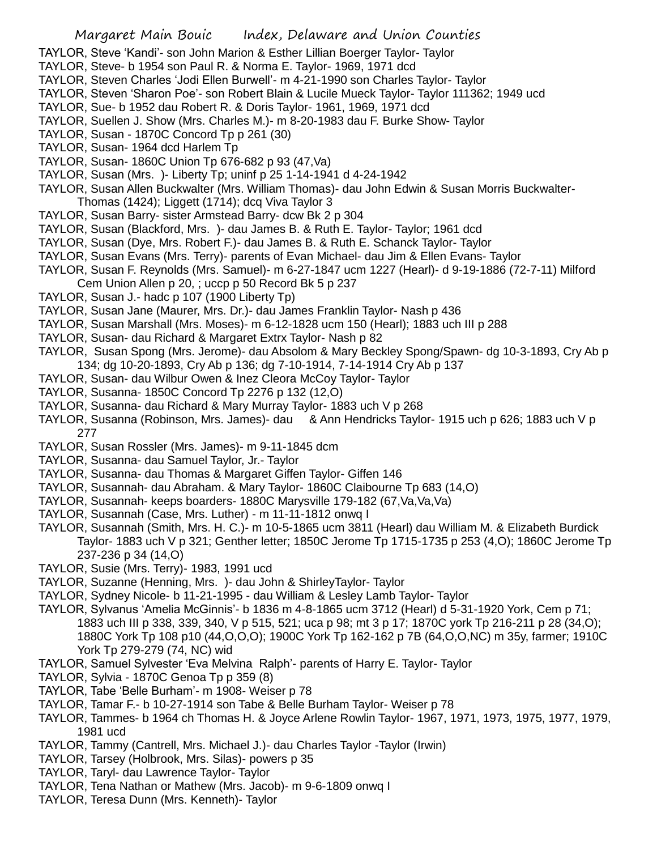- TAYLOR, Steve 'Kandi'- son John Marion & Esther Lillian Boerger Taylor- Taylor
- TAYLOR, Steve- b 1954 son Paul R. & Norma E. Taylor- 1969, 1971 dcd
- TAYLOR, Steven Charles 'Jodi Ellen Burwell'- m 4-21-1990 son Charles Taylor- Taylor
- TAYLOR, Steven 'Sharon Poe'- son Robert Blain & Lucile Mueck Taylor- Taylor 111362; 1949 ucd
- TAYLOR, Sue- b 1952 dau Robert R. & Doris Taylor- 1961, 1969, 1971 dcd
- TAYLOR, Suellen J. Show (Mrs. Charles M.)- m 8-20-1983 dau F. Burke Show- Taylor
- TAYLOR, Susan 1870C Concord Tp p 261 (30)
- TAYLOR, Susan- 1964 dcd Harlem Tp
- TAYLOR, Susan- 1860C Union Tp 676-682 p 93 (47,Va)
- TAYLOR, Susan (Mrs. )- Liberty Tp; uninf p 25 1-14-1941 d 4-24-1942
- TAYLOR, Susan Allen Buckwalter (Mrs. William Thomas)- dau John Edwin & Susan Morris Buckwalter-Thomas (1424); Liggett (1714); dcq Viva Taylor 3
- TAYLOR, Susan Barry- sister Armstead Barry- dcw Bk 2 p 304
- TAYLOR, Susan (Blackford, Mrs. )- dau James B. & Ruth E. Taylor- Taylor; 1961 dcd
- TAYLOR, Susan (Dye, Mrs. Robert F.)- dau James B. & Ruth E. Schanck Taylor- Taylor
- TAYLOR, Susan Evans (Mrs. Terry)- parents of Evan Michael- dau Jim & Ellen Evans- Taylor
- TAYLOR, Susan F. Reynolds (Mrs. Samuel)- m 6-27-1847 ucm 1227 (Hearl)- d 9-19-1886 (72-7-11) Milford Cem Union Allen p 20, ; uccp p 50 Record Bk 5 p 237
- TAYLOR, Susan J.- hadc p 107 (1900 Liberty Tp)
- TAYLOR, Susan Jane (Maurer, Mrs. Dr.)- dau James Franklin Taylor- Nash p 436
- TAYLOR, Susan Marshall (Mrs. Moses)- m 6-12-1828 ucm 150 (Hearl); 1883 uch III p 288
- TAYLOR, Susan- dau Richard & Margaret Extrx Taylor- Nash p 82
- TAYLOR, Susan Spong (Mrs. Jerome)- dau Absolom & Mary Beckley Spong/Spawn- dg 10-3-1893, Cry Ab p 134; dg 10-20-1893, Cry Ab p 136; dg 7-10-1914, 7-14-1914 Cry Ab p 137
- TAYLOR, Susan- dau Wilbur Owen & Inez Cleora McCoy Taylor- Taylor
- TAYLOR, Susanna- 1850C Concord Tp 2276 p 132 (12,O)
- TAYLOR, Susanna- dau Richard & Mary Murray Taylor- 1883 uch V p 268
- TAYLOR, Susanna (Robinson, Mrs. James)- dau & Ann Hendricks Taylor- 1915 uch p 626; 1883 uch V p 277
- TAYLOR, Susan Rossler (Mrs. James)- m 9-11-1845 dcm
- TAYLOR, Susanna- dau Samuel Taylor, Jr.- Taylor
- TAYLOR, Susanna- dau Thomas & Margaret Giffen Taylor- Giffen 146
- TAYLOR, Susannah- dau Abraham. & Mary Taylor- 1860C Claibourne Tp 683 (14,O)
- TAYLOR, Susannah- keeps boarders- 1880C Marysville 179-182 (67,Va,Va,Va)
- TAYLOR, Susannah (Case, Mrs. Luther) m 11-11-1812 onwq I
- TAYLOR, Susannah (Smith, Mrs. H. C.)- m 10-5-1865 ucm 3811 (Hearl) dau William M. & Elizabeth Burdick Taylor- 1883 uch V p 321; Genther letter; 1850C Jerome Tp 1715-1735 p 253 (4,O); 1860C Jerome Tp 237-236 p 34 (14,O)
- TAYLOR, Susie (Mrs. Terry)- 1983, 1991 ucd
- TAYLOR, Suzanne (Henning, Mrs. )- dau John & ShirleyTaylor- Taylor
- TAYLOR, Sydney Nicole- b 11-21-1995 dau William & Lesley Lamb Taylor- Taylor
- TAYLOR, Sylvanus 'Amelia McGinnis'- b 1836 m 4-8-1865 ucm 3712 (Hearl) d 5-31-1920 York, Cem p 71; 1883 uch III p 338, 339, 340, V p 515, 521; uca p 98; mt 3 p 17; 1870C york Tp 216-211 p 28 (34,O); 1880C York Tp 108 p10 (44,O,O,O); 1900C York Tp 162-162 p 7B (64,O,O,NC) m 35y, farmer; 1910C York Tp 279-279 (74, NC) wid
- TAYLOR, Samuel Sylvester 'Eva Melvina Ralph'- parents of Harry E. Taylor- Taylor
- TAYLOR, Sylvia 1870C Genoa Tp p 359 (8)
- TAYLOR, Tabe 'Belle Burham'- m 1908- Weiser p 78
- TAYLOR, Tamar F.- b 10-27-1914 son Tabe & Belle Burham Taylor- Weiser p 78
- TAYLOR, Tammes- b 1964 ch Thomas H. & Joyce Arlene Rowlin Taylor- 1967, 1971, 1973, 1975, 1977, 1979, 1981 ucd
- TAYLOR, Tammy (Cantrell, Mrs. Michael J.)- dau Charles Taylor -Taylor (Irwin)
- TAYLOR, Tarsey (Holbrook, Mrs. Silas)- powers p 35
- TAYLOR, Taryl- dau Lawrence Taylor- Taylor
- TAYLOR, Tena Nathan or Mathew (Mrs. Jacob)- m 9-6-1809 onwq I
- TAYLOR, Teresa Dunn (Mrs. Kenneth)- Taylor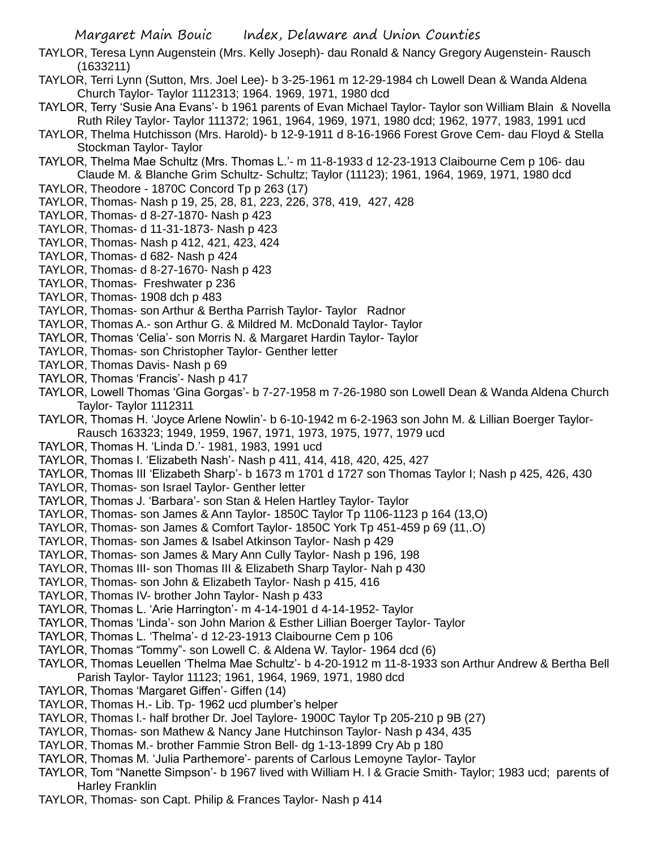- TAYLOR, Teresa Lynn Augenstein (Mrs. Kelly Joseph)- dau Ronald & Nancy Gregory Augenstein- Rausch (1633211)
- TAYLOR, Terri Lynn (Sutton, Mrs. Joel Lee)- b 3-25-1961 m 12-29-1984 ch Lowell Dean & Wanda Aldena Church Taylor- Taylor 1112313; 1964. 1969, 1971, 1980 dcd
- TAYLOR, Terry 'Susie Ana Evans'- b 1961 parents of Evan Michael Taylor- Taylor son William Blain & Novella Ruth Riley Taylor- Taylor 111372; 1961, 1964, 1969, 1971, 1980 dcd; 1962, 1977, 1983, 1991 ucd
- TAYLOR, Thelma Hutchisson (Mrs. Harold)- b 12-9-1911 d 8-16-1966 Forest Grove Cem- dau Floyd & Stella Stockman Taylor- Taylor
- TAYLOR, Thelma Mae Schultz (Mrs. Thomas L.'- m 11-8-1933 d 12-23-1913 Claibourne Cem p 106- dau Claude M. & Blanche Grim Schultz- Schultz; Taylor (11123); 1961, 1964, 1969, 1971, 1980 dcd
- TAYLOR, Theodore 1870C Concord Tp p 263 (17)
- TAYLOR, Thomas- Nash p 19, 25, 28, 81, 223, 226, 378, 419, 427, 428
- TAYLOR, Thomas- d 8-27-1870- Nash p 423
- TAYLOR, Thomas- d 11-31-1873- Nash p 423
- TAYLOR, Thomas- Nash p 412, 421, 423, 424
- TAYLOR, Thomas- d 682- Nash p 424
- TAYLOR, Thomas- d 8-27-1670- Nash p 423
- TAYLOR, Thomas- Freshwater p 236
- TAYLOR, Thomas- 1908 dch p 483
- TAYLOR, Thomas- son Arthur & Bertha Parrish Taylor- Taylor Radnor
- TAYLOR, Thomas A.- son Arthur G. & Mildred M. McDonald Taylor- Taylor
- TAYLOR, Thomas 'Celia'- son Morris N. & Margaret Hardin Taylor- Taylor
- TAYLOR, Thomas- son Christopher Taylor- Genther letter
- TAYLOR, Thomas Davis- Nash p 69
- TAYLOR, Thomas 'Francis'- Nash p 417
- TAYLOR, Lowell Thomas 'Gina Gorgas'- b 7-27-1958 m 7-26-1980 son Lowell Dean & Wanda Aldena Church Taylor- Taylor 1112311
- TAYLOR, Thomas H. 'Joyce Arlene Nowlin'- b 6-10-1942 m 6-2-1963 son John M. & Lillian Boerger Taylor-Rausch 163323; 1949, 1959, 1967, 1971, 1973, 1975, 1977, 1979 ucd
- TAYLOR, Thomas H. 'Linda D.'- 1981, 1983, 1991 ucd
- TAYLOR, Thomas I. 'Elizabeth Nash'- Nash p 411, 414, 418, 420, 425, 427
- TAYLOR, Thomas III 'Elizabeth Sharp'- b 1673 m 1701 d 1727 son Thomas Taylor I; Nash p 425, 426, 430
- TAYLOR, Thomas- son Israel Taylor- Genther letter
- TAYLOR, Thomas J. 'Barbara'- son Stan & Helen Hartley Taylor- Taylor
- TAYLOR, Thomas- son James & Ann Taylor- 1850C Taylor Tp 1106-1123 p 164 (13,O)
- TAYLOR, Thomas- son James & Comfort Taylor- 1850C York Tp 451-459 p 69 (11,.O)
- TAYLOR, Thomas- son James & Isabel Atkinson Taylor- Nash p 429
- TAYLOR, Thomas- son James & Mary Ann Cully Taylor- Nash p 196, 198
- TAYLOR, Thomas III- son Thomas III & Elizabeth Sharp Taylor- Nah p 430
- TAYLOR, Thomas- son John & Elizabeth Taylor- Nash p 415, 416
- TAYLOR, Thomas IV- brother John Taylor- Nash p 433
- TAYLOR, Thomas L. 'Arie Harrington'- m 4-14-1901 d 4-14-1952- Taylor
- TAYLOR, Thomas 'Linda'- son John Marion & Esther Lillian Boerger Taylor- Taylor
- TAYLOR, Thomas L. 'Thelma'- d 12-23-1913 Claibourne Cem p 106
- TAYLOR, Thomas "Tommy"- son Lowell C. & Aldena W. Taylor- 1964 dcd (6)
- TAYLOR, Thomas Leuellen 'Thelma Mae Schultz'- b 4-20-1912 m 11-8-1933 son Arthur Andrew & Bertha Bell Parish Taylor- Taylor 11123; 1961, 1964, 1969, 1971, 1980 dcd
- TAYLOR, Thomas 'Margaret Giffen'- Giffen (14)
- TAYLOR, Thomas H.- Lib. Tp- 1962 ucd plumber's helper
- TAYLOR, Thomas l.- half brother Dr. Joel Taylore- 1900C Taylor Tp 205-210 p 9B (27)
- TAYLOR, Thomas- son Mathew & Nancy Jane Hutchinson Taylor- Nash p 434, 435
- TAYLOR, Thomas M.- brother Fammie Stron Bell- dg 1-13-1899 Cry Ab p 180
- TAYLOR, Thomas M. 'Julia Parthemore'- parents of Carlous Lemoyne Taylor- Taylor
- TAYLOR, Tom "Nanette Simpson'- b 1967 lived with William H. l & Gracie Smith- Taylor; 1983 ucd; parents of Harley Franklin
- TAYLOR, Thomas- son Capt. Philip & Frances Taylor- Nash p 414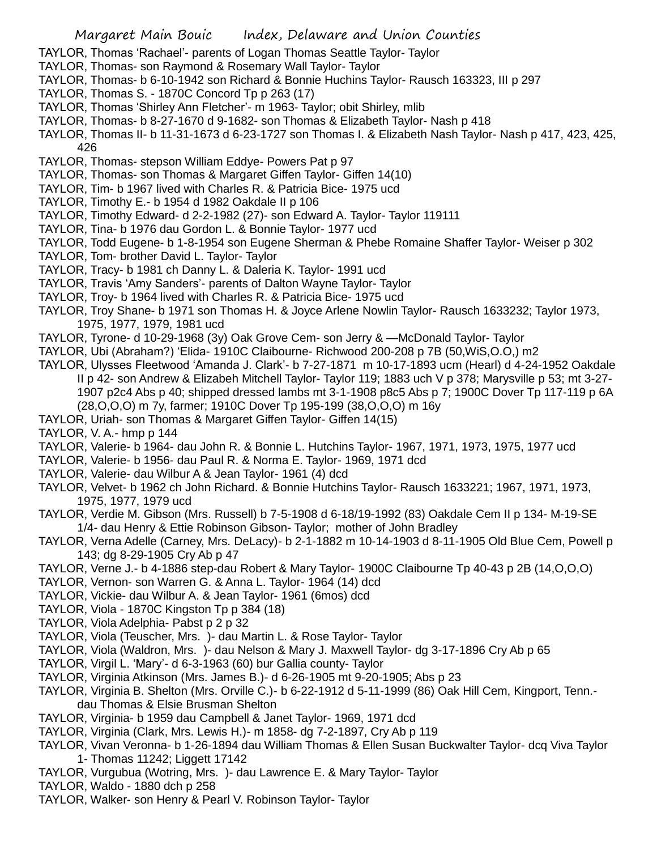- TAYLOR, Thomas 'Rachael'- parents of Logan Thomas Seattle Taylor- Taylor
- TAYLOR, Thomas- son Raymond & Rosemary Wall Taylor- Taylor
- TAYLOR, Thomas- b 6-10-1942 son Richard & Bonnie Huchins Taylor- Rausch 163323, III p 297
- TAYLOR, Thomas S. 1870C Concord Tp p 263 (17)
- TAYLOR, Thomas 'Shirley Ann Fletcher'- m 1963- Taylor; obit Shirley, mlib
- TAYLOR, Thomas- b 8-27-1670 d 9-1682- son Thomas & Elizabeth Taylor- Nash p 418
- TAYLOR, Thomas II- b 11-31-1673 d 6-23-1727 son Thomas I. & Elizabeth Nash Taylor- Nash p 417, 423, 425, 426
- TAYLOR, Thomas- stepson William Eddye- Powers Pat p 97
- TAYLOR, Thomas- son Thomas & Margaret Giffen Taylor- Giffen 14(10)
- TAYLOR, Tim- b 1967 lived with Charles R. & Patricia Bice- 1975 ucd
- TAYLOR, Timothy E.- b 1954 d 1982 Oakdale II p 106
- TAYLOR, Timothy Edward- d 2-2-1982 (27)- son Edward A. Taylor- Taylor 119111
- TAYLOR, Tina- b 1976 dau Gordon L. & Bonnie Taylor- 1977 ucd
- TAYLOR, Todd Eugene- b 1-8-1954 son Eugene Sherman & Phebe Romaine Shaffer Taylor- Weiser p 302
- TAYLOR, Tom- brother David L. Taylor- Taylor
- TAYLOR, Tracy- b 1981 ch Danny L. & Daleria K. Taylor- 1991 ucd
- TAYLOR, Travis 'Amy Sanders'- parents of Dalton Wayne Taylor- Taylor
- TAYLOR, Troy- b 1964 lived with Charles R. & Patricia Bice- 1975 ucd
- TAYLOR, Troy Shane- b 1971 son Thomas H. & Joyce Arlene Nowlin Taylor- Rausch 1633232; Taylor 1973, 1975, 1977, 1979, 1981 ucd
- TAYLOR, Tyrone- d 10-29-1968 (3y) Oak Grove Cem- son Jerry & —McDonald Taylor- Taylor
- TAYLOR, Ubi (Abraham?) 'Elida- 1910C Claibourne- Richwood 200-208 p 7B (50,WiS,O.O,) m2
- TAYLOR, Ulysses Fleetwood 'Amanda J. Clark'- b 7-27-1871 m 10-17-1893 ucm (Hearl) d 4-24-1952 Oakdale II p 42- son Andrew & Elizabeh Mitchell Taylor- Taylor 119; 1883 uch V p 378; Marysville p 53; mt 3-27- 1907 p2c4 Abs p 40; shipped dressed lambs mt 3-1-1908 p8c5 Abs p 7; 1900C Dover Tp 117-119 p 6A (28,O,O,O) m 7y, farmer; 1910C Dover Tp 195-199 (38,O,O,O) m 16y
- TAYLOR, Uriah- son Thomas & Margaret Giffen Taylor- Giffen 14(15)
- TAYLOR, V. A.- hmp p 144
- TAYLOR, Valerie- b 1964- dau John R. & Bonnie L. Hutchins Taylor- 1967, 1971, 1973, 1975, 1977 ucd
- TAYLOR, Valerie- b 1956- dau Paul R. & Norma E. Taylor- 1969, 1971 dcd
- TAYLOR, Valerie- dau Wilbur A & Jean Taylor- 1961 (4) dcd
- TAYLOR, Velvet- b 1962 ch John Richard. & Bonnie Hutchins Taylor- Rausch 1633221; 1967, 1971, 1973, 1975, 1977, 1979 ucd
- TAYLOR, Verdie M. Gibson (Mrs. Russell) b 7-5-1908 d 6-18/19-1992 (83) Oakdale Cem II p 134- M-19-SE 1/4- dau Henry & Ettie Robinson Gibson- Taylor; mother of John Bradley
- TAYLOR, Verna Adelle (Carney, Mrs. DeLacy)- b 2-1-1882 m 10-14-1903 d 8-11-1905 Old Blue Cem, Powell p 143; dg 8-29-1905 Cry Ab p 47
- TAYLOR, Verne J.- b 4-1886 step-dau Robert & Mary Taylor- 1900C Claibourne Tp 40-43 p 2B (14,O,O,O)
- TAYLOR, Vernon- son Warren G. & Anna L. Taylor- 1964 (14) dcd
- TAYLOR, Vickie- dau Wilbur A. & Jean Taylor- 1961 (6mos) dcd
- TAYLOR, Viola 1870C Kingston Tp p 384 (18)
- TAYLOR, Viola Adelphia- Pabst p 2 p 32
- TAYLOR, Viola (Teuscher, Mrs. )- dau Martin L. & Rose Taylor- Taylor
- TAYLOR, Viola (Waldron, Mrs. )- dau Nelson & Mary J. Maxwell Taylor- dg 3-17-1896 Cry Ab p 65
- TAYLOR, Virgil L. 'Mary'- d 6-3-1963 (60) bur Gallia county- Taylor
- TAYLOR, Virginia Atkinson (Mrs. James B.)- d 6-26-1905 mt 9-20-1905; Abs p 23
- TAYLOR, Virginia B. Shelton (Mrs. Orville C.)- b 6-22-1912 d 5-11-1999 (86) Oak Hill Cem, Kingport, Tenn. dau Thomas & Elsie Brusman Shelton
- TAYLOR, Virginia- b 1959 dau Campbell & Janet Taylor- 1969, 1971 dcd
- TAYLOR, Virginia (Clark, Mrs. Lewis H.)- m 1858- dg 7-2-1897, Cry Ab p 119
- TAYLOR, Vivan Veronna- b 1-26-1894 dau William Thomas & Ellen Susan Buckwalter Taylor- dcq Viva Taylor 1- Thomas 11242; Liggett 17142
- TAYLOR, Vurgubua (Wotring, Mrs. )- dau Lawrence E. & Mary Taylor- Taylor
- TAYLOR, Waldo 1880 dch p 258
- TAYLOR, Walker- son Henry & Pearl V. Robinson Taylor- Taylor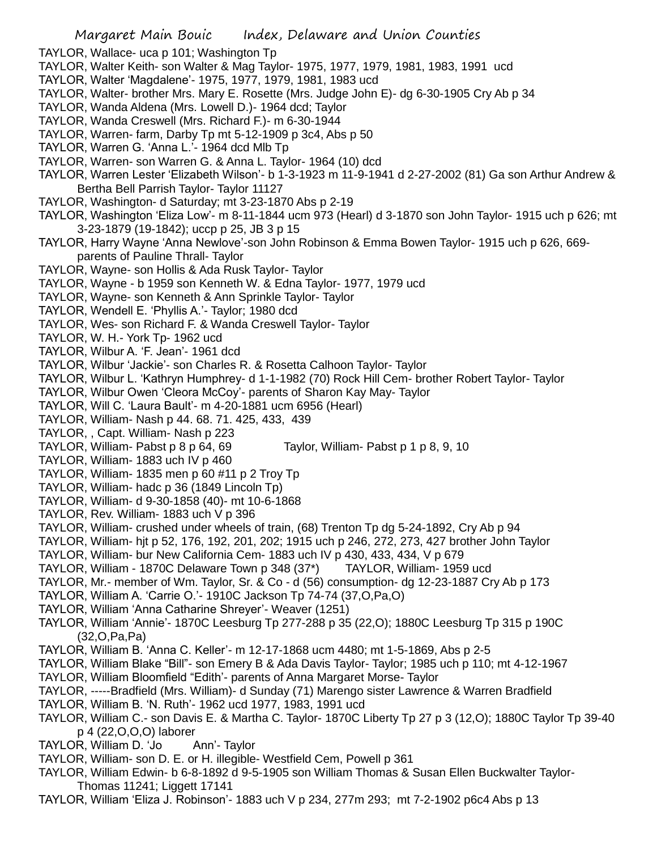- Margaret Main Bouic Index, Delaware and Union Counties TAYLOR, Wallace- uca p 101; Washington Tp TAYLOR, Walter Keith- son Walter & Mag Taylor- 1975, 1977, 1979, 1981, 1983, 1991 ucd TAYLOR, Walter 'Magdalene'- 1975, 1977, 1979, 1981, 1983 ucd TAYLOR, Walter- brother Mrs. Mary E. Rosette (Mrs. Judge John E)- dg 6-30-1905 Cry Ab p 34 TAYLOR, Wanda Aldena (Mrs. Lowell D.)- 1964 dcd; Taylor TAYLOR, Wanda Creswell (Mrs. Richard F.)- m 6-30-1944 TAYLOR, Warren- farm, Darby Tp mt 5-12-1909 p 3c4, Abs p 50 TAYLOR, Warren G. 'Anna L.'- 1964 dcd Mlb Tp TAYLOR, Warren- son Warren G. & Anna L. Taylor- 1964 (10) dcd TAYLOR, Warren Lester 'Elizabeth Wilson'- b 1-3-1923 m 11-9-1941 d 2-27-2002 (81) Ga son Arthur Andrew & Bertha Bell Parrish Taylor- Taylor 11127 TAYLOR, Washington- d Saturday; mt 3-23-1870 Abs p 2-19 TAYLOR, Washington 'Eliza Low'- m 8-11-1844 ucm 973 (Hearl) d 3-1870 son John Taylor- 1915 uch p 626; mt 3-23-1879 (19-1842); uccp p 25, JB 3 p 15 TAYLOR, Harry Wayne 'Anna Newlove'-son John Robinson & Emma Bowen Taylor- 1915 uch p 626, 669 parents of Pauline Thrall- Taylor TAYLOR, Wayne- son Hollis & Ada Rusk Taylor- Taylor TAYLOR, Wayne - b 1959 son Kenneth W. & Edna Taylor- 1977, 1979 ucd TAYLOR, Wayne- son Kenneth & Ann Sprinkle Taylor- Taylor TAYLOR, Wendell E. 'Phyllis A.'- Taylor; 1980 dcd TAYLOR, Wes- son Richard F. & Wanda Creswell Taylor- Taylor TAYLOR, W. H.- York Tp- 1962 ucd TAYLOR, Wilbur A. 'F. Jean'- 1961 dcd TAYLOR, Wilbur 'Jackie'- son Charles R. & Rosetta Calhoon Taylor- Taylor TAYLOR, Wilbur L. 'Kathryn Humphrey- d 1-1-1982 (70) Rock Hill Cem- brother Robert Taylor- Taylor TAYLOR, Wilbur Owen 'Cleora McCoy'- parents of Sharon Kay May- Taylor TAYLOR, Will C. 'Laura Bault'- m 4-20-1881 ucm 6956 (Hearl) TAYLOR, William- Nash p 44. 68. 71. 425, 433, 439 TAYLOR, , Capt. William- Nash p 223 TAYLOR, William- Pabst p 8 p 64, 69 Taylor, William- Pabst p 1 p 8, 9, 10 TAYLOR, William- 1883 uch IV p 460 TAYLOR, William- 1835 men p 60 #11 p 2 Troy Tp TAYLOR, William- hadc p 36 (1849 Lincoln Tp) TAYLOR, William- d 9-30-1858 (40)- mt 10-6-1868 TAYLOR, Rev. William- 1883 uch V p 396 TAYLOR, William- crushed under wheels of train, (68) Trenton Tp dg 5-24-1892, Cry Ab p 94 TAYLOR, William- hjt p 52, 176, 192, 201, 202; 1915 uch p 246, 272, 273, 427 brother John Taylor TAYLOR, William- bur New California Cem- 1883 uch IV p 430, 433, 434, V p 679 TAYLOR, William - 1870C Delaware Town p 348 (37\*) TAYLOR, William- 1959 ucd TAYLOR, Mr.- member of Wm. Taylor, Sr. & Co - d (56) consumption- dg 12-23-1887 Cry Ab p 173 TAYLOR, William A. 'Carrie O.'- 1910C Jackson Tp 74-74 (37,O,Pa,O) TAYLOR, William 'Anna Catharine Shreyer'- Weaver (1251) TAYLOR, William 'Annie'- 1870C Leesburg Tp 277-288 p 35 (22,O); 1880C Leesburg Tp 315 p 190C (32,O,Pa,Pa) TAYLOR, William B. 'Anna C. Keller'- m 12-17-1868 ucm 4480; mt 1-5-1869, Abs p 2-5 TAYLOR, William Blake "Bill"- son Emery B & Ada Davis Taylor- Taylor; 1985 uch p 110; mt 4-12-1967 TAYLOR, William Bloomfield "Edith'- parents of Anna Margaret Morse- Taylor TAYLOR, -----Bradfield (Mrs. William)- d Sunday (71) Marengo sister Lawrence & Warren Bradfield TAYLOR, William B. 'N. Ruth'- 1962 ucd 1977, 1983, 1991 ucd TAYLOR, William C.- son Davis E. & Martha C. Taylor- 1870C Liberty Tp 27 p 3 (12,O); 1880C Taylor Tp 39-40 p 4 (22,O,O,O) laborer
- TAYLOR, William D. 'Jo Ann'- Taylor
- TAYLOR, William- son D. E. or H. illegible- Westfield Cem, Powell p 361
- TAYLOR, William Edwin- b 6-8-1892 d 9-5-1905 son William Thomas & Susan Ellen Buckwalter Taylor-Thomas 11241; Liggett 17141
- TAYLOR, William 'Eliza J. Robinson'- 1883 uch V p 234, 277m 293; mt 7-2-1902 p6c4 Abs p 13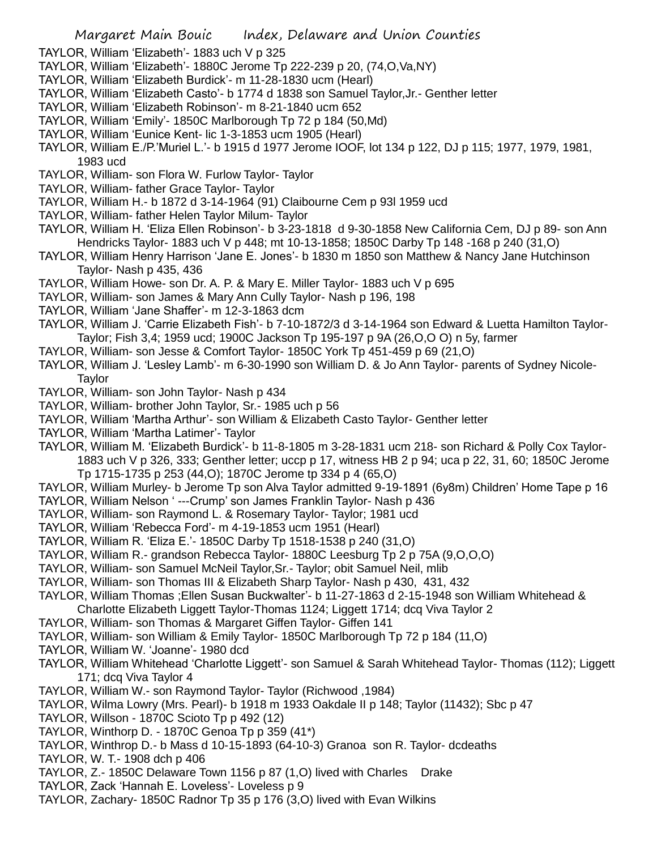TAYLOR, William 'Elizabeth'- 1883 uch V p 325

- TAYLOR, William 'Elizabeth'- 1880C Jerome Tp 222-239 p 20, (74,O,Va,NY)
- TAYLOR, William 'Elizabeth Burdick'- m 11-28-1830 ucm (Hearl)
- TAYLOR, William 'Elizabeth Casto'- b 1774 d 1838 son Samuel Taylor,Jr.- Genther letter
- TAYLOR, William 'Elizabeth Robinson'- m 8-21-1840 ucm 652
- TAYLOR, William 'Emily'- 1850C Marlborough Tp 72 p 184 (50,Md)
- TAYLOR, William 'Eunice Kent- lic 1-3-1853 ucm 1905 (Hearl)
- TAYLOR, William E./P.'Muriel L.'- b 1915 d 1977 Jerome IOOF, lot 134 p 122, DJ p 115; 1977, 1979, 1981, 1983 ucd
- TAYLOR, William- son Flora W. Furlow Taylor- Taylor
- TAYLOR, William- father Grace Taylor- Taylor
- TAYLOR, William H.- b 1872 d 3-14-1964 (91) Claibourne Cem p 93l 1959 ucd
- TAYLOR, William- father Helen Taylor Milum- Taylor
- TAYLOR, William H. 'Eliza Ellen Robinson'- b 3-23-1818 d 9-30-1858 New California Cem, DJ p 89- son Ann Hendricks Taylor- 1883 uch V p 448; mt 10-13-1858; 1850C Darby Tp 148 -168 p 240 (31,O)
- TAYLOR, William Henry Harrison 'Jane E. Jones'- b 1830 m 1850 son Matthew & Nancy Jane Hutchinson Taylor- Nash p 435, 436
- TAYLOR, William Howe- son Dr. A. P. & Mary E. Miller Taylor- 1883 uch V p 695
- TAYLOR, William- son James & Mary Ann Cully Taylor- Nash p 196, 198
- TAYLOR, William 'Jane Shaffer'- m 12-3-1863 dcm
- TAYLOR, William J. 'Carrie Elizabeth Fish'- b 7-10-1872/3 d 3-14-1964 son Edward & Luetta Hamilton Taylor-Taylor; Fish 3,4; 1959 ucd; 1900C Jackson Tp 195-197 p 9A (26,O,O O) n 5y, farmer
- TAYLOR, William- son Jesse & Comfort Taylor- 1850C York Tp 451-459 p 69 (21,O)
- TAYLOR, William J. 'Lesley Lamb'- m 6-30-1990 son William D. & Jo Ann Taylor- parents of Sydney Nicole-**Taylor**
- TAYLOR, William- son John Taylor- Nash p 434
- TAYLOR, William- brother John Taylor, Sr.- 1985 uch p 56
- TAYLOR, William 'Martha Arthur'- son William & Elizabeth Casto Taylor- Genther letter
- TAYLOR, William 'Martha Latimer'- Taylor
- TAYLOR, William M. 'Elizabeth Burdick'- b 11-8-1805 m 3-28-1831 ucm 218- son Richard & Polly Cox Taylor-1883 uch V p 326, 333; Genther letter; uccp p 17, witness HB 2 p 94; uca p 22, 31, 60; 1850C Jerome Tp 1715-1735 p 253 (44,O); 1870C Jerome tp 334 p 4 (65,O)
- TAYLOR, William Murley- b Jerome Tp son Alva Taylor admitted 9-19-1891 (6y8m) Children' Home Tape p 16
- TAYLOR, William Nelson ' ---Crump' son James Franklin Taylor- Nash p 436
- TAYLOR, William- son Raymond L. & Rosemary Taylor- Taylor; 1981 ucd
- TAYLOR, William 'Rebecca Ford'- m 4-19-1853 ucm 1951 (Hearl)
- TAYLOR, William R. 'Eliza E.'- 1850C Darby Tp 1518-1538 p 240 (31,O)
- TAYLOR, William R.- grandson Rebecca Taylor- 1880C Leesburg Tp 2 p 75A (9,O,O,O)
- TAYLOR, William- son Samuel McNeil Taylor,Sr.- Taylor; obit Samuel Neil, mlib
- TAYLOR, William- son Thomas III & Elizabeth Sharp Taylor- Nash p 430, 431, 432
- TAYLOR, William Thomas ;Ellen Susan Buckwalter'- b 11-27-1863 d 2-15-1948 son William Whitehead &
- Charlotte Elizabeth Liggett Taylor-Thomas 1124; Liggett 1714; dcq Viva Taylor 2
- TAYLOR, William- son Thomas & Margaret Giffen Taylor- Giffen 141
- TAYLOR, William- son William & Emily Taylor- 1850C Marlborough Tp 72 p 184 (11,O)
- TAYLOR, William W. 'Joanne'- 1980 dcd
- TAYLOR, William Whitehead 'Charlotte Liggett'- son Samuel & Sarah Whitehead Taylor- Thomas (112); Liggett 171; dcq Viva Taylor 4
- TAYLOR, William W.- son Raymond Taylor- Taylor (Richwood ,1984)
- TAYLOR, Wilma Lowry (Mrs. Pearl)- b 1918 m 1933 Oakdale II p 148; Taylor (11432); Sbc p 47
- TAYLOR, Willson 1870C Scioto Tp p 492 (12)
- TAYLOR, Winthorp D. 1870C Genoa Tp p 359 (41\*)
- TAYLOR, Winthrop D.- b Mass d 10-15-1893 (64-10-3) Granoa son R. Taylor- dcdeaths
- TAYLOR, W. T.- 1908 dch p 406
- TAYLOR, Z.- 1850C Delaware Town 1156 p 87 (1,O) lived with Charles Drake
- TAYLOR, Zack 'Hannah E. Loveless'- Loveless p 9
- TAYLOR, Zachary- 1850C Radnor Tp 35 p 176 (3,O) lived with Evan Wilkins